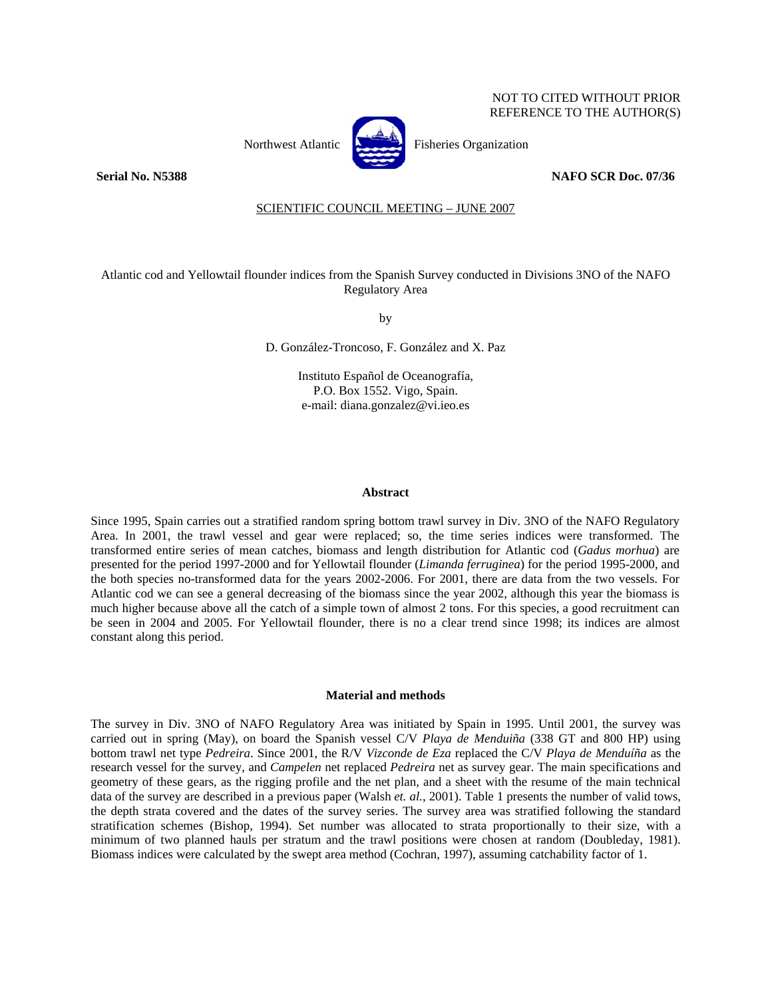# NOT TO CITED WITHOUT PRIOR REFERENCE TO THE AUTHOR(S)



Northwest Atlantic **Northusia** Fisheries Organization

**Serial No. N5388 NAFO SCR Doc. 07/36** 

# SCIENTIFIC COUNCIL MEETING – JUNE 2007

Atlantic cod and Yellowtail flounder indices from the Spanish Survey conducted in Divisions 3NO of the NAFO Regulatory Area

by

D. González-Troncoso, F. González and X. Paz

Instituto Español de Oceanografía, P.O. Box 1552. Vigo, Spain. e-mail: diana.gonzalez@vi.ieo.es

### **Abstract**

Since 1995, Spain carries out a stratified random spring bottom trawl survey in Div. 3NO of the NAFO Regulatory Area. In 2001, the trawl vessel and gear were replaced; so, the time series indices were transformed. The transformed entire series of mean catches, biomass and length distribution for Atlantic cod (*Gadus morhua*) are presented for the period 1997-2000 and for Yellowtail flounder (*Limanda ferruginea*) for the period 1995-2000, and the both species no-transformed data for the years 2002-2006. For 2001, there are data from the two vessels. For Atlantic cod we can see a general decreasing of the biomass since the year 2002, although this year the biomass is much higher because above all the catch of a simple town of almost 2 tons. For this species, a good recruitment can be seen in 2004 and 2005. For Yellowtail flounder, there is no a clear trend since 1998; its indices are almost constant along this period.

#### **Material and methods**

The survey in Div. 3NO of NAFO Regulatory Area was initiated by Spain in 1995. Until 2001, the survey was carried out in spring (May), on board the Spanish vessel C/V *Playa de Menduiña* (338 GT and 800 HP) using bottom trawl net type *Pedreira*. Since 2001, the R/V *Vizconde de Eza* replaced the C/V *Playa de Menduíña* as the research vessel for the survey, and *Campelen* net replaced *Pedreira* net as survey gear. The main specifications and geometry of these gears, as the rigging profile and the net plan, and a sheet with the resume of the main technical data of the survey are described in a previous paper (Walsh *et. al.*, 2001). Table 1 presents the number of valid tows, the depth strata covered and the dates of the survey series. The survey area was stratified following the standard stratification schemes (Bishop, 1994). Set number was allocated to strata proportionally to their size, with a minimum of two planned hauls per stratum and the trawl positions were chosen at random (Doubleday, 1981). Biomass indices were calculated by the swept area method (Cochran, 1997), assuming catchability factor of 1.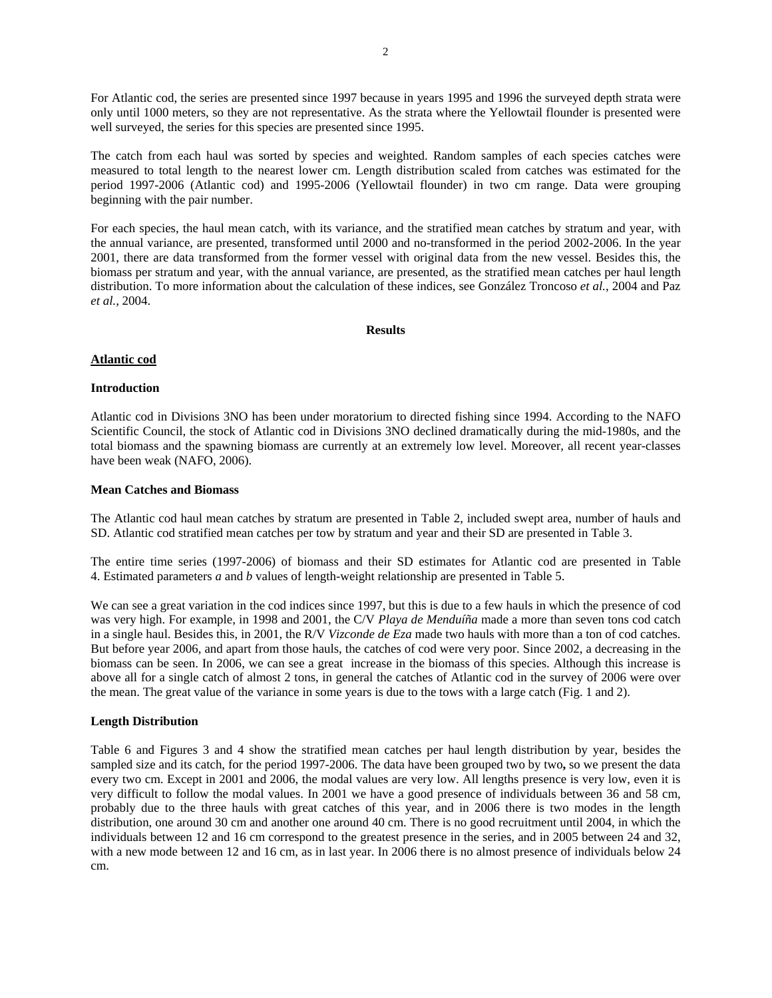For Atlantic cod, the series are presented since 1997 because in years 1995 and 1996 the surveyed depth strata were only until 1000 meters, so they are not representative. As the strata where the Yellowtail flounder is presented were well surveyed, the series for this species are presented since 1995.

The catch from each haul was sorted by species and weighted. Random samples of each species catches were measured to total length to the nearest lower cm. Length distribution scaled from catches was estimated for the period 1997-2006 (Atlantic cod) and 1995-2006 (Yellowtail flounder) in two cm range. Data were grouping beginning with the pair number.

For each species, the haul mean catch, with its variance, and the stratified mean catches by stratum and year, with the annual variance, are presented, transformed until 2000 and no-transformed in the period 2002-2006. In the year 2001, there are data transformed from the former vessel with original data from the new vessel. Besides this, the biomass per stratum and year, with the annual variance, are presented, as the stratified mean catches per haul length distribution. To more information about the calculation of these indices, see González Troncoso *et al.*, 2004 and Paz *et al.*, 2004.

### **Results**

# **Atlantic cod**

### **Introduction**

Atlantic cod in Divisions 3NO has been under moratorium to directed fishing since 1994. According to the NAFO Scientific Council, the stock of Atlantic cod in Divisions 3NO declined dramatically during the mid-1980s, and the total biomass and the spawning biomass are currently at an extremely low level. Moreover, all recent year-classes have been weak (NAFO, 2006).

### **Mean Catches and Biomass**

The Atlantic cod haul mean catches by stratum are presented in Table 2, included swept area, number of hauls and SD. Atlantic cod stratified mean catches per tow by stratum and year and their SD are presented in Table 3.

The entire time series (1997-2006) of biomass and their SD estimates for Atlantic cod are presented in Table 4. Estimated parameters *a* and *b* values of length-weight relationship are presented in Table 5.

We can see a great variation in the cod indices since 1997, but this is due to a few hauls in which the presence of cod was very high. For example, in 1998 and 2001, the C/V *Playa de Menduíña* made a more than seven tons cod catch in a single haul. Besides this, in 2001, the R/V *Vizconde de Eza* made two hauls with more than a ton of cod catches. But before year 2006, and apart from those hauls, the catches of cod were very poor. Since 2002, a decreasing in the biomass can be seen. In 2006, we can see a great increase in the biomass of this species. Although this increase is above all for a single catch of almost 2 tons, in general the catches of Atlantic cod in the survey of 2006 were over the mean. The great value of the variance in some years is due to the tows with a large catch (Fig. 1 and 2).

# **Length Distribution**

Table 6 and Figures 3 and 4 show the stratified mean catches per haul length distribution by year, besides the sampled size and its catch, for the period 1997-2006. The data have been grouped two by two**,** so we present the data every two cm. Except in 2001 and 2006, the modal values are very low. All lengths presence is very low, even it is very difficult to follow the modal values. In 2001 we have a good presence of individuals between 36 and 58 cm, probably due to the three hauls with great catches of this year, and in 2006 there is two modes in the length distribution, one around 30 cm and another one around 40 cm. There is no good recruitment until 2004, in which the individuals between 12 and 16 cm correspond to the greatest presence in the series, and in 2005 between 24 and 32, with a new mode between 12 and 16 cm, as in last year. In 2006 there is no almost presence of individuals below 24 cm.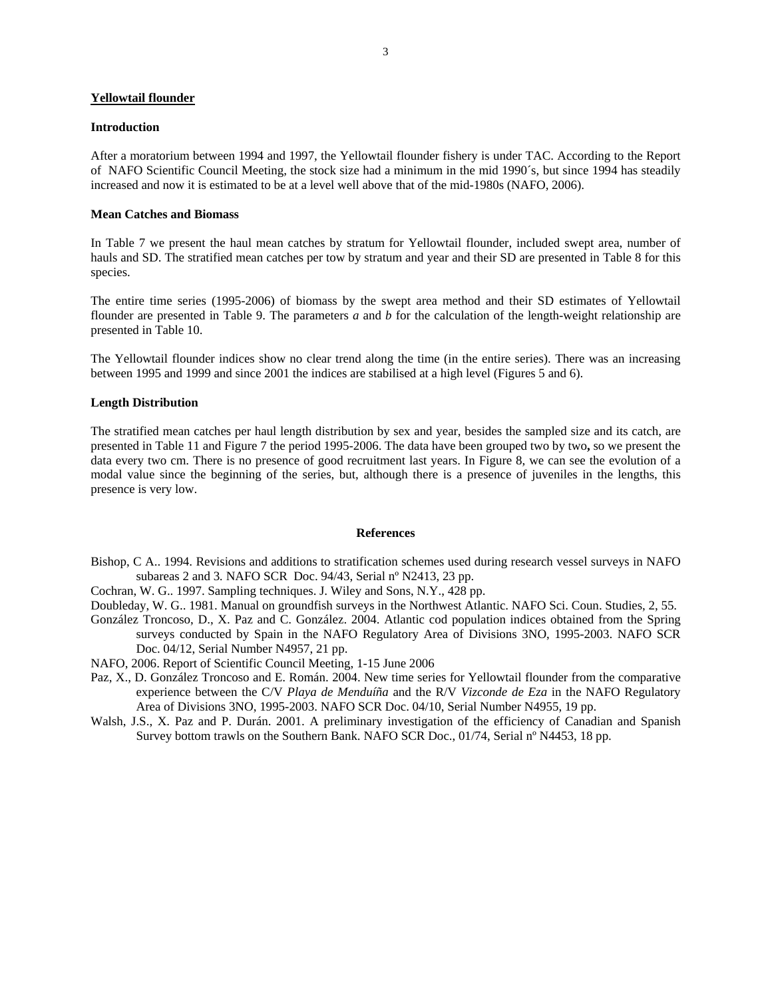# **Yellowtail flounder**

#### **Introduction**

After a moratorium between 1994 and 1997, the Yellowtail flounder fishery is under TAC. According to the Report of NAFO Scientific Council Meeting, the stock size had a minimum in the mid 1990´s, but since 1994 has steadily increased and now it is estimated to be at a level well above that of the mid-1980s (NAFO, 2006).

# **Mean Catches and Biomass**

In Table 7 we present the haul mean catches by stratum for Yellowtail flounder, included swept area, number of hauls and SD. The stratified mean catches per tow by stratum and year and their SD are presented in Table 8 for this species.

The entire time series (1995-2006) of biomass by the swept area method and their SD estimates of Yellowtail flounder are presented in Table 9. The parameters *a* and *b* for the calculation of the length-weight relationship are presented in Table 10.

The Yellowtail flounder indices show no clear trend along the time (in the entire series). There was an increasing between 1995 and 1999 and since 2001 the indices are stabilised at a high level (Figures 5 and 6).

### **Length Distribution**

The stratified mean catches per haul length distribution by sex and year, besides the sampled size and its catch, are presented in Table 11 and Figure 7 the period 1995-2006. The data have been grouped two by two**,** so we present the data every two cm. There is no presence of good recruitment last years. In Figure 8, we can see the evolution of a modal value since the beginning of the series, but, although there is a presence of juveniles in the lengths, this presence is very low.

### **References**

- Bishop, C A.. 1994. Revisions and additions to stratification schemes used during research vessel surveys in NAFO subareas 2 and 3*.* NAFO SCR Doc. 94/43, Serial nº N2413, 23 pp.
- Cochran, W. G.. 1997. Sampling techniques. J. Wiley and Sons, N.Y., 428 pp.

Doubleday, W. G.. 1981. Manual on groundfish surveys in the Northwest Atlantic. NAFO Sci. Coun. Studies, 2, 55.

- González Troncoso, D., X. Paz and C. González. 2004. Atlantic cod population indices obtained from the Spring surveys conducted by Spain in the NAFO Regulatory Area of Divisions 3NO, 1995-2003. NAFO SCR Doc. 04/12, Serial Number N4957, 21 pp.
- NAFO, 2006. Report of Scientific Council Meeting, 1-15 June 2006
- Paz, X., D. González Troncoso and E. Román. 2004. New time series for Yellowtail flounder from the comparative experience between the C/V *Playa de Menduíña* and the R/V *Vizconde de Eza* in the NAFO Regulatory Area of Divisions 3NO, 1995-2003. NAFO SCR Doc. 04/10, Serial Number N4955, 19 pp.
- Walsh, J.S., X. Paz and P. Durán. 2001. A preliminary investigation of the efficiency of Canadian and Spanish Survey bottom trawls on the Southern Bank. NAFO SCR Doc., 01/74, Serial nº N4453, 18 pp.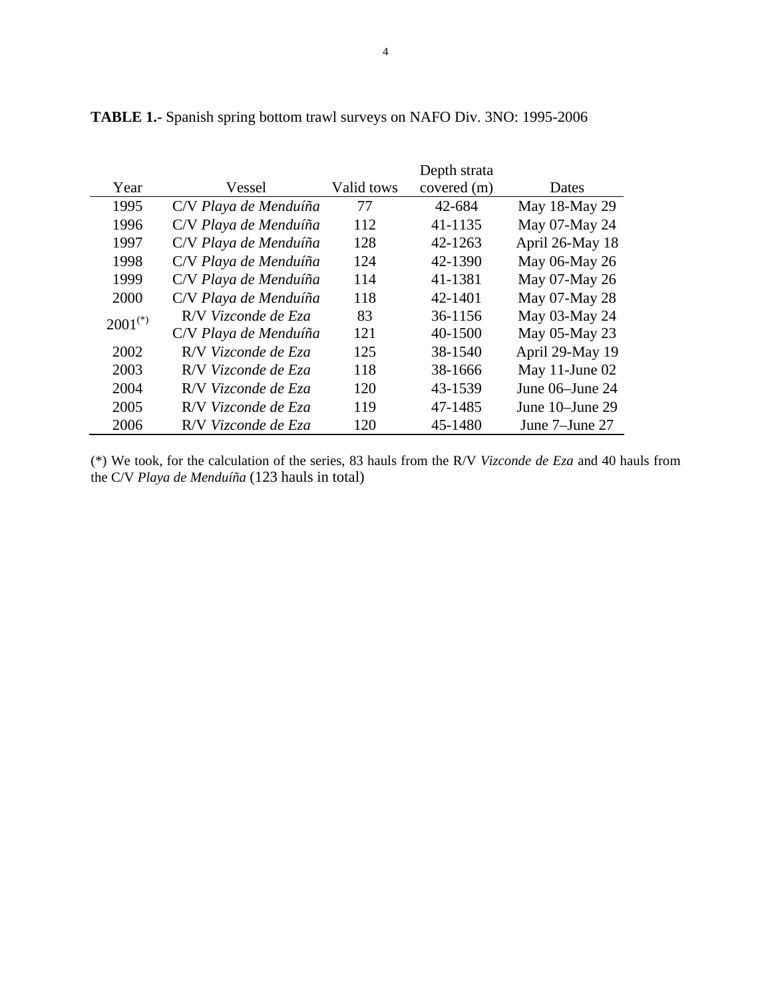|              |                       |            | Depth strata |                 |
|--------------|-----------------------|------------|--------------|-----------------|
| Year         | Vessel                | Valid tows | covered (m)  | Dates           |
| 1995         | C/V Playa de Menduíña | 77         | 42-684       | May 18-May 29   |
| 1996         | C/V Playa de Menduíña | 112        | 41-1135      | May 07-May 24   |
| 1997         | C/V Playa de Menduíña | 128        | 42-1263      | April 26-May 18 |
| 1998         | C/V Playa de Menduíña | 124        | 42-1390      | May 06-May 26   |
| 1999         | C/V Playa de Menduíña | 114        | 41-1381      | May 07-May 26   |
| 2000         | C/V Playa de Menduíña | 118        | 42-1401      | May 07-May 28   |
| $2001^{(*)}$ | R/V Vizconde de Eza   | 83         | 36-1156      | May 03-May 24   |
|              | C/V Playa de Menduíña | 121        | 40-1500      | May 05-May 23   |
| 2002         | R/V Vizconde de Eza   | 125        | 38-1540      | April 29-May 19 |
| 2003         | R/V Vizconde de Eza   | 118        | 38-1666      | May 11-June 02  |
| 2004         | R/V Vizconde de Eza   | 120        | 43-1539      | June 06–June 24 |
| 2005         | R/V Vizconde de Eza   | 119        | 47-1485      | June 10–June 29 |
| 2006         | R/V Vizconde de Eza   | 120        | 45-1480      | June 7–June 27  |

**TABLE 1.-** Spanish spring bottom trawl surveys on NAFO Div. 3NO: 1995-2006

(\*) We took, for the calculation of the series, 83 hauls from the R/V *Vizconde de Eza* and 40 hauls from the C/V *Playa de Menduíña* (123 hauls in total)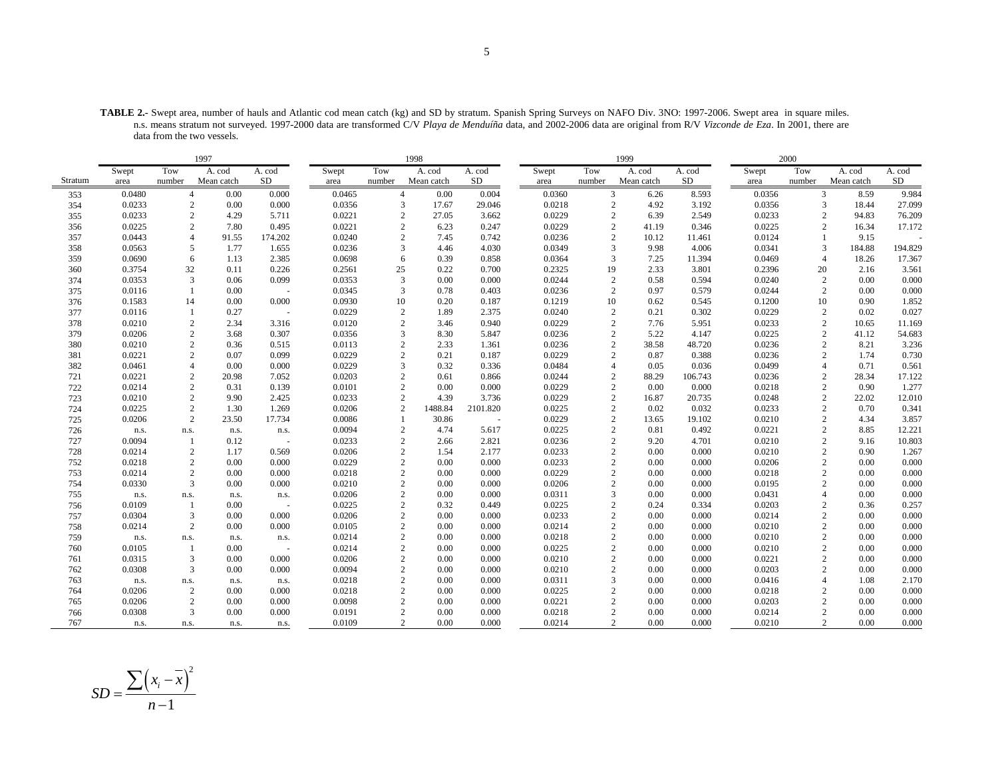**TABLE 2.-** Swept area, number of hauls and Atlantic cod mean catch (kg) and SD by stratum. Spanish Spring Surveys on NAFO Div. 3NO: 1997-2006. Swept area in square miles. n.s. means stratum not surveyed. 1997-2000 data are transformed C/V *Playa de Menduíña* data, and 2002-2006 data are original from R/V *Vizconde de Eza*. In 2001, there are data from the two vessels.

|         | 1997   |                |            |         |        |                | 1998       |          |        |                | 1999       |         |        | 2000           |            |         |
|---------|--------|----------------|------------|---------|--------|----------------|------------|----------|--------|----------------|------------|---------|--------|----------------|------------|---------|
|         | Swept  | Tow            | A. cod     | A. cod  | Swept  | Tow            | A. cod     | A. cod   | Swept  | Tow            | A. cod     | A. cod  | Swept  | Tow            | A. cod     | A. cod  |
| Stratum | area   | number         | Mean catch | SD      | area   | number         | Mean catch | SD       | area   | number         | Mean catch | SD      | area   | number         | Mean catch | SD      |
| 353     | 0.0480 | $\overline{4}$ | 0.00       | 0.000   | 0.0465 | $\overline{4}$ | 0.00       | 0.004    | 0.0360 | 3              | 6.26       | 8.593   | 0.0356 | 3              | 8.59       | 9.984   |
| 354     | 0.0233 | 2              | 0.00       | 0.000   | 0.0356 | 3              | 17.67      | 29.046   | 0.0218 | 2              | 4.92       | 3.192   | 0.0356 | 3              | 18.44      | 27.099  |
| 355     | 0.0233 | $\mathbf{2}$   | 4.29       | 5.711   | 0.0221 | $\sqrt{2}$     | 27.05      | 3.662    | 0.0229 | $\overline{c}$ | 6.39       | 2.549   | 0.0233 | $\sqrt{2}$     | 94.83      | 76.209  |
| 356     | 0.0225 |                | 7.80       | 0.495   | 0.0221 | $\overline{c}$ | 6.23       | 0.247    | 0.0229 | $\overline{c}$ | 41.19      | 0.346   | 0.0225 | $\overline{c}$ | 16.34      | 17.172  |
| 357     | 0.0443 | $\overline{4}$ | 91.55      | 174.202 | 0.0240 | $\overline{2}$ | 7.45       | 0.742    | 0.0236 | $\overline{c}$ | 10.12      | 11.461  | 0.0124 | $\mathbf{1}$   | 9.15       |         |
| 358     | 0.0563 | 5              | 1.77       | 1.655   | 0.0236 | 3              | 4.46       | 4.030    | 0.0349 | $\overline{3}$ | 9.98       | 4.006   | 0.0341 | 3              | 184.88     | 194.829 |
| 359     | 0.0690 | 6              | 1.13       | 2.385   | 0.0698 | 6              | 0.39       | 0.858    | 0.0364 | 3              | 7.25       | 11.394  | 0.0469 | $\overline{4}$ | 18.26      | 17.367  |
| 360     | 0.3754 | 32             | 0.11       | 0.226   | 0.2561 | 25             | 0.22       | 0.700    | 0.2325 | 19             | 2.33       | 3.801   | 0.2396 | 20             | 2.16       | 3.561   |
| 374     | 0.0353 | 3              | 0.06       | 0.099   | 0.0353 | 3              | 0.00       | 0.000    | 0.0244 | $\overline{c}$ | 0.58       | 0.594   | 0.0240 | $\sqrt{2}$     | 0.00       | 0.000   |
| 375     | 0.0116 |                | 0.00       |         | 0.0345 | 3              | 0.78       | 0.403    | 0.0236 | $\overline{c}$ | 0.97       | 0.579   | 0.0244 | 2              | 0.00       | 0.000   |
| 376     | 0.1583 | 14             | 0.00       | 0.000   | 0.0930 | 10             | 0.20       | 0.187    | 0.1219 | 10             | 0.62       | 0.545   | 0.1200 | 10             | 0.90       | 1.852   |
| 377     | 0.0116 |                | 0.27       | $\sim$  | 0.0229 | $\overline{2}$ | 1.89       | 2.375    | 0.0240 | $\overline{c}$ | 0.21       | 0.302   | 0.0229 | $\overline{c}$ | 0.02       | 0.027   |
| 378     | 0.0210 | $\overline{c}$ | 2.34       | 3.316   | 0.0120 | $\overline{c}$ | 3.46       | 0.940    | 0.0229 | $\mathcal{D}$  | 7.76       | 5.951   | 0.0233 | $\overline{c}$ | 10.65      | 11.169  |
| 379     | 0.0206 | $\overline{c}$ | 3.68       | 0.307   | 0.0356 | 3              | 8.30       | 5.847    | 0.0236 | $\overline{c}$ | 5.22       | 4.147   | 0.0225 | $\sqrt{2}$     | 41.12      | 54.683  |
| 380     | 0.0210 | $\overline{2}$ | 0.36       | 0.515   | 0.0113 |                | 2.33       | 1.361    | 0.0236 | $\overline{c}$ | 38.58      | 48.720  | 0.0236 | $\overline{c}$ | 8.21       | 3.236   |
| 381     | 0.0221 | $\overline{c}$ | 0.07       | 0.099   | 0.0229 | $\mathfrak{D}$ | 0.21       | 0.187    | 0.0229 | $\mathfrak{D}$ | 0.87       | 0.388   | 0.0236 | $\overline{c}$ | 1.74       | 0.730   |
| 382     | 0.0461 |                | 0.00       | 0.000   | 0.0229 | 3              | 0.32       | 0.336    | 0.0484 | $\overline{4}$ | 0.05       | 0.036   | 0.0499 | $\overline{4}$ | 0.71       | 0.561   |
| 721     | 0.0221 | 2              | 20.98      | 7.052   | 0.0203 |                | 0.61       | 0.866    | 0.0244 | $\overline{2}$ | 88.29      | 106.743 | 0.0236 | $\overline{c}$ | 28.34      | 17.122  |
| 722     | 0.0214 | $\sqrt{2}$     | 0.31       | 0.139   | 0.0101 | $\mathbf{2}$   | 0.00       | 0.000    | 0.0229 | $\overline{c}$ | 0.00       | 0.000   | 0.0218 | $\overline{c}$ | 0.90       | 1.277   |
| 723     | 0.0210 | $\mathbf{2}$   | 9.90       | 2.425   | 0.0233 | $\mathbf{2}$   | 4.39       | 3.736    | 0.0229 | $\overline{c}$ | 16.87      | 20.735  | 0.0248 | $\overline{c}$ | 22.02      | 12.010  |
| 724     | 0.0225 | 2              | 1.30       | 1.269   | 0.0206 | $\mathbf{2}$   | 1488.84    | 2101.820 | 0.0225 | $\overline{2}$ | 0.02       | 0.032   | 0.0233 | $\overline{c}$ | 0.70       | 0.341   |
| 725     | 0.0206 | 2              | 23.50      | 17.734  | 0.0086 | $\mathbf{1}$   | 30.86      | $\sim$   | 0.0229 | $\sqrt{2}$     | 13.65      | 19.102  | 0.0210 | $\sqrt{2}$     | 4.34       | 3.857   |
| 726     | n.s.   | n.s.           | n.s.       | n.s.    | 0.0094 | 2              | 4.74       | 5.617    | 0.0225 | $\overline{c}$ | 0.81       | 0.492   | 0.0221 | $\overline{c}$ | 8.85       | 12.221  |
| 727     | 0.0094 | $\overline{1}$ | 0.12       |         | 0.0233 | $\mathbf{2}$   | 2.66       | 2.821    | 0.0236 | $\overline{2}$ | 9.20       | 4.701   | 0.0210 | $\overline{c}$ | 9.16       | 10.803  |
| 728     | 0.0214 | 2              | 1.17       | 0.569   | 0.0206 | $\overline{c}$ | 1.54       | 2.177    | 0.0233 | $\overline{c}$ | 0.00       | 0.000   | 0.0210 | $\overline{2}$ | 0.90       | 1.267   |
| 752     | 0.0218 | $\overline{2}$ | 0.00       | 0.000   | 0.0229 | 2              | 0.00       | 0.000    | 0.0233 | $\overline{2}$ | 0.00       | 0.000   | 0.0206 | $\overline{2}$ | 0.00       | 0.000   |
| 753     | 0.0214 | 2              | 0.00       | 0.000   | 0.0218 | $\overline{2}$ | 0.00       | 0.000    | 0.0229 | $\overline{2}$ | 0.00       | 0.000   | 0.0218 | $\overline{2}$ | 0.00       | 0.000   |
| 754     | 0.0330 | 3              | 0.00       | 0.000   | 0.0210 | $\overline{2}$ | 0.00       | 0.000    | 0.0206 | $\overline{2}$ | 0.00       | 0.000   | 0.0195 | $\overline{2}$ | 0.00       | 0.000   |
| 755     | n.s.   | n.s.           | n.s.       | n.s.    | 0.0206 | $\overline{2}$ | 0.00       | 0.000    | 0.0311 | 3              | 0.00       | 0.000   | 0.0431 | $\overline{A}$ | 0.00       | 0.000   |
| 756     | 0.0109 |                | 0.00       |         | 0.0225 | $\overline{2}$ | 0.32       | 0.449    | 0.0225 | $\overline{2}$ | 0.24       | 0.334   | 0.0203 | $\overline{c}$ | 0.36       | 0.257   |
| 757     | 0.0304 | 3              | 0.00       | 0.000   | 0.0206 | $\overline{2}$ | 0.00       | 0.000    | 0.0233 | $\overline{c}$ | 0.00       | 0.000   | 0.0214 | $\sqrt{2}$     | 0.00       | 0.000   |
| 758     | 0.0214 | $\overline{c}$ | 0.00       | 0.000   | 0.0105 | $\overline{2}$ | 0.00       | 0.000    | 0.0214 | $\overline{c}$ | 0.00       | 0.000   | 0.0210 | $\overline{c}$ | 0.00       | 0.000   |
| 759     | n.s.   | n.s.           | n.s.       | n.s.    | 0.0214 | 2              | 0.00       | 0.000    | 0.0218 | $\overline{2}$ | 0.00       | 0.000   | 0.0210 | $\overline{c}$ | 0.00       | 0.000   |
| 760     | 0.0105 |                | 0.00       | $\sim$  | 0.0214 | $\overline{c}$ | 0.00       | 0.000    | 0.0225 | $\overline{c}$ | 0.00       | 0.000   | 0.0210 | $\overline{c}$ | 0.00       | 0.000   |
| 761     | 0.0315 | 3              | 0.00       | 0.000   | 0.0206 | $\overline{2}$ | 0.00       | 0.000    | 0.0210 | $\overline{2}$ | 0.00       | 0.000   | 0.0221 | $\overline{2}$ | 0.00       | 0.000   |
| 762     | 0.0308 | 3              | 0.00       | 0.000   | 0.0094 | $\overline{c}$ | 0.00       | 0.000    | 0.0210 | $\overline{c}$ | 0.00       | 0.000   | 0.0203 | $\overline{c}$ | 0.00       | 0.000   |
| 763     | n.s.   | n.s.           | n.s.       | n.s.    | 0.0218 | $\overline{2}$ | 0.00       | 0.000    | 0.0311 | $\overline{3}$ | 0.00       | 0.000   | 0.0416 | $\overline{4}$ | 1.08       | 2.170   |
| 764     | 0.0206 | 2              | 0.00       | 0.000   | 0.0218 | 2              | 0.00       | 0.000    | 0.0225 | $\overline{2}$ | 0.00       | 0.000   | 0.0218 | 2              | 0.00       | 0.000   |
| 765     | 0.0206 | $\overline{c}$ | 0.00       | 0.000   | 0.0098 | $\overline{c}$ | 0.00       | 0.000    | 0.0221 | $\overline{c}$ | 0.00       | 0.000   | 0.0203 | $\overline{c}$ | 0.00       | 0.000   |
| 766     | 0.0308 | 3              | 0.00       | 0.000   | 0.0191 | $\overline{2}$ | 0.00       | 0.000    | 0.0218 | $\overline{2}$ | 0.00       | 0.000   | 0.0214 | $\overline{c}$ | 0.00       | 0.000   |
| 767     | n.s.   | n.s.           | n.s.       | n.s.    | 0.0109 | $\overline{2}$ | 0.00       | 0.000    | 0.0214 | 2              | 0.00       | 0.000   | 0.0210 | $\overline{2}$ | 0.00       | 0.000   |

$$
SD = \frac{\sum (x_i - \overline{x})^2}{n - 1}
$$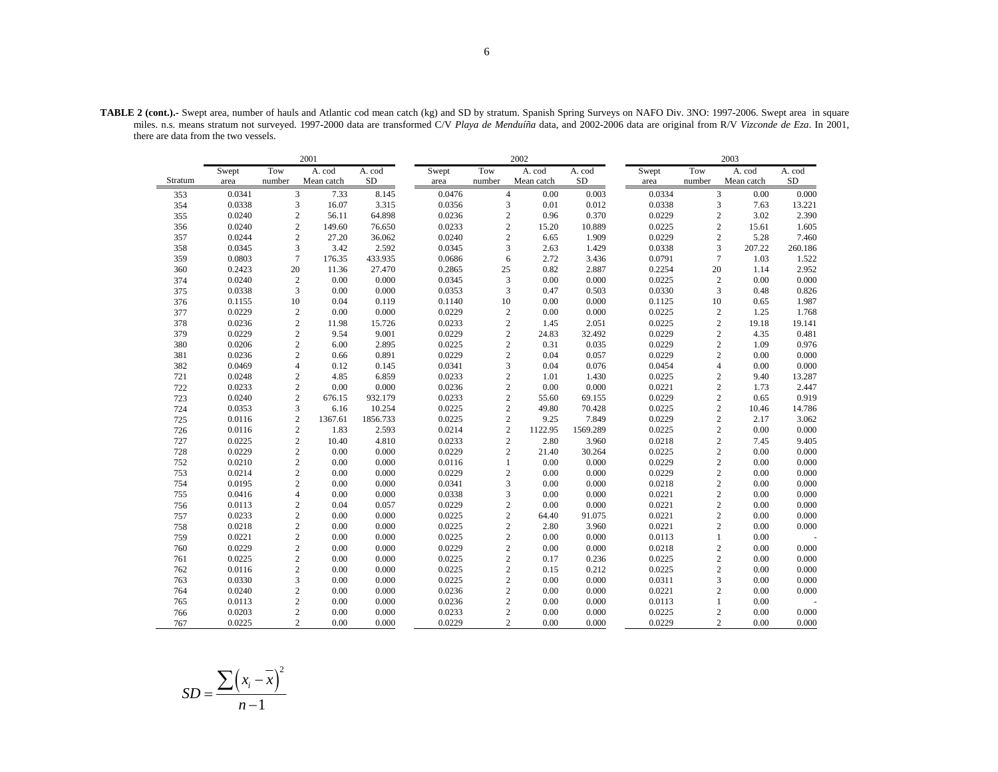|         |        |        | 2001                      |          |        |        | 2002                      |          |        |                | 2003       |          |
|---------|--------|--------|---------------------------|----------|--------|--------|---------------------------|----------|--------|----------------|------------|----------|
|         | Swept  | Tow    | A. cod                    | A. cod   | Swept  | Tow    | A. cod                    | A. cod   | Swept  | Tow            | A. cod     | A. cod   |
| Stratum | area   | number | Mean catch                | $\rm SD$ | area   | number | Mean catch                | $\rm SD$ | area   | number         | Mean catch | $\rm SD$ |
| 353     | 0.0341 |        | 3<br>7.33                 | 8.145    | 0.0476 |        | $\overline{4}$<br>0.00    | 0.003    | 0.0334 | 3              | 0.00       | 0.000    |
| 354     | 0.0338 |        | 3<br>16.07                | 3.315    | 0.0356 |        | 3<br>0.01                 | 0.012    | 0.0338 | 3              | 7.63       | 13.221   |
| 355     | 0.0240 |        | $\overline{c}$<br>56.11   | 64.898   | 0.0236 |        | $\overline{c}$<br>0.96    | 0.370    | 0.0229 | $\overline{c}$ | 3.02       | 2.390    |
| 356     | 0.0240 |        | $\overline{c}$<br>149.60  | 76.650   | 0.0233 |        | $\overline{c}$<br>15.20   | 10.889   | 0.0225 | $\overline{c}$ | 15.61      | 1.605    |
| 357     | 0.0244 |        | $\overline{c}$<br>27.20   | 36.062   | 0.0240 |        | $\overline{c}$<br>6.65    | 1.909    | 0.0229 | $\mathbf{2}$   | 5.28       | 7.460    |
| 358     | 0.0345 |        | 3<br>3.42                 | 2.592    | 0.0345 |        | $\overline{3}$<br>2.63    | 1.429    | 0.0338 | 3              | 207.22     | 260.186  |
| 359     | 0.0803 |        | $\overline{7}$<br>176.35  | 433.935  | 0.0686 |        | 6<br>2.72                 | 3.436    | 0.0791 | $\overline{7}$ | 1.03       | 1.522    |
| 360     | 0.2423 | 20     | 11.36                     | 27.470   | 0.2865 | 25     | 0.82                      | 2.887    | 0.2254 | 20             | 1.14       | 2.952    |
| 374     | 0.0240 |        | $\sqrt{2}$<br>0.00        | 0.000    | 0.0345 |        | 3<br>0.00                 | 0.000    | 0.0225 | $\sqrt{2}$     | 0.00       | 0.000    |
| 375     | 0.0338 |        | 3<br>0.00                 | 0.000    | 0.0353 |        | 3<br>0.47                 | 0.503    | 0.0330 | 3              | 0.48       | 0.826    |
| 376     | 0.1155 | 10     | 0.04                      | 0.119    | 0.1140 | 10     | 0.00                      | 0.000    | 0.1125 | 10             | 0.65       | 1.987    |
| 377     | 0.0229 |        | $\sqrt{2}$<br>0.00        | 0.000    | 0.0229 |        | $\sqrt{2}$<br>0.00        | 0.000    | 0.0225 | $\mathbf{2}$   | 1.25       | 1.768    |
| 378     | 0.0236 |        | $\overline{c}$<br>11.98   | 15.726   | 0.0233 |        | $\overline{c}$<br>1.45    | 2.051    | 0.0225 | $\mathbf{2}$   | 19.18      | 19.141   |
| 379     | 0.0229 |        | $\sqrt{2}$<br>9.54        | 9.001    | 0.0229 |        | $\sqrt{2}$<br>24.83       | 32.492   | 0.0229 | $\mathfrak{2}$ | 4.35       | 0.481    |
| 380     | 0.0206 |        | $\sqrt{2}$<br>6.00        | 2.895    | 0.0225 |        | $\overline{c}$<br>0.31    | 0.035    | 0.0229 | $\mathbf{2}$   | 1.09       | 0.976    |
| 381     | 0.0236 |        | $\overline{c}$<br>0.66    | 0.891    | 0.0229 |        | $\overline{c}$<br>0.04    | 0.057    | 0.0229 | $\overline{c}$ | 0.00       | 0.000    |
| 382     | 0.0469 |        | $\overline{4}$<br>0.12    | 0.145    | 0.0341 |        | 3<br>0.04                 | 0.076    | 0.0454 | $\overline{4}$ | 0.00       | 0.000    |
| 721     | 0.0248 |        | $\overline{c}$<br>4.85    | 6.859    | 0.0233 |        | $\overline{c}$<br>1.01    | 1.430    | 0.0225 | $\mathbf{2}$   | 9.40       | 13.287   |
| 722     | 0.0233 |        | $\overline{c}$<br>0.00    | 0.000    | 0.0236 |        | $\overline{c}$<br>0.00    | 0.000    | 0.0221 | $\overline{c}$ | 1.73       | 2.447    |
| 723     | 0.0240 |        | $\mathbf{2}$<br>676.15    | 932.179  | 0.0233 |        | $\sqrt{2}$<br>55.60       | 69.155   | 0.0229 | $\overline{c}$ | 0.65       | 0.919    |
| 724     | 0.0353 |        | 3<br>6.16                 | 10.254   | 0.0225 |        | $\overline{c}$<br>49.80   | 70.428   | 0.0225 | $\overline{c}$ | 10.46      | 14.786   |
| 725     | 0.0116 |        | $\overline{c}$<br>1367.61 | 1856.733 | 0.0225 |        | $\overline{c}$<br>9.25    | 7.849    | 0.0229 | $\overline{c}$ | 2.17       | 3.062    |
| 726     | 0.0116 |        | $\overline{c}$<br>1.83    | 2.593    | 0.0214 |        | $\overline{c}$<br>1122.95 | 1569.289 | 0.0225 | $\overline{c}$ | 0.00       | 0.000    |
| 727     | 0.0225 |        | $\overline{c}$<br>10.40   | 4.810    | 0.0233 |        | $\overline{c}$<br>2.80    | 3.960    | 0.0218 | $\overline{c}$ | 7.45       | 9.405    |
| 728     | 0.0229 |        | $\overline{c}$<br>0.00    | 0.000    | 0.0229 |        | $\overline{c}$<br>21.40   | 30.264   | 0.0225 | $\overline{c}$ | 0.00       | 0.000    |
| 752     | 0.0210 |        | $\mathbf{2}$<br>0.00      | 0.000    | 0.0116 |        | 0.00<br>$\mathbf{1}$      | 0.000    | 0.0229 | $\overline{c}$ | 0.00       | 0.000    |
| 753     | 0.0214 |        | $\overline{c}$<br>0.00    | 0.000    | 0.0229 |        | $\overline{c}$<br>0.00    | 0.000    | 0.0229 | $\overline{c}$ | 0.00       | 0.000    |
| 754     | 0.0195 |        | $\overline{2}$<br>0.00    | 0.000    | 0.0341 |        | 3<br>0.00                 | 0.000    | 0.0218 | $\overline{c}$ | 0.00       | 0.000    |
| 755     | 0.0416 |        | $\overline{4}$<br>0.00    | 0.000    | 0.0338 |        | 3<br>0.00                 | 0.000    | 0.0221 | $\mathbf{2}$   | 0.00       | 0.000    |
| 756     | 0.0113 |        | $\overline{c}$<br>0.04    | 0.057    | 0.0229 |        | $\sqrt{2}$<br>0.00        | 0.000    | 0.0221 | $\mathbf{2}$   | 0.00       | 0.000    |
| 757     | 0.0233 |        | $\overline{c}$<br>0.00    | 0.000    | 0.0225 |        | $\overline{c}$<br>64.40   | 91.075   | 0.0221 | $\overline{c}$ | 0.00       | 0.000    |
| 758     | 0.0218 |        | $\sqrt{2}$<br>0.00        | 0.000    | 0.0225 |        | $\overline{c}$<br>2.80    | 3.960    | 0.0221 | $\overline{c}$ | 0.00       | 0.000    |
| 759     | 0.0221 |        | $\sqrt{2}$<br>0.00        | 0.000    | 0.0225 |        | $\sqrt{2}$<br>0.00        | 0.000    | 0.0113 | $\mathbf{1}$   | 0.00       |          |
| 760     | 0.0229 |        | $\overline{c}$<br>0.00    | 0.000    | 0.0229 |        | $\overline{c}$<br>0.00    | 0.000    | 0.0218 | $\overline{c}$ | 0.00       | 0.000    |
| 761     | 0.0225 |        | $\sqrt{2}$<br>0.00        | 0.000    | 0.0225 |        | $\overline{c}$<br>0.17    | 0.236    | 0.0225 | $\overline{c}$ | 0.00       | 0.000    |
| 762     | 0.0116 |        | $\overline{c}$<br>0.00    | 0.000    | 0.0225 |        | $\overline{c}$<br>0.15    | 0.212    | 0.0225 | $\mathbf{2}$   | 0.00       | 0.000    |
| 763     | 0.0330 |        | 3<br>0.00                 | 0.000    | 0.0225 |        | $\overline{c}$<br>0.00    | 0.000    | 0.0311 | 3              | 0.00       | 0.000    |
| 764     | 0.0240 |        | $\mathbf{2}$<br>0.00      | 0.000    | 0.0236 |        | $\overline{c}$<br>0.00    | 0.000    | 0.0221 | $\overline{c}$ | 0.00       | 0.000    |
| 765     | 0.0113 |        | $\overline{c}$<br>0.00    | 0.000    | 0.0236 |        | $\overline{c}$<br>0.00    | 0.000    | 0.0113 | $\mathbf{1}$   | 0.00       |          |
| 766     | 0.0203 |        | $\overline{c}$<br>0.00    | 0.000    | 0.0233 |        | $\overline{c}$<br>0.00    | 0.000    | 0.0225 | $\overline{c}$ | 0.00       | 0.000    |
| 767     | 0.0225 |        | $\overline{2}$<br>0.00    | 0.000    | 0.0229 |        | $\overline{c}$<br>0.00    | 0.000    | 0.0229 | $\overline{c}$ | 0.00       | 0.000    |

**TABLE 2 (cont.).-** Swept area, number of hauls and Atlantic cod mean catch (kg) and SD by stratum. Spanish Spring Surveys on NAFO Div. 3NO: 1997-2006. Swept area in square miles. n.s. means stratum not surveyed. 1997-2000 data are transformed C/V *Playa de Menduíña* data, and 2002-2006 data are original from R/V *Vizconde de Eza*. In 2001, there are data from the two vessels.

$$
SD = \frac{\sum (x_i - \overline{x})^2}{n - 1}
$$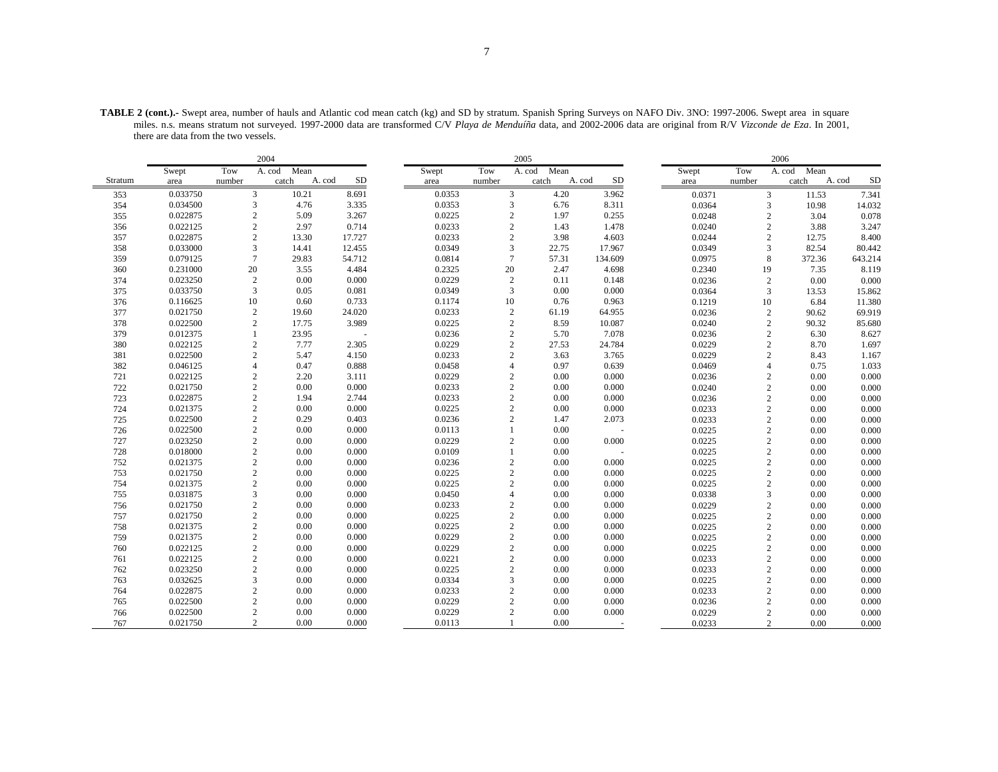| TABLE 2 (cont.).- Swept area, number of hauls and Atlantic cod mean catch (kg) and SD by stratum. Spanish Spring Surveys on NAFO Div. 3NO: 1997-2006. Swept area in square |  |
|----------------------------------------------------------------------------------------------------------------------------------------------------------------------------|--|
| miles. n.s. means stratum not surveyed. 1997-2000 data are transformed C/V Playa de Menduíña data, and 2002-2006 data are original from R/V Vizconde de Eza. In 2001,      |  |
| there are data from the two vessels.                                                                                                                                       |  |

|         |          |                 | 2004           |              |       |        |                 | 2005        |                     |        |                | 2006        |                     |
|---------|----------|-----------------|----------------|--------------|-------|--------|-----------------|-------------|---------------------|--------|----------------|-------------|---------------------|
|         | Swept    | Tow             | A. cod<br>Mean |              | Swept |        | Tow             | A. cod Mean |                     | Swept  | Tow            | A. cod Mean |                     |
| Stratum | area     | number          | catch          | SD<br>A. cod | area  |        | number          | catch       | <b>SD</b><br>A. cod | area   | number         | catch       | <b>SD</b><br>A. cod |
| 353     | 0.033750 | 3               | 10.21          | 8.691        |       | 0.0353 | 3               | 4.20        | 3.962               | 0.0371 | 3              | 11.53       | 7.341               |
| 354     | 0.034500 | 3               | 4.76           | 3.335        |       | 0.0353 | 3               | 6.76        | 8.311               | 0.0364 | 3              | 10.98       | 14.032              |
| 355     | 0.022875 | $\sqrt{2}$      | 5.09           | 3.267        |       | 0.0225 | $\sqrt{2}$      | 1.97        | 0.255               | 0.0248 | $\mathbf{2}$   | 3.04        | 0.078               |
| 356     | 0.022125 | $\sqrt{2}$      | 2.97           | 0.714        |       | 0.0233 | $\sqrt{2}$      | 1.43        | 1.478               | 0.0240 | $\overline{c}$ | 3.88        | 3.247               |
| 357     | 0.022875 | $\sqrt{2}$      | 13.30          | 17.727       |       | 0.0233 | $\sqrt{2}$      | 3.98        | 4.603               | 0.0244 | 2              | 12.75       | 8.400               |
| 358     | 0.033000 | $\sqrt{3}$      | 14.41          | 12.455       |       | 0.0349 | 3               | 22.75       | 17.967              | 0.0349 | 3              | 82.54       | 80.442              |
| 359     | 0.079125 | $7\phantom{.0}$ | 29.83          | 54.712       |       | 0.0814 | $7\phantom{.0}$ | 57.31       | 134.609             | 0.0975 | 8              | 372.36      | 643.214             |
| 360     | 0.231000 | 20              | 3.55           | 4.484        |       | 0.2325 | 20              | 2.47        | 4.698               | 0.2340 | 19             | 7.35        | 8.119               |
| 374     | 0.023250 | $\sqrt{2}$      | 0.00           | 0.000        |       | 0.0229 | $\overline{2}$  | 0.11        | 0.148               | 0.0236 | $\overline{c}$ | 0.00        | 0.000               |
| 375     | 0.033750 | $\mathfrak{Z}$  | 0.05           | 0.081        |       | 0.0349 | 3               | 0.00        | 0.000               | 0.0364 | 3              | 13.53       | 15.862              |
| 376     | 0.116625 | 10              | 0.60           | 0.733        |       | 0.1174 | 10              | 0.76        | 0.963               | 0.1219 | 10             | 6.84        | 11.380              |
| 377     | 0.021750 | $\sqrt{2}$      | 19.60          | 24.020       |       | 0.0233 | $\sqrt{2}$      | 61.19       | 64.955              | 0.0236 | $\overline{c}$ | 90.62       | 69.919              |
| 378     | 0.022500 | $\sqrt{2}$      | 17.75          | 3.989        |       | 0.0225 | $\sqrt{2}$      | 8.59        | 10.087              | 0.0240 | $\sqrt{2}$     | 90.32       | 85.680              |
| 379     | 0.012375 | $\mathbf{1}$    | 23.95          | L,           |       | 0.0236 | $\sqrt{2}$      | 5.70        | 7.078               | 0.0236 | $\overline{2}$ | 6.30        | 8.627               |
| 380     | 0.022125 | $\sqrt{2}$      | 7.77           | 2.305        |       | 0.0229 | $\sqrt{2}$      | 27.53       | 24.784              | 0.0229 | $\overline{c}$ | 8.70        | 1.697               |
| 381     | 0.022500 | $\sqrt{2}$      | 5.47           | 4.150        |       | 0.0233 | $\sqrt{2}$      | 3.63        | 3.765               | 0.0229 | $\overline{2}$ | 8.43        | 1.167               |
| 382     | 0.046125 | $\overline{4}$  | 0.47           | 0.888        |       | 0.0458 | $\overline{4}$  | 0.97        | 0.639               | 0.0469 | $\overline{4}$ | 0.75        | 1.033               |
| 721     | 0.022125 | $\overline{2}$  | 2.20           | 3.111        |       | 0.0229 | $\overline{c}$  | 0.00        | 0.000               | 0.0236 | $\overline{2}$ | 0.00        | 0.000               |
| 722     | 0.021750 | $\sqrt{2}$      | 0.00           | 0.000        |       | 0.0233 | $\sqrt{2}$      | 0.00        | 0.000               | 0.0240 | $\overline{c}$ | 0.00        | 0.000               |
| 723     | 0.022875 | $\sqrt{2}$      | 1.94           | 2.744        |       | 0.0233 | $\sqrt{2}$      | 0.00        | 0.000               | 0.0236 | $\sqrt{2}$     | 0.00        | 0.000               |
| 724     | 0.021375 | $\sqrt{2}$      | 0.00           | 0.000        |       | 0.0225 | $\sqrt{2}$      | 0.00        | 0.000               | 0.0233 | 2              | 0.00        | 0.000               |
| 725     | 0.022500 | $\sqrt{2}$      | 0.29           | 0.403        |       | 0.0236 | $\overline{c}$  | 1.47        | 2.073               | 0.0233 | $\sqrt{2}$     | 0.00        | 0.000               |
| 726     | 0.022500 | $\sqrt{2}$      | 0.00           | 0.000        |       | 0.0113 | $\overline{1}$  | 0.00        |                     | 0.0225 | $\overline{c}$ | 0.00        | 0.000               |
| 727     | 0.023250 | $\sqrt{2}$      | 0.00           | 0.000        |       | 0.0229 | $\sqrt{2}$      | 0.00        | 0.000               | 0.0225 | $\sqrt{2}$     | 0.00        | 0.000               |
| 728     | 0.018000 | $\sqrt{2}$      | 0.00           | 0.000        |       | 0.0109 | $\overline{1}$  | 0.00        |                     | 0.0225 | $\sqrt{2}$     | 0.00        | 0.000               |
| 752     | 0.021375 | $\sqrt{2}$      | 0.00           | 0.000        |       | 0.0236 | $\sqrt{2}$      | 0.00        | 0.000               | 0.0225 | $\overline{2}$ | 0.00        | 0.000               |
| 753     | 0.021750 | $\sqrt{2}$      | 0.00           | 0.000        |       | 0.0225 | $\sqrt{2}$      | 0.00        | 0.000               | 0.0225 | $\sqrt{2}$     | 0.00        | 0.000               |
| 754     | 0.021375 | $\sqrt{2}$      | 0.00           | 0.000        |       | 0.0225 | $\sqrt{2}$      | 0.00        | 0.000               | 0.0225 | $\overline{2}$ | 0.00        | 0.000               |
| 755     | 0.031875 | 3               | 0.00           | 0.000        |       | 0.0450 | $\overline{4}$  | 0.00        | 0.000               | 0.0338 | 3              | 0.00        | 0.000               |
| 756     | 0.021750 | $\sqrt{2}$      | 0.00           | 0.000        |       | 0.0233 | $\sqrt{2}$      | 0.00        | 0.000               | 0.0229 | $\overline{c}$ | 0.00        | 0.000               |
| 757     | 0.021750 | $\sqrt{2}$      | 0.00           | 0.000        |       | 0.0225 | $\sqrt{2}$      | 0.00        | 0.000               | 0.0225 | $\overline{2}$ | 0.00        | 0.000               |
| 758     | 0.021375 | $\sqrt{2}$      | 0.00           | 0.000        |       | 0.0225 | $\sqrt{2}$      | 0.00        | 0.000               | 0.0225 | $\overline{c}$ | 0.00        | 0.000               |
| 759     | 0.021375 | $\sqrt{2}$      | 0.00           | 0.000        |       | 0.0229 | $\sqrt{2}$      | 0.00        | 0.000               | 0.0225 | $\overline{2}$ | 0.00        | 0.000               |
| 760     | 0.022125 | $\overline{2}$  | 0.00           | 0.000        |       | 0.0229 | $\sqrt{2}$      | 0.00        | 0.000               | 0.0225 | $\overline{c}$ | 0.00        | 0.000               |
| 761     | 0.022125 | $\sqrt{2}$      | 0.00           | 0.000        |       | 0.0221 | $\sqrt{2}$      | 0.00        | 0.000               | 0.0233 | $\sqrt{2}$     | 0.00        | 0.000               |
| 762     | 0.023250 | $\sqrt{2}$      | 0.00           | 0.000        |       | 0.0225 | $\sqrt{2}$      | 0.00        | 0.000               | 0.0233 | $\overline{2}$ | 0.00        | 0.000               |
| 763     | 0.032625 | $\sqrt{3}$      | 0.00           | 0.000        |       | 0.0334 | 3               | 0.00        | 0.000               | 0.0225 | $\overline{2}$ | 0.00        | 0.000               |
| 764     | 0.022875 | $\overline{2}$  | 0.00           | 0.000        |       | 0.0233 | $\sqrt{2}$      | 0.00        | 0.000               | 0.0233 | $\overline{2}$ | 0.00        | 0.000               |
| 765     | 0.022500 | $\sqrt{2}$      | 0.00           | 0.000        |       | 0.0229 | $\overline{c}$  | 0.00        | 0.000               | 0.0236 | $\overline{c}$ | 0.00        | 0.000               |
| 766     | 0.022500 | $\overline{2}$  | 0.00           | 0.000        |       | 0.0229 | $\overline{c}$  | 0.00        | 0.000               | 0.0229 | $\mathbf{2}$   | 0.00        | 0.000               |
| 767     | 0.021750 | $\overline{c}$  | 0.00           | 0.000        |       | 0.0113 |                 | 0.00        |                     | 0.0233 | 2              | 0.00        | 0.000               |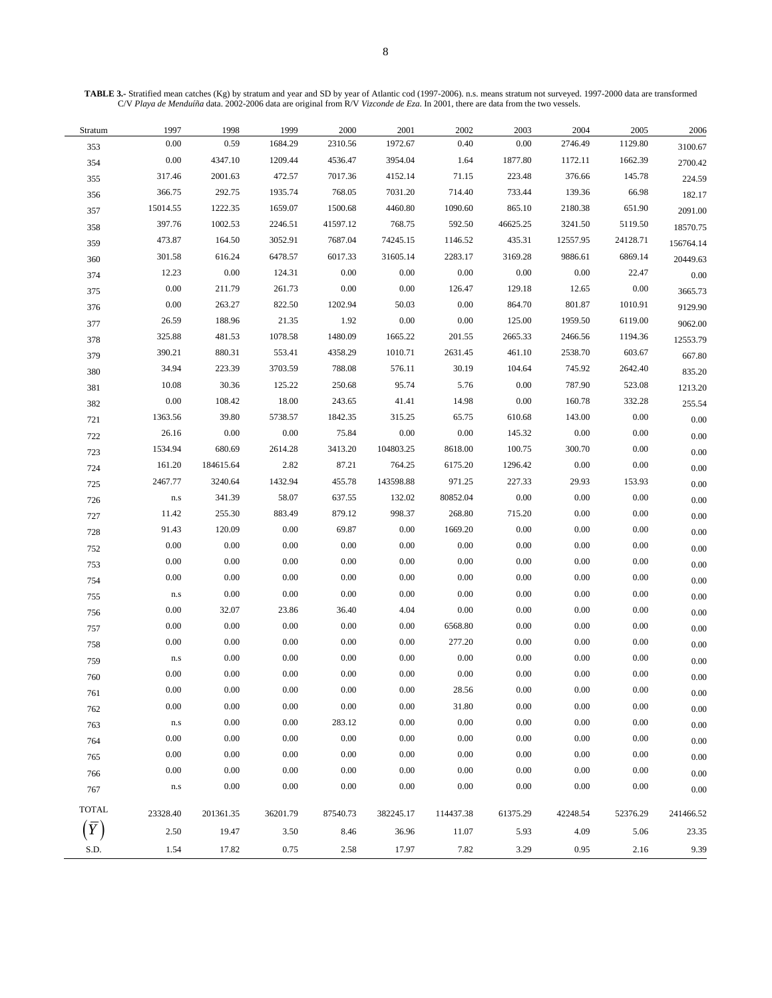**TABLE 3.-** Stratified mean catches (Kg) by stratum and year and SD by year of Atlantic cod (1997-2006). n.s. means stratum not surveyed. 1997-2000 data are transformed C/V *Playa de Menduíña* data. 2002-2006 data are original from R/V *Vizconde de Eza*. In 2001, there are data from the two vessels.

| Stratum        | 1997      | 1998      | 1999     | 2000     | 2001      | 2002      | 2003     | 2004     | 2005     | 2006      |
|----------------|-----------|-----------|----------|----------|-----------|-----------|----------|----------|----------|-----------|
| 353            | 0.00      | 0.59      | 1684.29  | 2310.56  | 1972.67   | 0.40      | 0.00     | 2746.49  | 1129.80  | 3100.67   |
| 354            | 0.00      | 4347.10   | 1209.44  | 4536.47  | 3954.04   | 1.64      | 1877.80  | 1172.11  | 1662.39  | 2700.42   |
| 355            | 317.46    | 2001.63   | 472.57   | 7017.36  | 4152.14   | 71.15     | 223.48   | 376.66   | 145.78   | 224.59    |
| 356            | 366.75    | 292.75    | 1935.74  | 768.05   | 7031.20   | 714.40    | 733.44   | 139.36   | 66.98    | 182.17    |
| 357            | 15014.55  | 1222.35   | 1659.07  | 1500.68  | 4460.80   | 1090.60   | 865.10   | 2180.38  | 651.90   | 2091.00   |
| 358            | 397.76    | 1002.53   | 2246.51  | 41597.12 | 768.75    | 592.50    | 46625.25 | 3241.50  | 5119.50  | 18570.75  |
| 359            | 473.87    | 164.50    | 3052.91  | 7687.04  | 74245.15  | 1146.52   | 435.31   | 12557.95 | 24128.71 | 156764.14 |
| 360            | 301.58    | 616.24    | 6478.57  | 6017.33  | 31605.14  | 2283.17   | 3169.28  | 9886.61  | 6869.14  | 20449.63  |
| 374            | 12.23     | $0.00\,$  | 124.31   | 0.00     | 0.00      | 0.00      | 0.00     | 0.00     | 22.47    | 0.00      |
| 375            | 0.00      | 211.79    | 261.73   | $0.00\,$ | 0.00      | 126.47    | 129.18   | 12.65    | $0.00\,$ | 3665.73   |
| 376            | 0.00      | 263.27    | 822.50   | 1202.94  | 50.03     | 0.00      | 864.70   | 801.87   | 1010.91  | 9129.90   |
| 377            | 26.59     | 188.96    | 21.35    | 1.92     | 0.00      | 0.00      | 125.00   | 1959.50  | 6119.00  | 9062.00   |
| 378            | 325.88    | 481.53    | 1078.58  | 1480.09  | 1665.22   | 201.55    | 2665.33  | 2466.56  | 1194.36  | 12553.79  |
| 379            | 390.21    | 880.31    | 553.41   | 4358.29  | 1010.71   | 2631.45   | 461.10   | 2538.70  | 603.67   | 667.80    |
| 380            | 34.94     | 223.39    | 3703.59  | 788.08   | 576.11    | 30.19     | 104.64   | 745.92   | 2642.40  | 835.20    |
| 381            | 10.08     | 30.36     | 125.22   | 250.68   | 95.74     | 5.76      | 0.00     | 787.90   | 523.08   | 1213.20   |
| 382            | 0.00      | 108.42    | 18.00    | 243.65   | 41.41     | 14.98     | 0.00     | 160.78   | 332.28   | 255.54    |
| 721            | 1363.56   | 39.80     | 5738.57  | 1842.35  | 315.25    | 65.75     | 610.68   | 143.00   | $0.00\,$ | 0.00      |
| 722            | 26.16     | 0.00      | 0.00     | 75.84    | 0.00      | 0.00      | 145.32   | 0.00     | $0.00\,$ | 0.00      |
| 723            | 1534.94   | 680.69    | 2614.28  | 3413.20  | 104803.25 | 8618.00   | 100.75   | 300.70   | $0.00\,$ | 0.00      |
| 724            | 161.20    | 184615.64 | 2.82     | 87.21    | 764.25    | 6175.20   | 1296.42  | 0.00     | $0.00\,$ | 0.00      |
| 725            | 2467.77   | 3240.64   | 1432.94  | 455.78   | 143598.88 | 971.25    | 227.33   | 29.93    | 153.93   | 0.00      |
| 726            | $\rm n.s$ | 341.39    | 58.07    | 637.55   | 132.02    | 80852.04  | 0.00     | 0.00     | 0.00     | 0.00      |
| 727            | 11.42     | 255.30    | 883.49   | 879.12   | 998.37    | 268.80    | 715.20   | 0.00     | 0.00     | 0.00      |
| 728            | 91.43     | 120.09    | 0.00     | 69.87    | 0.00      | 1669.20   | 0.00     | 0.00     | 0.00     | 0.00      |
| 752            | 0.00      | 0.00      | $0.00\,$ | 0.00     | $0.00\,$  | 0.00      | 0.00     | $0.00\,$ | $0.00\,$ | 0.00      |
| 753            | 0.00      | $0.00\,$  | 0.00     | 0.00     | 0.00      | 0.00      | 0.00     | 0.00     | 0.00     | 0.00      |
| 754            | 0.00      | 0.00      | 0.00     | 0.00     | 0.00      | 0.00      | 0.00     | 0.00     | 0.00     | 0.00      |
| 755            | $\rm n.s$ | 0.00      | 0.00     | 0.00     | 0.00      | 0.00      | 0.00     | 0.00     | 0.00     | 0.00      |
| 756            | 0.00      | 32.07     | 23.86    | 36.40    | 4.04      | 0.00      | 0.00     | 0.00     | 0.00     | 0.00      |
| 757            | $0.00\,$  | 0.00      | 0.00     | 0.00     | 0.00      | 6568.80   | 0.00     | 0.00     | 0.00     | 0.00      |
| 758            | 0.00      | $0.00\,$  | 0.00     | 0.00     | 0.00      | 277.20    | 0.00     | 0.00     | 0.00     | 0.00      |
| 759            | $\rm n.s$ | 0.00      | $0.00\,$ | 0.00     | 0.00      | 0.00      | 0.00     | 0.00     | 0.00     | 0.00      |
| 760            | 0.00      | $0.00\,$  | $0.00\,$ | 0.00     | $0.00\,$  | 0.00      | 0.00     | $0.00\,$ | 0.00     | $0.00\,$  |
| 761            | 0.00      | 0.00      | 0.00     | 0.00     | 0.00      | 28.56     | 0.00     | 0.00     | 0.00     | 0.00      |
| 762            | 0.00      | 0.00      | 0.00     | $0.00\,$ | 0.00      | 31.80     | 0.00     | 0.00     | 0.00     | 0.00      |
| 763            | $\rm n.s$ | 0.00      | 0.00     | 283.12   | 0.00      | 0.00      | $0.00\,$ | $0.00\,$ | 0.00     | 0.00      |
| 764            | 0.00      | 0.00      | 0.00     | 0.00     | 0.00      | 0.00      | $0.00\,$ | $0.00\,$ | 0.00     | 0.00      |
| 765            | 0.00      | 0.00      | 0.00     | 0.00     | 0.00      | 0.00      | 0.00     | $0.00\,$ | 0.00     | 0.00      |
| 766            | 0.00      | 0.00      | 0.00     | 0.00     | 0.00      | 0.00      | 0.00     | $0.00\,$ | 0.00     | 0.00      |
| 767            | $\rm n.s$ | 0.00      | 0.00     | 0.00     | 0.00      | 0.00      | 0.00     | 0.00     | 0.00     | 0.00      |
|                |           |           |          |          |           |           |          |          |          |           |
| <b>TOTAL</b>   | 23328.40  | 201361.35 | 36201.79 | 87540.73 | 382245.17 | 114437.38 | 61375.29 | 42248.54 | 52376.29 | 241466.52 |
| $\overline{Y}$ | 2.50      | 19.47     | 3.50     | 8.46     | 36.96     | 11.07     | 5.93     | 4.09     | 5.06     | 23.35     |
| S.D.           | 1.54      | 17.82     | 0.75     | 2.58     | 17.97     | 7.82      | 3.29     | 0.95     | 2.16     | 9.39      |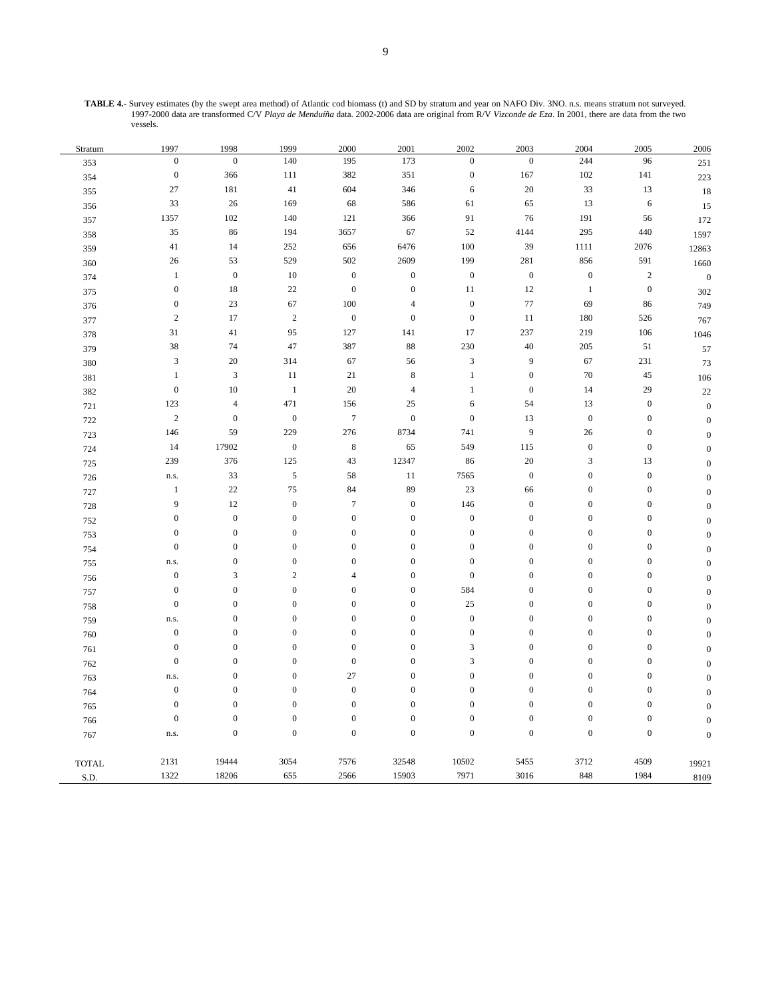9

**TABLE 4.-** Survey estimates (by the swept area method) of Atlantic cod biomass (t) and SD by stratum and year on NAFO Div. 3NO. n.s. means stratum not surveyed. 1997-2000 data are transformed C/V *Playa de Menduíña* data. 2002-2006 data are original from R/V *Vizconde de Eza*. In 2001, there are data from the two vessels.

| Stratum                       | 1997             | 1998                        | 1999             | 2000             | 2001             | 2002                        | 2003             | 2004             | 2005             | 2006             |
|-------------------------------|------------------|-----------------------------|------------------|------------------|------------------|-----------------------------|------------------|------------------|------------------|------------------|
| 353                           | $\boldsymbol{0}$ | $\boldsymbol{0}$            | 140              | 195              | 173              | $\boldsymbol{0}$            | $\boldsymbol{0}$ | 244              | 96               | $251\,$          |
| 354                           | $\boldsymbol{0}$ | 366                         | 111              | 382              | 351              | $\boldsymbol{0}$            | 167              | $102\,$          | 141              | 223              |
| 355                           | 27               | 181                         | 41               | 604              | 346              | 6                           | $20\,$           | 33               | 13               | 18               |
| 356                           | 33               | 26                          | 169              | 68               | 586              | 61                          | 65               | 13               | $\sqrt{6}$       | 15               |
| 357                           | 1357             | 102                         | 140              | 121              | 366              | 91                          | 76               | 191              | 56               | 172              |
| 358                           | $35\,$           | 86                          | 194              | 3657             | 67               | 52                          | 4144             | 295              | 440              | 1597             |
| 359                           | 41               | 14                          | 252              | 656              | 6476             | 100                         | 39               | 1111             | 2076             | 12863            |
| 360                           | 26               | 53                          | 529              | 502              | 2609             | 199                         | 281              | 856              | 591              | 1660             |
| 374                           | $\mathbf{1}$     | $\boldsymbol{0}$            | 10               | $\boldsymbol{0}$ | $\boldsymbol{0}$ | $\boldsymbol{0}$            | $\boldsymbol{0}$ | $\boldsymbol{0}$ | $\sqrt{2}$       | $\boldsymbol{0}$ |
| 375                           | $\boldsymbol{0}$ | 18                          | $22\,$           | $\overline{0}$   | $\boldsymbol{0}$ | $11\,$                      | $12\,$           | $\mathbf{1}$     | $\boldsymbol{0}$ | 302              |
| 376                           | $\boldsymbol{0}$ | 23                          | 67               | 100              | $\overline{4}$   | $\boldsymbol{0}$            | 77               | 69               | 86               | 749              |
| 377                           | $\sqrt{2}$       | 17                          | $\sqrt{2}$       | $\boldsymbol{0}$ | $\boldsymbol{0}$ | $\boldsymbol{0}$            | 11               | 180              | 526              | 767              |
| 378                           | 31               | $41\,$                      | 95               | 127              | 141              | 17                          | 237              | 219              | 106              | 1046             |
| 379                           | $38\,$           | 74                          | 47               | 387              | 88               | 230                         | $40\,$           | $205\,$          | 51               | 57               |
| 380                           | 3                | $20\,$                      | 314              | 67               | 56               | $\mathfrak z$               | 9                | 67               | 231              | 73               |
| 381                           | $\mathbf{1}$     | $\ensuremath{\mathfrak{Z}}$ | 11               | 21               | $\,$ 8 $\,$      | $\mathbf{1}$                | $\boldsymbol{0}$ | $70\,$           | 45               | 106              |
| 382                           | $\boldsymbol{0}$ | $10\,$                      | $\mathbf{1}$     | 20               | $\overline{4}$   | $\,1$                       | $\boldsymbol{0}$ | 14               | 29               | 22               |
| 721                           | 123              | $\sqrt{4}$                  | 471              | 156              | 25               | 6                           | 54               | 13               | $\boldsymbol{0}$ | $\boldsymbol{0}$ |
| 722                           | $\sqrt{2}$       | $\boldsymbol{0}$            | $\boldsymbol{0}$ | $\boldsymbol{7}$ | $\boldsymbol{0}$ | $\boldsymbol{0}$            | 13               | $\boldsymbol{0}$ | $\boldsymbol{0}$ | $\boldsymbol{0}$ |
| 723                           | 146              | 59                          | 229              | 276              | 8734             | 741                         | $\boldsymbol{9}$ | 26               | $\boldsymbol{0}$ | $\overline{0}$   |
| 724                           | 14               | 17902                       | $\boldsymbol{0}$ | $\,8\,$          | 65               | 549                         | 115              | $\boldsymbol{0}$ | $\boldsymbol{0}$ | $\boldsymbol{0}$ |
| 725                           | 239              | 376                         | 125              | 43               | 12347            | 86                          | $20\,$           | $\mathfrak{Z}$   | 13               | $\mathbf{0}$     |
| 726                           | n.s.             | 33                          | $\sqrt{5}$       | 58               | $11\,$           | 7565                        | $\boldsymbol{0}$ | $\boldsymbol{0}$ | $\boldsymbol{0}$ | $\overline{0}$   |
| 727                           | $\mathbf{1}$     | $22\,$                      | 75               | 84               | 89               | 23                          | 66               | $\boldsymbol{0}$ | $\boldsymbol{0}$ | $\boldsymbol{0}$ |
| 728                           | 9                | 12                          | $\boldsymbol{0}$ | $\overline{7}$   | $\boldsymbol{0}$ | 146                         | $\boldsymbol{0}$ | $\boldsymbol{0}$ | $\boldsymbol{0}$ | $\boldsymbol{0}$ |
| 752                           | $\boldsymbol{0}$ | $\boldsymbol{0}$            | $\mathbf{0}$     | $\boldsymbol{0}$ | $\boldsymbol{0}$ | $\boldsymbol{0}$            | $\boldsymbol{0}$ | $\boldsymbol{0}$ | $\boldsymbol{0}$ | $\overline{0}$   |
| 753                           | $\boldsymbol{0}$ | $\boldsymbol{0}$            | $\boldsymbol{0}$ | $\boldsymbol{0}$ | $\boldsymbol{0}$ | $\boldsymbol{0}$            | $\boldsymbol{0}$ | $\boldsymbol{0}$ | $\boldsymbol{0}$ | $\boldsymbol{0}$ |
| 754                           | $\overline{0}$   | $\boldsymbol{0}$            | $\boldsymbol{0}$ | $\boldsymbol{0}$ | $\boldsymbol{0}$ | $\boldsymbol{0}$            | $\boldsymbol{0}$ | $\boldsymbol{0}$ | $\boldsymbol{0}$ | $\overline{0}$   |
| 755                           | n.s.             | $\boldsymbol{0}$            | $\mathbf{0}$     | $\boldsymbol{0}$ | $\boldsymbol{0}$ | $\boldsymbol{0}$            | $\boldsymbol{0}$ | $\boldsymbol{0}$ | $\boldsymbol{0}$ | $\mathbf{0}$     |
| 756                           | $\boldsymbol{0}$ | $\mathfrak{Z}$              | $\sqrt{2}$       | $\overline{4}$   | $\boldsymbol{0}$ | $\boldsymbol{0}$            | $\boldsymbol{0}$ | $\boldsymbol{0}$ | $\boldsymbol{0}$ | $\boldsymbol{0}$ |
| 757                           | $\boldsymbol{0}$ | $\boldsymbol{0}$            | $\boldsymbol{0}$ | $\boldsymbol{0}$ | $\boldsymbol{0}$ | 584                         | $\boldsymbol{0}$ | $\boldsymbol{0}$ | $\boldsymbol{0}$ | $\overline{0}$   |
| 758                           | $\boldsymbol{0}$ | $\boldsymbol{0}$            | $\mathbf{0}$     | $\boldsymbol{0}$ | $\boldsymbol{0}$ | 25                          | $\boldsymbol{0}$ | $\boldsymbol{0}$ | $\boldsymbol{0}$ | $\mathbf{0}$     |
| 759                           | n.s.             | $\boldsymbol{0}$            | $\boldsymbol{0}$ | $\boldsymbol{0}$ | $\mathbf{0}$     | $\boldsymbol{0}$            | $\boldsymbol{0}$ | $\boldsymbol{0}$ | $\boldsymbol{0}$ | $\overline{0}$   |
| 760                           | $\boldsymbol{0}$ | $\boldsymbol{0}$            | $\boldsymbol{0}$ | $\boldsymbol{0}$ | $\boldsymbol{0}$ | $\boldsymbol{0}$            | $\boldsymbol{0}$ | $\boldsymbol{0}$ | $\boldsymbol{0}$ | $\overline{0}$   |
| 761                           | $\boldsymbol{0}$ | $\boldsymbol{0}$            | $\mathbf{0}$     | $\boldsymbol{0}$ | $\boldsymbol{0}$ | $\ensuremath{\mathfrak{Z}}$ | $\boldsymbol{0}$ | $\boldsymbol{0}$ | $\boldsymbol{0}$ | $\boldsymbol{0}$ |
| 762                           | $\boldsymbol{0}$ | $\boldsymbol{0}$            | $\mathbf{0}$     | $\boldsymbol{0}$ | $\overline{0}$   | $\mathfrak{Z}$              | $\boldsymbol{0}$ | $\boldsymbol{0}$ | $\boldsymbol{0}$ | $\boldsymbol{0}$ |
| 763                           | n.s.             | $\boldsymbol{0}$            | $\boldsymbol{0}$ | 27               | $\boldsymbol{0}$ | $\boldsymbol{0}$            | $\boldsymbol{0}$ | $\boldsymbol{0}$ | $\boldsymbol{0}$ | $\overline{0}$   |
| 764                           | $\boldsymbol{0}$ | $\boldsymbol{0}$            | $\boldsymbol{0}$ | $\boldsymbol{0}$ | $\mathbf{0}$     | $\boldsymbol{0}$            | $\boldsymbol{0}$ | $\boldsymbol{0}$ | $\boldsymbol{0}$ | $\overline{0}$   |
| 765                           | $\mathbf{0}$     | $\boldsymbol{0}$            | $\mathbf{0}$     | $\mathbf{0}$     | $\overline{0}$   | $\boldsymbol{0}$            | $\boldsymbol{0}$ | $\boldsymbol{0}$ | $\boldsymbol{0}$ | $\mathbf{0}$     |
| 766                           | $\boldsymbol{0}$ | $\boldsymbol{0}$            | $\boldsymbol{0}$ | $\boldsymbol{0}$ | $\boldsymbol{0}$ | $\boldsymbol{0}$            | $\boldsymbol{0}$ | $\boldsymbol{0}$ | $\boldsymbol{0}$ | $\overline{0}$   |
| 767                           | n.s.             | $\boldsymbol{0}$            | $\boldsymbol{0}$ | $\boldsymbol{0}$ | $\boldsymbol{0}$ | $\boldsymbol{0}$            | $\boldsymbol{0}$ | $\boldsymbol{0}$ | $\boldsymbol{0}$ | $\boldsymbol{0}$ |
| $\ensuremath{\mathsf{TOTAL}}$ | 2131             | 19444                       | 3054             | 7576             | 32548            | 10502                       | 5455             | 3712             | 4509             | 19921            |
| S.D.                          | 1322             | 18206                       | 655              | 2566             | 15903            | 7971                        | 3016             | 848              | 1984             | 8109             |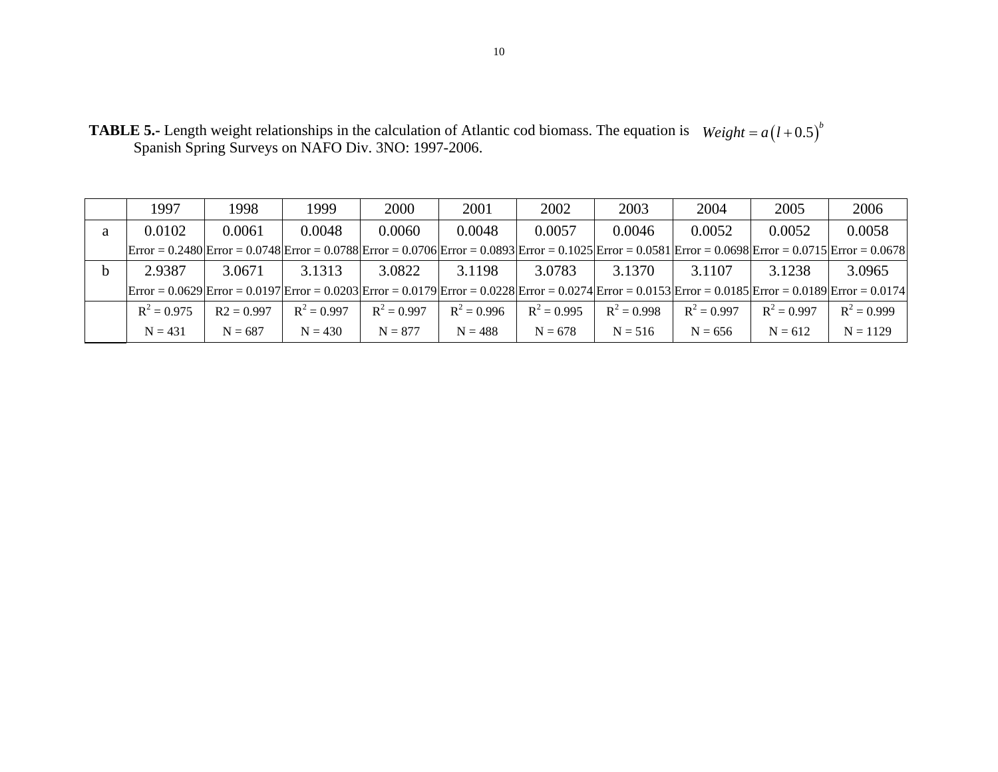|   | 1997          | 1998         | 1999          | 2000          | 2001          | 2002          | 2003          | 2004          | 2005                                                                                                                                                                                                                                                                                                                                         | 2006          |
|---|---------------|--------------|---------------|---------------|---------------|---------------|---------------|---------------|----------------------------------------------------------------------------------------------------------------------------------------------------------------------------------------------------------------------------------------------------------------------------------------------------------------------------------------------|---------------|
| a | 0.0102        | 0.0061       | 0.0048        | 0.0060        | 0.0048        | 0.0057        | 0.0046        | 0.0052        | 0.0052                                                                                                                                                                                                                                                                                                                                       | 0.0058        |
|   |               |              |               |               |               |               |               |               | $ \text{Error} = 0.2480 \text{Error} = 0.0748 \text{Error} = 0.0788 \text{Error} = 0.0706 \text{Error} = 0.0893 \text{Error} = 0.1025 \text{Error} = 0.0581 \text{Error} = 0.0698 \text{Error} = 0.0715 \text{Error} = 0.0678$                                                                                                               |               |
|   | 2.9387        | 3.0671       | 3.1313        | 3.0822        | 3.1198        | 3.0783        | 3.1370        | 3.1107        | 3.1238                                                                                                                                                                                                                                                                                                                                       | 3.0965        |
|   |               |              |               |               |               |               |               |               | $ Error = 0.0629 Error = 0.0197 Error = 0.0203 Error = 0.0179 Error = 0.0228 Error = 0.0274 Error = 0.0153 Error = 0.0185 Error = 0.0189 Error = 0.0174 Error = 0.0174 Error = 0.0174 Error = 0.0174 Error = 0.0174 Error = 0.0174 Error = 0.0174 Error = 0.0174 Error = 0.0174 Error = 0.0174 Error = 0.0174 Error = 0.0174 Error = 0.0174$ |               |
|   | $R^2 = 0.975$ | $R2 = 0.997$ | $R^2 = 0.997$ | $R^2 = 0.997$ | $R^2 = 0.996$ | $R^2 = 0.995$ | $R^2 = 0.998$ | $R^2 = 0.997$ | $R^2 = 0.997$                                                                                                                                                                                                                                                                                                                                | $R^2 = 0.999$ |
|   | $N = 431$     | $N = 687$    | $N = 430$     | $N = 877$     | $N = 488$     | $N = 678$     | $N = 516$     | $N = 656$     | $N = 612$                                                                                                                                                                                                                                                                                                                                    | $N = 1129$    |

**TABLE 5.-** Length weight relationships in the calculation of Atlantic cod biomass. The equation is  $Weight = a(1+0.5)^{b}$ Spanish Spring Surveys on NAFO Div. 3NO: 1997-2006.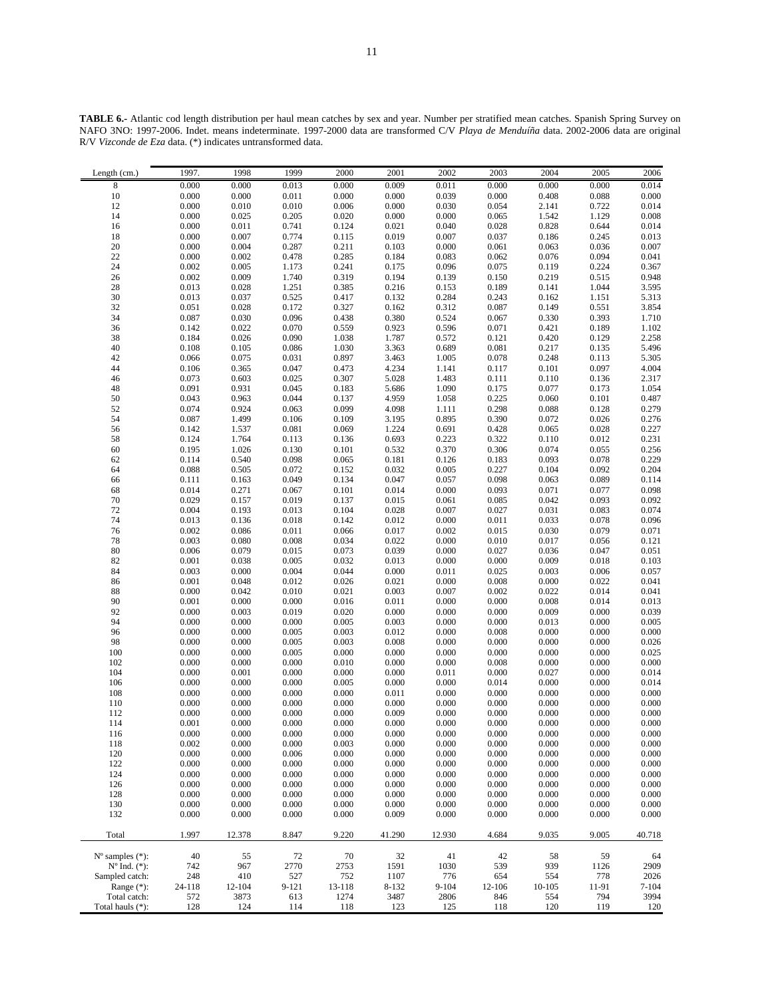**TABLE 6.-** Atlantic cod length distribution per haul mean catches by sex and year. Number per stratified mean catches. Spanish Spring Survey on NAFO 3NO: 1997-2006. Indet. means indeterminate. 1997-2000 data are transformed C/V *Playa de Menduíña* data. 2002-2006 data are original R/V *Vizconde de Eza* data. (\*) indicates untransformed data.

| Length $(cm.)$              | 1997.          | 1998           | 1999           | 2000           | 2001           | 2002           | 2003                  | 2004           | 2005           | 2006                                          |
|-----------------------------|----------------|----------------|----------------|----------------|----------------|----------------|-----------------------|----------------|----------------|-----------------------------------------------|
| 8                           | 0.000          | 0.000          | 0.013          | 0.000          | 0.009          | 0.011          | 0.000                 | 0.000          | 0.000          | 0.014                                         |
| $10\,$                      | 0.000          | 0.000          | 0.011          | 0.000          | 0.000          | 0.039          | 0.000                 | 0.408          | 0.088          | 0.000                                         |
| 12                          | 0.000          | 0.010          | 0.010          | 0.006          | 0.000          | 0.030          | 0.054                 | 2.141          | 0.722          | 0.014                                         |
| 14                          | 0.000          | 0.025          | 0.205          | 0.020          | 0.000          | 0.000          | 0.065                 | 1.542          | 1.129          | 0.008                                         |
| 16                          | 0.000          | 0.011          | 0.741          | 0.124          | 0.021          | 0.040          | 0.028                 | 0.828          | 0.644          | 0.014                                         |
| 18                          | 0.000          | 0.007          | 0.774          | 0.115          | 0.019          | 0.007          | 0.037                 | 0.186          | 0.245          | $\begin{array}{c} 0.013 \\ 0.007 \end{array}$ |
| 20                          | 0.000          | 0.004          | 0.287          | 0.211          | 0.103          | 0.000          | 0.061                 | 0.063          | 0.036          |                                               |
| $22\,$                      | 0.000          | 0.002          | 0.478          | 0.285          | 0.184          | 0.083          | 0.062                 | 0.076          | 0.094          | 0.041                                         |
| 24                          | 0.002          | 0.005          | 1.173          | 0.241          | 0.175          | 0.096          | 0.075                 | 0.119          | 0.224          | 0.367                                         |
| 26                          | 0.002          | 0.009          | 1.740          | 0.319          | 0.194          | 0.139          | 0.150                 | 0.219          | 0.515          | 0.948                                         |
| $\sqrt{28}$                 | 0.013          | 0.028          | 1.251          | 0.385          | 0.216          | 0.153          | 0.189                 | 0.141          | 1.044          | 3.595                                         |
| 30                          | 0.013          | 0.037          | 0.525          | 0.417          | 0.132          | 0.284          | 0.243                 | 0.162          | 1.151          | 5.313                                         |
| 32<br>34                    | 0.051<br>0.087 | 0.028<br>0.030 | 0.172<br>0.096 | 0.327<br>0.438 | 0.162<br>0.380 | 0.312<br>0.524 | 0.087                 | 0.149<br>0.330 | 0.551<br>0.393 | 3.854<br>1.710                                |
| 36                          | 0.142          | 0.022          | 0.070          | 0.559          | 0.923          | 0.596          | $0.067$<br>$0.071$    | 0.421          | 0.189          | 1.102                                         |
| 38                          | 0.184          | 0.026          | 0.090          | 1.038          | 1.787          | 0.572          | 0.121                 | 0.420          | 0.129          | 2.258                                         |
| 40                          | 0.108          | 0.105          | 0.086          | 1.030          | 3.363          | 0.689          |                       | 0.217          | 0.135          | 5.496                                         |
| 42                          | 0.066          | 0.075          | 0.031          | 0.897          | 3.463          | 1.005          | $\frac{0.081}{0.078}$ | 0.248          | 0.113          | 5.305                                         |
| 44                          | 0.106          | 0.365          | 0.047          | 0.473          | 4.234          | 1.141          | 0.117                 | 0.101          | 0.097          | 4.004                                         |
| 46                          | 0.073          | 0.603          | 0.025          | 0.307          | 5.028          | 1.483          | 0.111                 | 0.110          | 0.136          | 2.317                                         |
| 48                          | 0.091          | 0.931          | 0.045          | 0.183          | 5.686          | 1.090          | 0.175                 | 0.077          | 0.173          | 1.054                                         |
| 50                          | 0.043          | 0.963          | 0.044          | 0.137          | 4.959          | 1.058          |                       | 0.060          | 0.101          | 0.487                                         |
| 52                          | 0.074          | 0.924          | 0.063          | 0.099          | 4.098          | 1.111          | $0.225$<br>$0.298$    | 0.088          | 0.128          | 0.279                                         |
| 54                          | 0.087          | 1.499          | 0.106          | 0.109          | 3.195          | 0.895          | 0.390                 | 0.072          | 0.026          | 0.276                                         |
| 56                          | 0.142          | 1.537          | 0.081          | 0.069          | 1.224          | 0.691          | $0.428$<br>$0.322$    | 0.065          | 0.028          | 0.227                                         |
| 58                          | 0.124          | 1.764          | 0.113          | 0.136          | 0.693          | 0.223          |                       | 0.110          | 0.012          | 0.231                                         |
| 60                          | 0.195          | 1.026          | 0.130          | 0.101          | 0.532          | 0.370          | 0.306                 | 0.074          | 0.055          | 0.256                                         |
| 62                          | 0.114          | 0.540          | 0.098          | 0.065          | 0.181          | 0.126          | $0.183$<br>$0.227$    | 0.093          | 0.078          | 0.229                                         |
| 64                          | 0.088          | 0.505          | 0.072          | 0.152          | 0.032          | 0.005          |                       | 0.104          | 0.092          | 0.204                                         |
| 66                          | 0.111          | 0.163          | 0.049          | 0.134          | 0.047          | 0.057          | 0.098                 | 0.063          | 0.089          | 0.114                                         |
| 68                          | 0.014          | 0.271          | 0.067          | 0.101          | 0.014          | 0.000          | 0.093                 | 0.071          | 0.077          | 0.098                                         |
| $70\,$<br>72                | 0.029          | 0.157<br>0.193 | 0.019<br>0.013 | 0.137<br>0.104 | 0.015          | 0.061<br>0.007 | 0.085<br>0.027        | 0.042          | 0.093          | 0.092<br>0.074                                |
| 74                          | 0.004<br>0.013 | 0.136          | 0.018          | 0.142          | 0.028<br>0.012 | 0.000          | 0.011                 | 0.031<br>0.033 | 0.083<br>0.078 | 0.096                                         |
| 76                          | 0.002          | 0.086          | 0.011          | 0.066          | 0.017          | 0.002          | 0.015                 | 0.030          | 0.079          | 0.071                                         |
| $78\,$                      | 0.003          | 0.080          | 0.008          | 0.034          | 0.022          | 0.000          | 0.010                 | 0.017          | 0.056          |                                               |
| $\bf 80$                    | 0.006          | 0.079          | 0.015          | 0.073          | 0.039          | 0.000          | 0.027                 | 0.036          | 0.047          | $0.121$<br>$0.051$                            |
| 82                          | 0.001          | 0.038          | 0.005          | 0.032          | 0.013          | 0.000          | 0.000                 | 0.009          | 0.018          | 0.103                                         |
| 84                          | 0.003          | $0.000\,$      | 0.004          | 0.044          | 0.000          | 0.011          | 0.025                 | 0.003          | 0.006          | 0.057                                         |
| 86                          | 0.001          | 0.048          | 0.012          | 0.026          | 0.021          | 0.000          | 0.008                 | 0.000          | 0.022          | 0.041                                         |
| $88\,$                      | 0.000          | 0.042          | 0.010          | 0.021          | 0.003          | 0.007          | 0.002                 | 0.022          | 0.014          | 0.041                                         |
| 90                          | 0.001          | 0.000          | 0.000          | 0.016          | 0.011          | 0.000          | 0.000                 | 0.008          | 0.014          | 0.013                                         |
| 92                          | 0.000          | 0.003          | 0.019          | 0.020          | 0.000          | 0.000          | 0.000                 | 0.009          | 0.000          | 0.039                                         |
| 94                          | 0.000          | 0.000          | 0.000          | 0.005          | 0.003          | 0.000          | 0.000                 | 0.013          | 0.000          | 0.005                                         |
| 96                          | 0.000          | 0.000          | 0.005          | 0.003          | 0.012          | 0.000          | 0.008                 | 0.000          | 0.000          | 0.000                                         |
| 98                          | 0.000          | 0.000          | 0.005          | 0.003          | 0.008          | 0.000          | 0.000                 | 0.000          | 0.000          | 0.026                                         |
| 100                         | 0.000          | 0.000          | 0.005          | 0.000          | 0.000          | 0.000          | 0.000                 | 0.000          | 0.000          | 0.025                                         |
| 102                         | 0.000          | 0.000          | 0.000          | 0.010          | 0.000          | 0.000          | 0.008                 | 0.000          | 0.000          | 0.000                                         |
| 104<br>106                  | 0.000<br>0.000 | 0.001<br>0.000 | 0.000<br>0.000 | 0.000<br>0.005 | 0.000<br>0.000 | 0.011<br>0.000 | 0.000<br>0.014        | 0.027<br>0.000 | 0.000<br>0.000 | 0.014<br>0.014                                |
| 108                         | 0.000          | 0.000          | 0.000          | 0.000          | 0.011          | 0.000          | 0.000                 | 0.000          | 0.000          | 0.000                                         |
| 110                         | 0.000          | 0.000          | 0.000          | 0.000          | 0.000          | 0.000          | 0.000                 | 0.000          | 0.000          | 0.000                                         |
| 112                         | 0.000          | 0.000          | 0.000          | 0.000          | 0.009          | 0.000          | 0.000                 | 0.000          | 0.000          | 0.000                                         |
| 114                         | 0.001          | 0.000          | 0.000          | 0.000          | 0.000          | 0.000          | 0.000                 | 0.000          | 0.000          | 0.000                                         |
| 116                         | 0.000          | 0.000          | 0.000          | 0.000          | 0.000          | 0.000          | 0.000                 | 0.000          | 0.000          | 0.000                                         |
| 118                         | 0.002          | 0.000          | 0.000          | 0.003          | 0.000          | 0.000          | 0.000                 | 0.000          | 0.000          | 0.000                                         |
| 120                         | 0.000          | 0.000          | 0.006          | 0.000          | 0.000          | 0.000          | 0.000                 | 0.000          | 0.000          | 0.000                                         |
| 122                         | 0.000          | 0.000          | 0.000          | 0.000          | 0.000          | 0.000          | 0.000                 | 0.000          | 0.000          | 0.000                                         |
| 124                         | 0.000          | 0.000          | 0.000          | 0.000          | 0.000          | 0.000          | 0.000                 | 0.000          | 0.000          | 0.000                                         |
| 126                         | 0.000          | 0.000          | 0.000          | 0.000          | 0.000          | 0.000          | 0.000                 | 0.000          | 0.000          | 0.000                                         |
| 128                         | 0.000          | 0.000          | 0.000          | 0.000          | 0.000          | 0.000          | 0.000                 | 0.000          | 0.000          | 0.000                                         |
| 130                         | 0.000          | 0.000          | 0.000          | 0.000          | 0.000          | 0.000          | 0.000                 | 0.000          | 0.000          | 0.000                                         |
| 132                         | 0.000          | 0.000          | 0.000          | 0.000          | 0.009          | 0.000          | 0.000                 | 0.000          | 0.000          | 0.000                                         |
|                             |                |                |                |                |                |                |                       |                |                |                                               |
| Total                       | 1.997          | 12.378         | 8.847          | 9.220          | 41.290         | 12.930         | 4.684                 | 9.035          | 9.005          | 40.718                                        |
| $N^{\circ}$ samples $(*)$ : | 40             | 55             | 72             | 70             | 32             | 41             | 42                    | 58             | 59             | 64                                            |
| $No$ Ind. $(*)$ :           | 742            | 967            | 2770           | 2753           | 1591           | 1030           | 539                   | 939            | 1126           | 2909                                          |
| Sampled catch:              | 248            | 410            | 527            | 752            | 1107           | 776            | 654                   | 554            | 778            | 2026                                          |
| Range $(*)$ :               | 24-118         | 12-104         | 9-121          | 13-118         | 8-132          | $9 - 104$      | 12-106                | 10-105         | 11-91          | $7 - 104$                                     |
| Total catch:                | 572            | 3873           | 613            | 1274           | 3487           | 2806           | 846                   | 554            | 794            | 3994                                          |
| Total hauls (*):            | 128            | 124            | 114            | 118            | 123            | 125            | 118                   | 120            | 119            | 120                                           |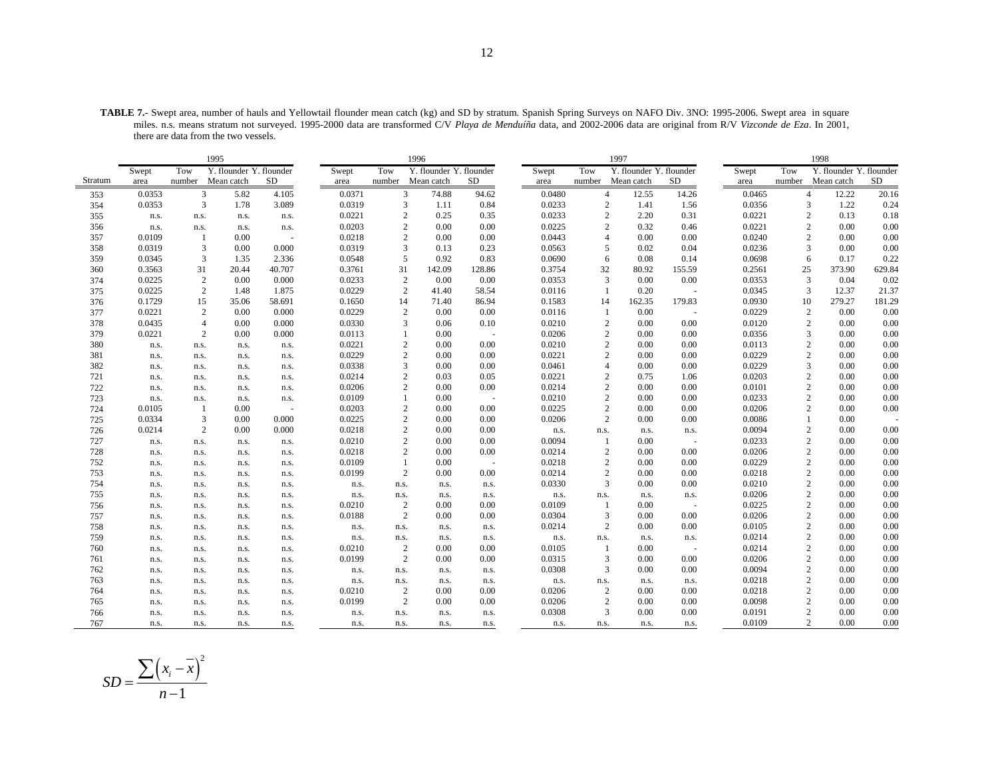**TABLE 7.-** Swept area, number of hauls and Yellowtail flounder mean catch (kg) and SD by stratum. Spanish Spring Surveys on NAFO Div. 3NO: 1995-2006. Swept area in square miles. n.s. means stratum not surveyed. 1995-2000 data are transformed C/V *Playa de Menduíña* data, and 2002-2006 data are original from R/V *Vizconde de Eza*. In 2001, there are data from the two vessels.

|         |        |                | 1995                    |        |        |                | 1996                    |            |        |                | 1997                    |        |        |                | 1998                    |        |
|---------|--------|----------------|-------------------------|--------|--------|----------------|-------------------------|------------|--------|----------------|-------------------------|--------|--------|----------------|-------------------------|--------|
|         | Swept  | Tow            | Y. flounder Y. flounder |        | Swept  | Tow            | Y. flounder Y. flounder |            | Swept  | Tow            | Y. flounder Y. flounder |        | Swept  | Tow            | Y. flounder Y. flounder |        |
| Stratum | area   | number         | Mean catch              | SD     | area   |                | number Mean catch       | SD         | area   |                | number Mean catch       | SD     | area   |                | number Mean catch       | SD     |
| 353     | 0.0353 |                | 3<br>5.82               | 4.105  | 0.0371 | 3              | 74.88                   | 94.62      | 0.0480 |                | $\overline{4}$<br>12.55 | 14.26  | 0.0465 |                | $\overline{4}$<br>12.22 | 20.16  |
| 354     | 0.0353 | 3              | 1.78                    | 3.089  | 0.0319 | 3              | 1.11                    | 0.84       | 0.0233 |                | 2<br>1.41               | 1.56   | 0.0356 |                | 1.22<br>3               | 0.24   |
| 355     | n.s.   | n.s.           | n.s.                    | n.s.   | 0.0221 | $\overline{c}$ | 0.25                    | 0.35       | 0.0233 |                | $\overline{c}$<br>2.20  | 0.31   | 0.0221 |                | 0.13<br>$\overline{c}$  | 0.18   |
| 356     | n.s.   | n.s.           | n.s.                    | n.s.   | 0.0203 | $\overline{c}$ | 0.00                    | 0.00       | 0.0225 |                | 2<br>0.32               | 0.46   | 0.0221 |                | $\overline{c}$<br>0.00  | 0.00   |
| 357     | 0.0109 | $\mathbf{1}$   | 0.00                    |        | 0.0218 | $\overline{2}$ | 0.00                    | 0.00       | 0.0443 |                | $\overline{4}$<br>0.00  | 0.00   | 0.0240 |                | 2<br>0.00               | 0.00   |
| 358     | 0.0319 | 3              | 0.00                    | 0.000  | 0.0319 | 3              | 0.13                    | 0.23       | 0.0563 |                | 5<br>0.02               | 0.04   | 0.0236 |                | 0.00<br>3               | 0.00   |
| 359     | 0.0345 | 3              | 1.35                    | 2.336  | 0.0548 | 5              | 0.92                    | 0.83       | 0.0690 |                | 6<br>0.08               | 0.14   | 0.0698 | 6              | 0.17                    | 0.22   |
| 360     | 0.3563 | 31             | 20.44                   | 40.707 | 0.3761 | 31             | 142.09                  | 128.86     | 0.3754 | 32             | 80.92                   | 155.59 | 0.2561 | 25             | 373.90                  | 629.84 |
| 374     | 0.0225 | 2              | 0.00                    | 0.000  | 0.0233 | 2              | 0.00                    | 0.00       | 0.0353 |                | 3<br>0.00               | 0.00   | 0.0353 | 3              | 0.04                    | 0.02   |
| 375     | 0.0225 | $\mathbf{2}$   | 1.48                    | 1.875  | 0.0229 | 2              | 41.40                   | 58.54      | 0.0116 | $\mathbf{1}$   | 0.20                    | $\sim$ | 0.0345 | 3              | 12.37                   | 21.37  |
| 376     | 0.1729 | 15             | 35.06                   | 58.691 | 0.1650 | 14             | 71.40                   | 86.94      | 0.1583 | 14             | 162.35                  | 179.83 | 0.0930 | 10             | 279.27                  | 181.29 |
| 377     | 0.0221 | 2              | 0.00                    | 0.000  | 0.0229 | $\overline{c}$ | 0.00                    | 0.00       | 0.0116 | -1             | 0.00                    |        | 0.0229 | $\overline{c}$ | 0.00                    | 0.00   |
| 378     | 0.0435 | $\overline{4}$ | 0.00                    | 0.000  | 0.0330 | 3              | 0.06                    | 0.10       | 0.0210 |                | $\overline{2}$<br>0.00  | 0.00   | 0.0120 |                | $\overline{c}$<br>0.00  | 0.00   |
| 379     | 0.0221 | $\overline{c}$ | 0.00                    | 0.000  | 0.0113 | $\mathbf{1}$   | 0.00                    | $\sim$     | 0.0206 |                | $\overline{c}$<br>0.00  | 0.00   | 0.0356 | 3              | 0.00                    | 0.00   |
| 380     | n.s.   | n.s.           | n.s.                    | n.s.   | 0.0221 | $\overline{c}$ | 0.00                    | 0.00       | 0.0210 |                | $\overline{c}$<br>0.00  | 0.00   | 0.0113 |                | $\overline{c}$<br>0.00  | 0.00   |
| 381     | n.s.   | n.s.           | n.s.                    | n.s.   | 0.0229 | $\overline{2}$ | 0.00                    | 0.00       | 0.0221 |                | $\overline{c}$<br>0.00  | 0.00   | 0.0229 |                | $\overline{c}$<br>0.00  | 0.00   |
| 382     | n.s.   | n.s.           | n.s.                    | n.s.   | 0.0338 | 3              | 0.00                    | 0.00       | 0.0461 |                | $\overline{4}$<br>0.00  | 0.00   | 0.0229 | 3              | 0.00                    | 0.00   |
| 721     | n.s.   | n.s.           | n.s.                    | n.s.   | 0.0214 | $\overline{c}$ | 0.03                    | 0.05       | 0.0221 |                | $\overline{2}$<br>0.75  | 1.06   | 0.0203 |                | 0.00<br>2               | 0.00   |
| 722     | n.s.   | n.s.           | n.s.                    | n.s.   | 0.0206 | $\overline{c}$ | 0.00                    | 0.00       | 0.0214 |                | $\sqrt{2}$<br>0.00      | 0.00   | 0.0101 |                | $\overline{c}$<br>0.00  | 0.00   |
| 723     | n.s.   | n.s.           | n.s.                    | n.s.   | 0.0109 | -1             | 0.00                    | $\sim$ $-$ | 0.0210 |                | $\sqrt{2}$<br>0.00      | 0.00   | 0.0233 | $\overline{2}$ | 0.00                    | 0.00   |
| 724     | 0.0105 | -1             | 0.00                    | ÷.     | 0.0203 | $\overline{c}$ | 0.00                    | 0.00       | 0.0225 |                | $\overline{c}$<br>0.00  | 0.00   | 0.0206 |                | 0.00<br>2               | 0.00   |
| 725     | 0.0334 | 3              | 0.00                    | 0.000  | 0.0225 | $\sqrt{2}$     | 0.00                    | 0.00       | 0.0206 |                | $\overline{c}$<br>0.00  | 0.00   | 0.0086 | $\mathbf{1}$   | 0.00                    |        |
| 726     | 0.0214 | 2              | 0.00                    | 0.000  | 0.0218 | $\overline{2}$ | 0.00                    | 0.00       | n.s.   | n.s.           | n.s.                    | n.s.   | 0.0094 | $\overline{2}$ | 0.00                    | 0.00   |
| 727     | n.s.   | n.s.           | n.s.                    | n.s.   | 0.0210 | $\overline{c}$ | 0.00                    | 0.00       | 0.0094 | -1             | 0.00                    |        | 0.0233 |                | 0.00<br>$\overline{c}$  | 0.00   |
| 728     | n.s.   | n.s.           | n.s.                    | n.s.   | 0.0218 | $\overline{c}$ | 0.00                    | 0.00       | 0.0214 |                | $\overline{c}$<br>0.00  | 0.00   | 0.0206 |                | $\overline{c}$<br>0.00  | 0.00   |
| 752     | n.s.   | n.s.           | n.s.                    | n.s.   | 0.0109 | -1             | 0.00                    | $\sim$ $-$ | 0.0218 |                | $\overline{c}$<br>0.00  | 0.00   | 0.0229 | $\overline{2}$ | 0.00                    | 0.00   |
| 753     | n.s.   | n.s.           | n.s.                    | n.s.   | 0.0199 | 2              | 0.00                    | 0.00       | 0.0214 |                | $\overline{c}$<br>0.00  | 0.00   | 0.0218 |                | $\overline{c}$<br>0.00  | 0.00   |
| 754     | n.s.   | n.s.           | n.s.                    | n.s.   | n.s.   | n.s.           | n.s.                    | n.s.       | 0.0330 |                | 3<br>0.00               | 0.00   | 0.0210 |                | $\overline{c}$<br>0.00  | 0.00   |
| 755     | n.s.   | n.s.           | n.s.                    | n.s.   | n.s.   | n.s.           | n.s.                    | n.s.       | n.s.   | n.s.           | n.s.                    | n.s.   | 0.0206 | $\overline{2}$ | 0.00                    | 0.00   |
| 756     | n.s.   | n.s.           | n.s.                    | n.s.   | 0.0210 | 2              | 0.00                    | 0.00       | 0.0109 | -1             | 0.00                    |        | 0.0225 |                | 0.00<br>2               | 0.00   |
| 757     | n.s.   | n.s.           | n.s.                    | n.s.   | 0.0188 | 2              | 0.00                    | 0.00       | 0.0304 | $\overline{3}$ | 0.00                    | 0.00   | 0.0206 |                | $\overline{c}$<br>0.00  | 0.00   |
| 758     | n.s.   | n.s.           | n.s.                    | n.s.   | n.s.   | n.s.           | n.s.                    | n.s.       | 0.0214 | $\overline{c}$ | 0.00                    | 0.00   | 0.0105 | $\overline{2}$ | 0.00                    | 0.00   |
| 759     | n.s.   | n.s.           | n.s.                    | n.s.   | n.s.   | n.s.           | n.s.                    | n.s.       | n.s.   | n.s.           | n.s.                    | n.s.   | 0.0214 |                | 0.00<br>2               | 0.00   |
| 760     | n.s.   | n.s.           | n.s.                    | n.s.   | 0.0210 | $\overline{2}$ | 0.00                    | 0.00       | 0.0105 | $\overline{1}$ | 0.00                    | $\sim$ | 0.0214 |                | $\overline{c}$<br>0.00  | 0.00   |
| 761     | n.s.   | n.s.           | n.s.                    | n.s.   | 0.0199 | $\overline{2}$ | 0.00                    | 0.00       | 0.0315 | 3              | 0.00                    | 0.00   | 0.0206 | $\overline{2}$ | 0.00                    | 0.00   |
| 762     | n.s.   | n.s.           | n.s.                    | n.s.   | n.s.   | n.s.           | n.s.                    | n.s.       | 0.0308 | 3              | 0.00                    | 0.00   | 0.0094 |                | 0.00<br>$\overline{c}$  | 0.00   |
| 763     | n.s.   | n.s.           | n.s.                    | n.s.   | n.s.   | n.s.           | n.s.                    | n.s.       | n.s.   | n.s.           | n.s.                    | n.s.   | 0.0218 |                | $\overline{c}$<br>0.00  | 0.00   |
| 764     | n.s.   | n.s.           | n.s.                    | n.s.   | 0.0210 | $\overline{2}$ | 0.00                    | 0.00       | 0.0206 |                | 2<br>0.00               | 0.00   | 0.0218 |                | $\overline{c}$<br>0.00  | 0.00   |
| 765     | n.s.   | n.s.           | n.s.                    | n.s.   | 0.0199 | 2              | 0.00                    | 0.00       | 0.0206 | $\overline{c}$ | 0.00                    | 0.00   | 0.0098 |                | $\overline{c}$<br>0.00  | 0.00   |
| 766     | n.s.   | n.s.           | n.s.                    | n.s.   | n.s.   | n.s.           | n.s.                    | n.s.       | 0.0308 | $\overline{3}$ | 0.00                    | 0.00   | 0.0191 | $\overline{2}$ | 0.00                    | 0.00   |
| 767     | n.s.   | n.s.           | n.s.                    | n.s.   | n.s.   | n.s.           | n.s.                    | n.s.       | n.s.   | n.s.           | n.s.                    | n.s.   | 0.0109 |                | 2<br>0.00               | 0.00   |

$$
SD = \frac{\sum (x_i - \overline{x})^2}{n - 1}
$$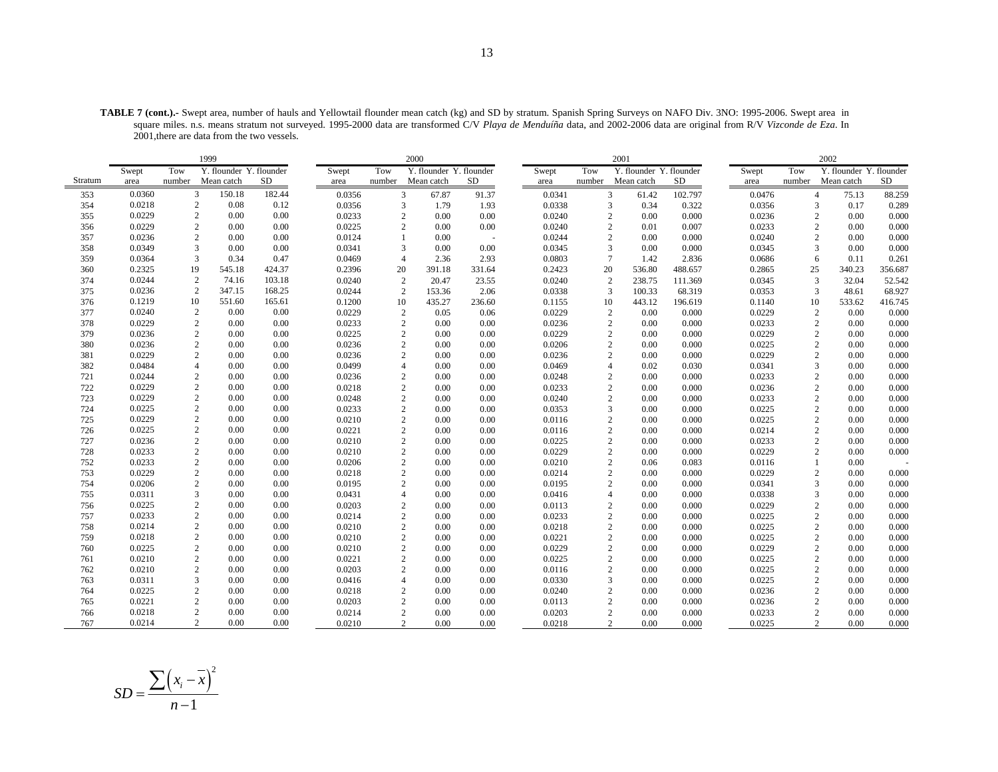**TABLE 7 (cont.).-** Swept area, number of hauls and Yellowtail flounder mean catch (kg) and SD by stratum. Spanish Spring Surveys on NAFO Div. 3NO: 1995-2006. Swept area in square miles. n.s. means stratum not surveyed. 1995-2000 data are transformed C/V *Playa de Menduíña* data, and 2002-2006 data are original from R/V *Vizconde de Eza*. In 2001,there are data from the two vessels.

|         |        |                  | 1999                    |        |        |                | 2000                    |        |        |                | 2001                    |         |        |                | 2002                    |         |
|---------|--------|------------------|-------------------------|--------|--------|----------------|-------------------------|--------|--------|----------------|-------------------------|---------|--------|----------------|-------------------------|---------|
|         | Swept  | Tow              | Y. flounder Y. flounder |        | Swept  | Tow            | Y. flounder Y. flounder |        | Swept  | Tow            | Y. flounder Y. flounder |         | Swept  | Tow            | Y. flounder Y. flounder |         |
| Stratum | area   | number           | Mean catch              | SD     | area   | number         | Mean catch              | SD     | area   | number         | Mean catch              | SD      | area   | number         | Mean catch              | SD      |
| 353     | 0.0360 | 3                | 150.18                  | 182.44 | 0.0356 | 3              | 67.87                   | 91.37  | 0.0341 |                | 3<br>61.42              | 102.797 | 0.0476 | $\overline{4}$ | 75.13                   | 88.259  |
| 354     | 0.0218 | 2                | 0.08                    | 0.12   | 0.0356 | 3              | 1.79                    | 1.93   | 0.0338 |                | 3<br>0.34               | 0.322   | 0.0356 | 3              | 0.17                    | 0.289   |
| 355     | 0.0229 | $\sqrt{2}$       | 0.00                    | 0.00   | 0.0233 | 2              | 0.00                    | 0.00   | 0.0240 | $\overline{2}$ | 0.00                    | 0.000   | 0.0236 | $\overline{2}$ | 0.00                    | 0.000   |
| 356     | 0.0229 | $\overline{c}$   | 0.00                    | 0.00   | 0.0225 | 2              | 0.00                    | 0.00   | 0.0240 | $\overline{c}$ | 0.01                    | 0.007   | 0.0233 | 2              | 0.00                    | 0.000   |
| 357     | 0.0236 | $\overline{c}$   | 0.00                    | 0.00   | 0.0124 |                | 0.00                    | $\sim$ | 0.0244 | $\overline{2}$ | 0.00                    | 0.000   | 0.0240 | $\overline{c}$ | 0.00                    | 0.000   |
| 358     | 0.0349 | 3                | 0.00                    | 0.00   | 0.0341 | 3              | 0.00                    | 0.00   | 0.0345 | 3              | 0.00                    | 0.000   | 0.0345 | 3              | 0.00                    | 0.000   |
| 359     | 0.0364 | 3                | 0.34                    | 0.47   | 0.0469 | $\overline{4}$ | 2.36                    | 2.93   | 0.0803 | $\tau$         | 1.42                    | 2.836   | 0.0686 | 6              | 0.11                    | 0.261   |
| 360     | 0.2325 | 19               | 545.18                  | 424.37 | 0.2396 | 20             | 391.18                  | 331.64 | 0.2423 | 20             | 536.80                  | 488.657 | 0.2865 | 25             | 340.23                  | 356.687 |
| 374     | 0.0244 | $\overline{c}$   | 74.16                   | 103.18 | 0.0240 | $\overline{2}$ | 20.47                   | 23.55  | 0.0240 | 2              | 238.75                  | 111.369 | 0.0345 | 3              | 32.04                   | 52.542  |
| 375     | 0.0236 | 2                | 347.15                  | 168.25 | 0.0244 | 2              | 153.36                  | 2.06   | 0.0338 | 3              | 100.33                  | 68.319  | 0.0353 | 3              | 48.61                   | 68.927  |
| 376     | 0.1219 | 10               | 551.60                  | 165.61 | 0.1200 | 10             | 435.27                  | 236.60 | 0.1155 | 10             | 443.12                  | 196.619 | 0.1140 | 10             | 533.62                  | 416.745 |
| 377     | 0.0240 | $\overline{c}$   | 0.00                    | 0.00   | 0.0229 | $\overline{c}$ | 0.05                    | 0.06   | 0.0229 | 2              | 0.00                    | 0.000   | 0.0229 | $\overline{c}$ | 0.00                    | 0.000   |
| 378     | 0.0229 | 2                | 0.00                    | 0.00   | 0.0233 | $\overline{2}$ | 0.00                    | 0.00   | 0.0236 | $\overline{2}$ | 0.00                    | 0.000   | 0.0233 | $\overline{2}$ | 0.00                    | 0.000   |
| 379     | 0.0236 | $\overline{c}$   | 0.00                    | 0.00   | 0.0225 | $\overline{2}$ | 0.00                    | 0.00   | 0.0229 | $\overline{2}$ | 0.00                    | 0.000   | 0.0229 | $\overline{2}$ | 0.00                    | 0.000   |
| 380     | 0.0236 | $\overline{c}$   | 0.00                    | 0.00   | 0.0236 | 2              | 0.00                    | 0.00   | 0.0206 | $\overline{2}$ | 0.00                    | 0.000   | 0.0225 | $\overline{c}$ | 0.00                    | 0.000   |
| 381     | 0.0229 | $\overline{c}$   | 0.00                    | 0.00   | 0.0236 | 2              | 0.00                    | 0.00   | 0.0236 | $\overline{2}$ | 0.00                    | 0.000   | 0.0229 | $\overline{c}$ | 0.00                    | 0.000   |
| 382     | 0.0484 | $\overline{4}$   | 0.00                    | 0.00   | 0.0499 | $\overline{4}$ | 0.00                    | 0.00   | 0.0469 | $\overline{4}$ | 0.02                    | 0.030   | 0.0341 | 3              | 0.00                    | 0.000   |
| 721     | 0.0244 | $\boldsymbol{2}$ | 0.00                    | 0.00   | 0.0236 | $\overline{2}$ | 0.00                    | 0.00   | 0.0248 | $\overline{2}$ | 0.00                    | 0.000   | 0.0233 | 2              | 0.00                    | 0.000   |
| 722     | 0.0229 | $\sqrt{2}$       | 0.00                    | 0.00   | 0.0218 | $\overline{2}$ | 0.00                    | 0.00   | 0.0233 | $\overline{c}$ | 0.00                    | 0.000   | 0.0236 | $\overline{c}$ | 0.00                    | 0.000   |
| 723     | 0.0229 | $\overline{2}$   | 0.00                    | 0.00   | 0.0248 | $\overline{2}$ | 0.00                    | 0.00   | 0.0240 | $\overline{2}$ | 0.00                    | 0.000   | 0.0233 | $\overline{2}$ | 0.00                    | 0.000   |
| 724     | 0.0225 | $\overline{c}$   | 0.00                    | 0.00   | 0.0233 | 2              | 0.00                    | 0.00   | 0.0353 | 3              | 0.00                    | 0.000   | 0.0225 | $\overline{2}$ | 0.00                    | 0.000   |
| 725     | 0.0229 | $\overline{c}$   | 0.00                    | 0.00   | 0.0210 | $\overline{2}$ | 0.00                    | 0.00   | 0.0116 | $\overline{2}$ | 0.00                    | 0.000   | 0.0225 | $\overline{2}$ | 0.00                    | 0.000   |
| 726     | 0.0225 | $\overline{c}$   | 0.00                    | 0.00   | 0.0221 | $\overline{2}$ | 0.00                    | 0.00   | 0.0116 | $\overline{2}$ | 0.00                    | 0.000   | 0.0214 | $\overline{c}$ | 0.00                    | 0.000   |
| 727     | 0.0236 | $\overline{c}$   | 0.00                    | 0.00   | 0.0210 | $\overline{2}$ | 0.00                    | 0.00   | 0.0225 | $\overline{c}$ | 0.00                    | 0.000   | 0.0233 | $\overline{c}$ | 0.00                    | 0.000   |
| 728     | 0.0233 | $\sqrt{2}$       | 0.00                    | 0.00   | 0.0210 | $\overline{2}$ | 0.00                    | 0.00   | 0.0229 | $\overline{2}$ | 0.00                    | 0.000   | 0.0229 | $\overline{c}$ | 0.00                    | 0.000   |
| 752     | 0.0233 | $\overline{c}$   | 0.00                    | 0.00   | 0.0206 | $\overline{2}$ | 0.00                    | 0.00   | 0.0210 | $\overline{2}$ | 0.06                    | 0.083   | 0.0116 | 1              | 0.00                    |         |
| 753     | 0.0229 | $\overline{c}$   | 0.00                    | 0.00   | 0.0218 | $\overline{2}$ | 0.00                    | 0.00   | 0.0214 | $\overline{c}$ | 0.00                    | 0.000   | 0.0229 | 2              | 0.00                    | 0.000   |
| 754     | 0.0206 | $\sqrt{2}$       | 0.00                    | 0.00   | 0.0195 | $\overline{2}$ | 0.00                    | 0.00   | 0.0195 | $\overline{c}$ | 0.00                    | 0.000   | 0.0341 | 3              | 0.00                    | 0.000   |
| 755     | 0.0311 | 3                | 0.00                    | 0.00   | 0.0431 | $\overline{4}$ | 0.00                    | 0.00   | 0.0416 | $\overline{4}$ | 0.00                    | 0.000   | 0.0338 | 3              | 0.00                    | 0.000   |
| 756     | 0.0225 | $\overline{c}$   | 0.00                    | 0.00   | 0.0203 | $\overline{2}$ | 0.00                    | 0.00   | 0.0113 | $\overline{2}$ | 0.00                    | 0.000   | 0.0229 | $\overline{c}$ | 0.00                    | 0.000   |
| 757     | 0.0233 | $\overline{c}$   | 0.00                    | 0.00   | 0.0214 | $\overline{2}$ | 0.00                    | 0.00   | 0.0233 | $\overline{2}$ | 0.00                    | 0.000   | 0.0225 | $\overline{2}$ | 0.00                    | 0.000   |
| 758     | 0.0214 | $\overline{c}$   | 0.00                    | 0.00   | 0.0210 | $\overline{2}$ | 0.00                    | 0.00   | 0.0218 | $\overline{2}$ | 0.00                    | 0.000   | 0.0225 | $\overline{2}$ | 0.00                    | 0.000   |
| 759     | 0.0218 | $\overline{c}$   | 0.00                    | 0.00   | 0.0210 | 2              | 0.00                    | 0.00   | 0.0221 | $\overline{c}$ | 0.00                    | 0.000   | 0.0225 | $\overline{c}$ | 0.00                    | 0.000   |
| 760     | 0.0225 | $\overline{c}$   | 0.00                    | 0.00   | 0.0210 | $\overline{2}$ | 0.00                    | 0.00   | 0.0229 | $\overline{c}$ | 0.00                    | 0.000   | 0.0229 | $\overline{2}$ | 0.00                    | 0.000   |
| 761     | 0.0210 | $\overline{2}$   | 0.00                    | 0.00   | 0.0221 | $\overline{2}$ | 0.00                    | 0.00   | 0.0225 | $\overline{2}$ | 0.00                    | 0.000   | 0.0225 | $\overline{c}$ | 0.00                    | 0.000   |
| 762     | 0.0210 | $\overline{2}$   | 0.00                    | 0.00   | 0.0203 | $\overline{2}$ | 0.00                    | 0.00   | 0.0116 | $\overline{2}$ | 0.00                    | 0.000   | 0.0225 | $\overline{2}$ | 0.00                    | 0.000   |
| 763     | 0.0311 | 3                | 0.00                    | 0.00   | 0.0416 | $\overline{4}$ | 0.00                    | 0.00   | 0.0330 | 3              | 0.00                    | 0.000   | 0.0225 | $\overline{2}$ | 0.00                    | 0.000   |
| 764     | 0.0225 | $\overline{2}$   | 0.00                    | 0.00   | 0.0218 | $\overline{2}$ | 0.00                    | 0.00   | 0.0240 | $\overline{c}$ | 0.00                    | 0.000   | 0.0236 | $\overline{2}$ | 0.00                    | 0.000   |
| 765     | 0.0221 | $\overline{c}$   | 0.00                    | 0.00   | 0.0203 | $\overline{2}$ | 0.00                    | 0.00   | 0.0113 | $\overline{2}$ | 0.00                    | 0.000   | 0.0236 | $\overline{2}$ | 0.00                    | 0.000   |
| 766     | 0.0218 | $\overline{2}$   | 0.00                    | 0.00   | 0.0214 | $\overline{2}$ | 0.00                    | 0.00   | 0.0203 | $\overline{2}$ | 0.00                    | 0.000   | 0.0233 | $\overline{2}$ | 0.00                    | 0.000   |
| 767     | 0.0214 | $\overline{c}$   | 0.00                    | 0.00   | 0.0210 | $\overline{2}$ | 0.00                    | 0.00   | 0.0218 |                | $\overline{2}$<br>0.00  | 0.000   | 0.0225 | $\overline{2}$ | 0.00                    | 0.000   |

$$
SD = \frac{\sum (x_i - \overline{x})^2}{n - 1}
$$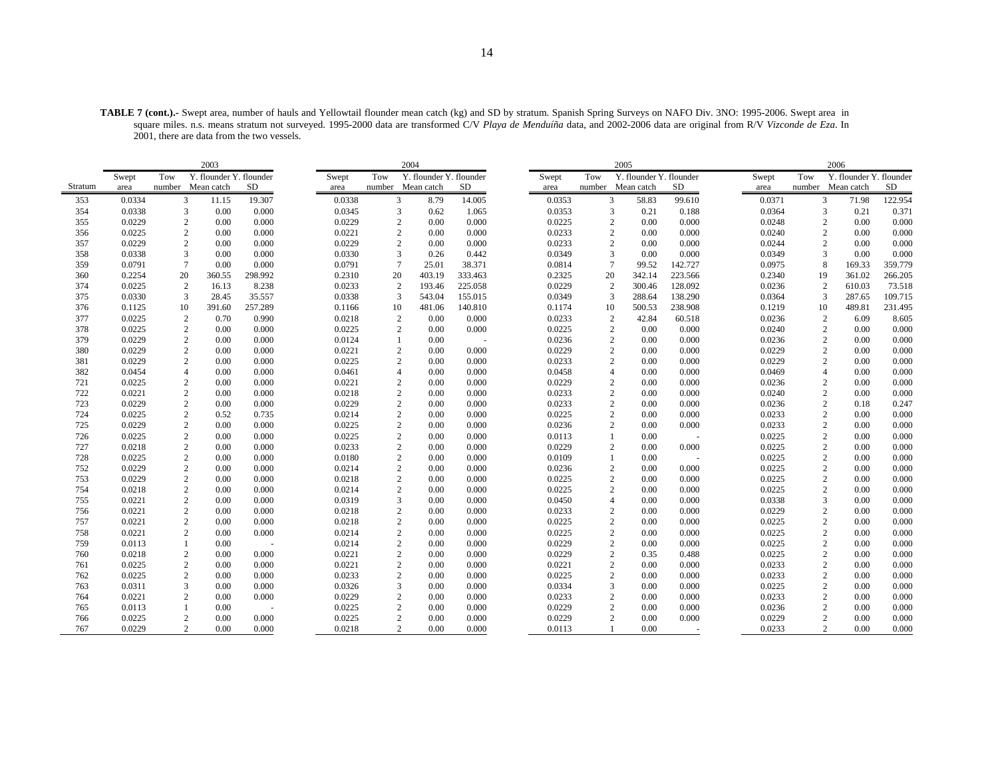**TABLE 7 (cont.).-** Swept area, number of hauls and Yellowtail flounder mean catch (kg) and SD by stratum. Spanish Spring Surveys on NAFO Div. 3NO: 1995-2006. Swept area in square miles. n.s. means stratum not surveyed. 1995-2000 data are transformed C/V *Playa de Menduíña* data, and 2002-2006 data are original from R/V *Vizconde de Eza*. In 2001, there are data from the two vessels.

|         | 2003   |                |                         |         |        |                | 2004                    |         |        |                | 2005                    |         |        |                | 2006                    |         |
|---------|--------|----------------|-------------------------|---------|--------|----------------|-------------------------|---------|--------|----------------|-------------------------|---------|--------|----------------|-------------------------|---------|
|         | Swept  | Tow            | Y. flounder Y. flounder |         | Swept  | Tow            | Y. flounder Y. flounder |         | Swept  | Tow            | Y. flounder Y. flounder |         | Swept  | Tow            | Y. flounder Y. flounder |         |
| Stratum | area   |                | number Mean catch       | SD      | area   |                | number Mean catch       | SD      | area   | number         | Mean catch              | SD      | area   |                | number Mean catch       | SD      |
| 353     | 0.0334 | 3              | 11.15                   | 19.307  | 0.0338 | $\overline{3}$ | 8.79                    | 14.005  | 0.0353 | 3              | 58.83                   | 99.610  | 0.0371 | $\overline{3}$ | 71.98                   | 122.954 |
| 354     | 0.0338 | 3              | 0.00                    | 0.000   | 0.0345 | 3              | 0.62                    | 1.065   | 0.0353 | 3              | 0.21                    | 0.188   | 0.0364 |                | 3<br>0.21               | 0.371   |
| 355     | 0.0229 | $\mathbf{2}$   | 0.00                    | 0.000   | 0.0229 | $\overline{c}$ | 0.00                    | 0.000   | 0.0225 | 2              | 0.00                    | 0.000   | 0.0248 | 2              | 0.00                    | 0.000   |
| 356     | 0.0225 | $\mathbf{2}$   | 0.00                    | 0.000   | 0.0221 | $\overline{c}$ | 0.00                    | 0.000   | 0.0233 | $\mathbf{2}$   | 0.00                    | 0.000   | 0.0240 |                | 2<br>0.00               | 0.000   |
| 357     | 0.0229 | $\overline{c}$ | 0.00                    | 0.000   | 0.0229 | 2              | 0.00                    | 0.000   | 0.0233 | $\overline{c}$ | 0.00                    | 0.000   | 0.0244 |                | 2<br>0.00               | 0.000   |
| 358     | 0.0338 | 3              | 0.00                    | 0.000   | 0.0330 | $\overline{3}$ | 0.26                    | 0.442   | 0.0349 | 3              | 0.00                    | 0.000   | 0.0349 |                | $\mathbf{3}$<br>0.00    | 0.000   |
| 359     | 0.0791 | $\overline{7}$ | 0.00                    | 0.000   | 0.0791 |                | 25.01                   | 38.371  | 0.0814 | $\overline{7}$ | 99.52                   | 142.727 | 0.0975 | 8              | 169.33                  | 359.779 |
| 360     | 0.2254 | 20             | 360.55                  | 298.992 | 0.2310 | 20             | 403.19                  | 333.463 | 0.2325 | 20             | 342.14                  | 223.566 | 0.2340 | 19             | 361.02                  | 266.205 |
| 374     | 0.0225 | $\overline{2}$ | 16.13                   | 8.238   | 0.0233 | 2              | 193.46                  | 225.058 | 0.0229 | $\overline{c}$ | 300.46                  | 128.092 | 0.0236 | 2              | 610.03                  | 73.518  |
| 375     | 0.0330 | 3              | 28.45                   | 35.557  | 0.0338 | 3              | 543.04                  | 155.015 | 0.0349 | 3              | 288.64                  | 138.290 | 0.0364 | 3              | 287.65                  | 109.715 |
| 376     | 0.1125 | 10             | 391.60                  | 257.289 | 0.1166 | 10             | 481.06                  | 140.810 | 0.1174 | 10             | 500.53                  | 238.908 | 0.1219 | 10             | 489.81                  | 231.495 |
| 377     | 0.0225 | $\overline{2}$ | 0.70                    | 0.990   | 0.0218 | $\overline{c}$ | 0.00                    | 0.000   | 0.0233 | $\overline{c}$ | 42.84                   | 60.518  | 0.0236 | $\overline{2}$ | 6.09                    | 8.605   |
| 378     | 0.0225 | $\sqrt{2}$     | 0.00                    | 0.000   | 0.0225 | 2              | 0.00                    | 0.000   | 0.0225 | 2              | 0.00                    | 0.000   | 0.0240 |                | 2<br>0.00               | 0.000   |
| 379     | 0.0229 | $\sqrt{2}$     | 0.00                    | 0.000   | 0.0124 |                | 0.00                    | $\sim$  | 0.0236 | $\overline{c}$ | 0.00                    | 0.000   | 0.0236 |                | $\overline{c}$<br>0.00  | 0.000   |
| 380     | 0.0229 | $\sqrt{2}$     | 0.00                    | 0.000   | 0.0221 | $\sqrt{2}$     | 0.00                    | 0.000   | 0.0229 | $\overline{c}$ | 0.00                    | 0.000   | 0.0229 |                | $\overline{c}$<br>0.00  | 0.000   |
| 381     | 0.0229 | 2              | 0.00                    | 0.000   | 0.0225 | 2              | 0.00                    | 0.000   | 0.0233 | 2              | 0.00                    | 0.000   | 0.0229 |                | $\overline{2}$<br>0.00  | 0.000   |
| 382     | 0.0454 | $\overline{4}$ | 0.00                    | 0.000   | 0.0461 | $\overline{4}$ | 0.00                    | 0.000   | 0.0458 | 4              | 0.00                    | 0.000   | 0.0469 | $\overline{4}$ | 0.00                    | 0.000   |
| 721     | 0.0225 | $\overline{c}$ | 0.00                    | 0.000   | 0.0221 | $\overline{2}$ | 0.00                    | 0.000   | 0.0229 | 2              | 0.00                    | 0.000   | 0.0236 |                | $\overline{c}$<br>0.00  | 0.000   |
| 722     | 0.0221 | $\sqrt{2}$     | 0.00                    | 0.000   | 0.0218 | $\sqrt{2}$     | 0.00                    | 0.000   | 0.0233 | $\mathbf{2}$   | 0.00                    | 0.000   | 0.0240 |                | $\overline{2}$<br>0.00  | 0.000   |
| 723     | 0.0229 | $\sqrt{2}$     | 0.00                    | 0.000   | 0.0229 | $\sqrt{2}$     | 0.00                    | 0.000   | 0.0233 | 2              | 0.00                    | 0.000   | 0.0236 |                | 2<br>0.18               | 0.247   |
| 724     | 0.0225 | $\mathbf{2}$   | 0.52                    | 0.735   | 0.0214 | $\overline{2}$ | 0.00                    | 0.000   | 0.0225 | 2              | 0.00                    | 0.000   | 0.0233 |                | 2<br>0.00               | 0.000   |
| 725     | 0.0229 | $\overline{c}$ | 0.00                    | 0.000   | 0.0225 | $\overline{2}$ | 0.00                    | 0.000   | 0.0236 | 2              | 0.00                    | 0.000   | 0.0233 | $\overline{2}$ | 0.00                    | 0.000   |
| 726     | 0.0225 | $\sqrt{2}$     | 0.00                    | 0.000   | 0.0225 | $\overline{c}$ | 0.00                    | 0.000   | 0.0113 |                | 0.00                    |         | 0.0225 |                | $\overline{2}$<br>0.00  | 0.000   |
| 727     | 0.0218 | 2              | 0.00                    | 0.000   | 0.0233 | $\overline{c}$ | 0.00                    | 0.000   | 0.0229 | 2              | 0.00                    | 0.000   | 0.0225 |                | 2<br>0.00               | 0.000   |
| 728     | 0.0225 | $\sqrt{2}$     | 0.00                    | 0.000   | 0.0180 | $\overline{c}$ | 0.00                    | 0.000   | 0.0109 |                | 0.00                    |         | 0.0225 |                | $\sqrt{2}$<br>0.00      | 0.000   |
| 752     | 0.0229 | $\sqrt{2}$     | 0.00                    | 0.000   | 0.0214 | $\sqrt{2}$     | 0.00                    | 0.000   | 0.0236 | $\overline{c}$ | 0.00                    | 0.000   | 0.0225 |                | $\overline{c}$<br>0.00  | 0.000   |
| 753     | 0.0229 | $\mathbf{2}$   | 0.00                    | 0.000   | 0.0218 | $\sqrt{2}$     | 0.00                    | 0.000   | 0.0225 | $\mathbf{2}$   | 0.00                    | 0.000   | 0.0225 |                | $\overline{c}$<br>0.00  | 0.000   |
| 754     | 0.0218 | $\sqrt{2}$     | 0.00                    | 0.000   | 0.0214 | $\overline{c}$ | 0.00                    | 0.000   | 0.0225 | $\overline{c}$ | 0.00                    | 0.000   | 0.0225 |                | $\sqrt{2}$<br>0.00      | 0.000   |
| 755     | 0.0221 | 2              | 0.00                    | 0.000   | 0.0319 | 3              | 0.00                    | 0.000   | 0.0450 | $\overline{4}$ | 0.00                    | 0.000   | 0.0338 |                | 3<br>0.00               | 0.000   |
| 756     | 0.0221 | 2              | 0.00                    | 0.000   | 0.0218 | $\overline{c}$ | 0.00                    | 0.000   | 0.0233 | 2              | 0.00                    | 0.000   | 0.0229 |                | 2<br>0.00               | 0.000   |
| 757     | 0.0221 | $\sqrt{2}$     | 0.00                    | 0.000   | 0.0218 | $\sqrt{2}$     | 0.00                    | 0.000   | 0.0225 | $\sqrt{2}$     | 0.00                    | 0.000   | 0.0225 |                | $\overline{2}$<br>0.00  | 0.000   |
| 758     | 0.0221 | $\mathbf{2}$   | 0.00                    | 0.000   | 0.0214 | $\sqrt{2}$     | 0.00                    | 0.000   | 0.0225 | 2              | 0.00                    | 0.000   | 0.0225 |                | $\overline{c}$<br>0.00  | 0.000   |
| 759     | 0.0113 |                | 0.00                    |         | 0.0214 | $\overline{2}$ | 0.00                    | 0.000   | 0.0229 | $\overline{c}$ | 0.00                    | 0.000   | 0.0225 |                | $\overline{c}$<br>0.00  | 0.000   |
| 760     | 0.0218 | $\sqrt{2}$     | 0.00                    | 0.000   | 0.0221 | $\overline{2}$ | 0.00                    | 0.000   | 0.0229 | $\overline{c}$ | 0.35                    | 0.488   | 0.0225 |                | $\overline{2}$<br>0.00  | 0.000   |
| 761     | 0.0225 | $\mathbf{2}$   | 0.00                    | 0.000   | 0.0221 | $\sqrt{2}$     | 0.00                    | 0.000   | 0.0221 | $\mathbf{2}$   | 0.00                    | 0.000   | 0.0233 | $\overline{2}$ | 0.00                    | 0.000   |
| 762     | 0.0225 | $\sqrt{2}$     | 0.00                    | 0.000   | 0.0233 | $\overline{2}$ | 0.00                    | 0.000   | 0.0225 | $\overline{2}$ | 0.00                    | 0.000   | 0.0233 |                | $\overline{c}$<br>0.00  | 0.000   |
| 763     | 0.0311 | 3              | 0.00                    | 0.000   | 0.0326 | 3              | 0.00                    | 0.000   | 0.0334 | 3              | 0.00                    | 0.000   | 0.0225 |                | $\overline{c}$<br>0.00  | 0.000   |
| 764     | 0.0221 | 2              | 0.00                    | 0.000   | 0.0229 | $\overline{c}$ | 0.00                    | 0.000   | 0.0233 | 2              | 0.00                    | 0.000   | 0.0233 | 2              | 0.00                    | 0.000   |
| 765     | 0.0113 |                | 0.00                    |         | 0.0225 | $\sqrt{2}$     | 0.00                    | 0.000   | 0.0229 | $\mathbf{2}$   | 0.00                    | 0.000   | 0.0236 |                | $\overline{c}$<br>0.00  | 0.000   |
| 766     | 0.0225 | $\mathbf{2}$   | 0.00                    | 0.000   | 0.0225 | 2              | 0.00                    | 0.000   | 0.0229 | 2              | 0.00                    | 0.000   | 0.0229 |                | $\overline{c}$<br>0.00  | 0.000   |
| 767     | 0.0229 | 2              | 0.00                    | 0.000   | 0.0218 | 2              | 0.00                    | 0.000   | 0.0113 |                | 0.00                    |         | 0.0233 |                | $\overline{c}$<br>0.00  | 0.000   |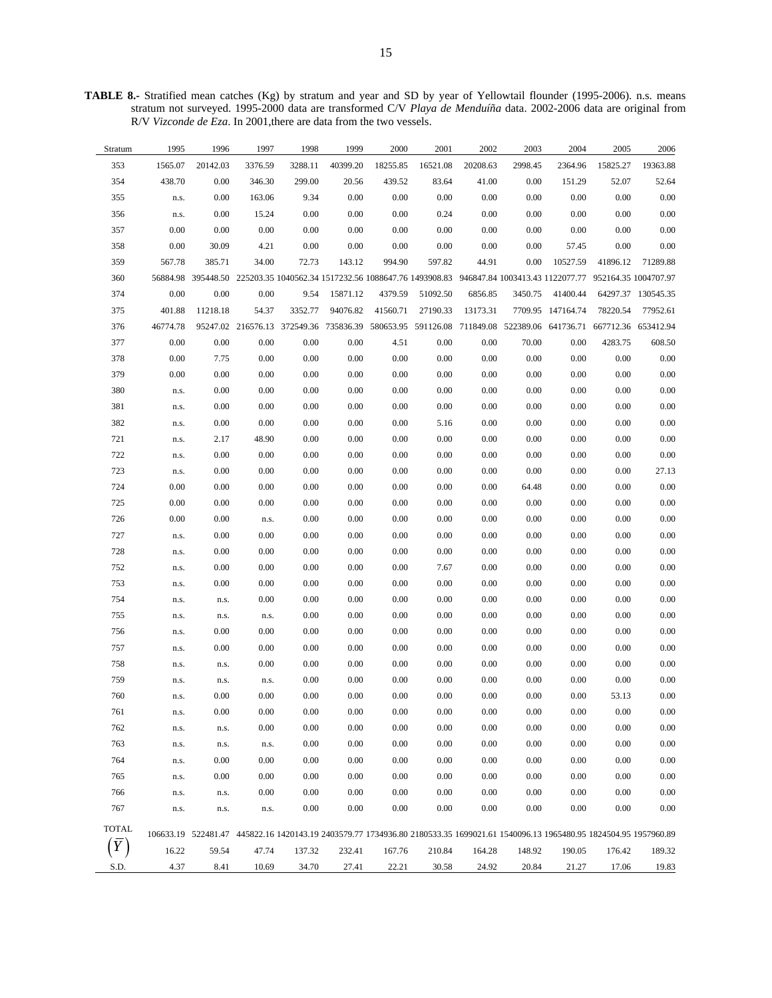**TABLE 8.-** Stratified mean catches (Kg) by stratum and year and SD by year of Yellowtail flounder (1995-2006). n.s. means stratum not surveyed. 1995-2000 data are transformed C/V *Playa de Menduíña* data. 2002-2006 data are original from R/V *Vizconde de Eza*. In 2001,there are data from the two vessels.

| Stratum      | 1995     | 1996     | 1997     | 1998    | 1999     | 2000     | 2001     | 2002     | 2003     | 2004                                                                                                                             | 2005     | 2006               |
|--------------|----------|----------|----------|---------|----------|----------|----------|----------|----------|----------------------------------------------------------------------------------------------------------------------------------|----------|--------------------|
| 353          | 1565.07  | 20142.03 | 3376.59  | 3288.11 | 40399.20 | 18255.85 | 16521.08 | 20208.63 | 2998.45  | 2364.96                                                                                                                          | 15825.27 | 19363.88           |
| 354          | 438.70   | 0.00     | 346.30   | 299.00  | 20.56    | 439.52   | 83.64    | 41.00    | 0.00     | 151.29                                                                                                                           | 52.07    | 52.64              |
| 355          | n.s.     | $0.00\,$ | 163.06   | 9.34    | $0.00\,$ | $0.00\,$ | 0.00     | 0.00     | $0.00\,$ | 0.00                                                                                                                             | $0.00\,$ | $0.00\,$           |
| 356          | n.s.     | $0.00\,$ | 15.24    | 0.00    | 0.00     | $0.00\,$ | 0.24     | 0.00     | $0.00\,$ | 0.00                                                                                                                             | $0.00\,$ | $0.00\,$           |
| 357          | $0.00\,$ | 0.00     | $0.00\,$ | 0.00    | 0.00     | $0.00\,$ | $0.00\,$ | 0.00     | $0.00\,$ | 0.00                                                                                                                             | 0.00     | $0.00\,$           |
| 358          | $0.00\,$ | 30.09    | 4.21     | 0.00    | 0.00     | $0.00\,$ | $0.00\,$ | 0.00     | $0.00\,$ | 57.45                                                                                                                            | 0.00     | $0.00\,$           |
| 359          | 567.78   | 385.71   | 34.00    | 72.73   | 143.12   | 994.90   | 597.82   | 44.91    | $0.00\,$ | 10527.59                                                                                                                         | 41896.12 | 71289.88           |
| 360          | 56884.98 |          |          |         |          |          |          |          |          | 395448.50 225203.35 1040562.34 1517232.56 1088647.76 1493908.83 946847.84 1003413.43 1122077.77 952164.35 1004707.97             |          |                    |
| 374          | 0.00     | 0.00     | 0.00     | 9.54    | 15871.12 | 4379.59  | 51092.50 | 6856.85  | 3450.75  | 41400.44                                                                                                                         |          | 64297.37 130545.35 |
| 375          | 401.88   | 11218.18 | 54.37    | 3352.77 | 94076.82 | 41560.71 | 27190.33 | 13173.31 |          | 7709.95 147164.74                                                                                                                | 78220.54 | 77952.61           |
| 376          | 46774.78 |          |          |         |          |          |          |          |          | 95247.02 216576.13 372549.36 735836.39 580653.95 591126.08 711849.08 522389.06 641736.71 667712.36 653412.94                     |          |                    |
| 377          | 0.00     | 0.00     | 0.00     | 0.00    | 0.00     | 4.51     | 0.00     | 0.00     | 70.00    | 0.00                                                                                                                             | 4283.75  | 608.50             |
| 378          | $0.00\,$ | 7.75     | $0.00\,$ | 0.00    | 0.00     | $0.00\,$ | $0.00\,$ | 0.00     | $0.00\,$ | 0.00                                                                                                                             | 0.00     | $0.00\,$           |
| 379          | 0.00     | 0.00     | $0.00\,$ | 0.00    | 0.00     | 0.00     | 0.00     | 0.00     | 0.00     | 0.00                                                                                                                             | $0.00\,$ | $0.00\,$           |
| 380          | n.s.     | 0.00     | $0.00\,$ | 0.00    | 0.00     | 0.00     | 0.00     | 0.00     | $0.00\,$ | 0.00                                                                                                                             | $0.00\,$ | $0.00\,$           |
| 381          | n.s.     | 0.00     | $0.00\,$ | 0.00    | 0.00     | 0.00     | $0.00\,$ | 0.00     | 0.00     | 0.00                                                                                                                             | 0.00     | $0.00\,$           |
| 382          | n.s.     | $0.00\,$ | $0.00\,$ | 0.00    | 0.00     | 0.00     | 5.16     | 0.00     | 0.00     | 0.00                                                                                                                             | 0.00     | $0.00\,$           |
| 721          | n.s.     | 2.17     | 48.90    | 0.00    | 0.00     | $0.00\,$ | $0.00\,$ | 0.00     | 0.00     | 0.00                                                                                                                             | $0.00\,$ | $0.00\,$           |
| 722          | n.s.     | $0.00\,$ | $0.00\,$ | 0.00    | $0.00\,$ | $0.00\,$ | 0.00     | 0.00     | $0.00\,$ | 0.00                                                                                                                             | $0.00\,$ | $0.00\,$           |
| 723          | n.s.     | $0.00\,$ | $0.00\,$ | 0.00    | 0.00     | $0.00\,$ | $0.00\,$ | 0.00     | $0.00\,$ | 0.00                                                                                                                             | 0.00     | 27.13              |
| 724          | $0.00\,$ | 0.00     | $0.00\,$ | 0.00    | 0.00     | $0.00\,$ | $0.00\,$ | 0.00     | 64.48    | 0.00                                                                                                                             | 0.00     | $0.00\,$           |
| 725          | 0.00     | 0.00     | $0.00\,$ | 0.00    | 0.00     | $0.00\,$ | $0.00\,$ | 0.00     | $0.00\,$ | 0.00                                                                                                                             | 0.00     | $0.00\,$           |
| 726          | $0.00\,$ | 0.00     | n.s.     | 0.00    | 0.00     | $0.00\,$ | $0.00\,$ | 0.00     | $0.00\,$ | 0.00                                                                                                                             | 0.00     | $0.00\,$           |
| 727          | n.s.     | 0.00     | $0.00\,$ | 0.00    | 0.00     | 0.00     | $0.00\,$ | 0.00     | 0.00     | 0.00                                                                                                                             | 0.00     | $0.00\,$           |
| 728          | n.s.     | 0.00     | 0.00     | 0.00    | 0.00     | 0.00     | 0.00     | 0.00     | 0.00     | 0.00                                                                                                                             | 0.00     | $0.00\,$           |
| 752          | n.s.     | 0.00     | 0.00     | 0.00    | 0.00     | $0.00\,$ | 7.67     | 0.00     | 0.00     | 0.00                                                                                                                             | 0.00     | $0.00\,$           |
| 753          | n.s.     | 0.00     | 0.00     | 0.00    | 0.00     | 0.00     | 0.00     | 0.00     | $0.00\,$ | 0.00                                                                                                                             | $0.00\,$ | $0.00\,$           |
| 754          | n.s.     | n.s.     | 0.00     | 0.00    | 0.00     | 0.00     | 0.00     | 0.00     | 0.00     | 0.00                                                                                                                             | $0.00\,$ | 0.00               |
| 755          | n.s.     | n.s.     | n.s.     | 0.00    | 0.00     | $0.00\,$ | 0.00     | 0.00     | $0.00\,$ | 0.00                                                                                                                             | 0.00     | $0.00\,$           |
| 756          | n.s.     | 0.00     | 0.00     | 0.00    | 0.00     | 0.00     | 0.00     | 0.00     | 0.00     | 0.00                                                                                                                             | 0.00     | $0.00\,$           |
| 757          | n.s.     | 0.00     | $0.00\,$ | 0.00    | 0.00     | $0.00\,$ | 0.00     | 0.00     | $0.00\,$ | 0.00                                                                                                                             | $0.00\,$ | $0.00\,$           |
| 758          | n.s.     | n.s.     | 0.00     | 0.00    | 0.00     | $0.00\,$ | $0.00\,$ | 0.00     | 0.00     | 0.00                                                                                                                             | $0.00\,$ | $0.00\,$           |
| 759          | n.s.     | n.s.     | n.s.     | 0.00    | 0.00     | $0.00\,$ | $0.00\,$ | 0.00     | $0.00\,$ | 0.00                                                                                                                             | 0.00     | $0.00\,$           |
| 760          | n.s.     | 0.00     | 0.00     | 0.00    | 0.00     | 0.00     | $0.00\,$ | 0.00     | 0.00     | 0.00                                                                                                                             | 53.13    | $0.00\,$           |
| 761          | n.s.     | 0.00     | 0.00     | 0.00    | 0.00     | 0.00     | 0.00     | 0.00     | 0.00     | 0.00                                                                                                                             | 0.00     | 0.00               |
| 762          | n.s.     | n.s.     | 0.00     | 0.00    | 0.00     | 0.00     | 0.00     | 0.00     | 0.00     | 0.00                                                                                                                             | 0.00     | 0.00               |
| 763          | n.s.     | n.s.     | n.s.     | 0.00    | 0.00     | 0.00     | 0.00     | 0.00     | 0.00     | 0.00                                                                                                                             | 0.00     | 0.00               |
| 764          | n.s.     | 0.00     | 0.00     | 0.00    | 0.00     | 0.00     | 0.00     | 0.00     | 0.00     | 0.00                                                                                                                             | 0.00     | 0.00               |
| 765          | n.s.     | 0.00     | 0.00     | 0.00    | 0.00     | 0.00     | 0.00     | 0.00     | 0.00     | 0.00                                                                                                                             | 0.00     | 0.00               |
| 766          | n.s.     | n.s.     | 0.00     | 0.00    | 0.00     | 0.00     | 0.00     | 0.00     | 0.00     | 0.00                                                                                                                             | 0.00     | 0.00               |
| 767          | n.s.     | n.s.     | n.s.     | 0.00    | 0.00     | 0.00     | 0.00     | 0.00     | 0.00     | 0.00                                                                                                                             | 0.00     | 0.00               |
| <b>TOTAL</b> |          |          |          |         |          |          |          |          |          | 106633.19 522481.47 445822.16 1420143.19 2403579.77 1734936.80 2180533.35 1699021.61 1540096.13 1965480.95 1824504.95 1957960.89 |          |                    |
|              | 16.22    | 59.54    | 47.74    | 137.32  | 232.41   | 167.76   | 210.84   | 164.28   | 148.92   | 190.05                                                                                                                           | 176.42   | 189.32             |
| S.D.         | 4.37     | 8.41     | 10.69    | 34.70   | 27.41    | 22.21    | 30.58    | 24.92    | 20.84    | 21.27                                                                                                                            | 17.06    | 19.83              |
|              |          |          |          |         |          |          |          |          |          |                                                                                                                                  |          |                    |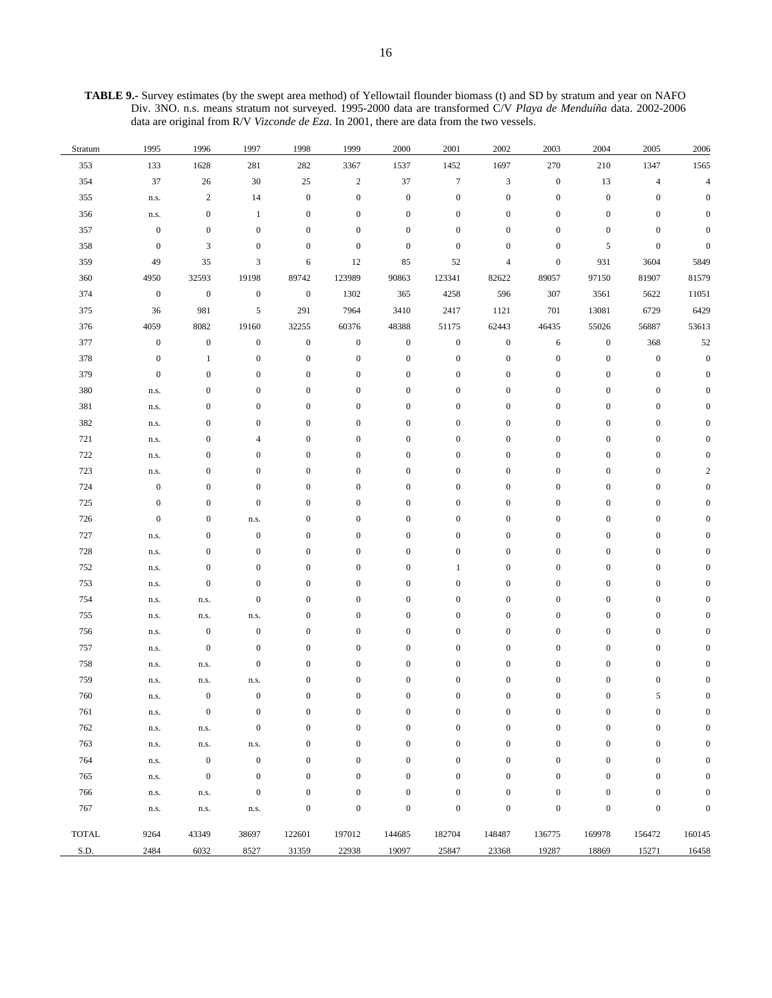**TABLE 9.-** Survey estimates (by the swept area method) of Yellowtail flounder biomass (t) and SD by stratum and year on NAFO Div. 3NO. n.s. means stratum not surveyed. 1995-2000 data are transformed C/V *Playa de Menduíña* data. 2002-2006 data are original from R/V *Vizconde de Eza*. In 2001, there are data from the two vessels.

| Stratum      | 1995             | 1996             | 1997             | 1998             | 1999             | 2000             | 2001             | 2002                        | 2003             | 2004             | 2005                     | 2006           |
|--------------|------------------|------------------|------------------|------------------|------------------|------------------|------------------|-----------------------------|------------------|------------------|--------------------------|----------------|
| 353          | 133              | 1628             | 281              | 282              | 3367             | 1537             | 1452             | 1697                        | 270              | 210              | 1347                     | 1565           |
| 354          | 37               | 26               | $30\,$           | $25\,$           | $\sqrt{2}$       | 37               | $\boldsymbol{7}$ | $\ensuremath{\mathfrak{Z}}$ | $\boldsymbol{0}$ | 13               | $\overline{\mathcal{A}}$ | $\overline{4}$ |
| 355          | n.s.             | $\boldsymbol{2}$ | 14               | $\boldsymbol{0}$ | $\boldsymbol{0}$ | $\boldsymbol{0}$ | $\boldsymbol{0}$ | $\boldsymbol{0}$            | $\boldsymbol{0}$ | $\boldsymbol{0}$ | $\boldsymbol{0}$         | $\Omega$       |
| 356          | n.s.             | $\boldsymbol{0}$ | 1                | $\boldsymbol{0}$ | $\boldsymbol{0}$ | $\boldsymbol{0}$ | $\boldsymbol{0}$ | $\boldsymbol{0}$            | $\boldsymbol{0}$ | $\boldsymbol{0}$ | $\boldsymbol{0}$         |                |
| 357          | $\boldsymbol{0}$ | $\boldsymbol{0}$ | $\boldsymbol{0}$ | $\boldsymbol{0}$ | $\boldsymbol{0}$ | $\boldsymbol{0}$ | $\mathbf{0}$     | $\boldsymbol{0}$            | $\boldsymbol{0}$ | $\bf{0}$         | $\boldsymbol{0}$         | $\Omega$       |
| 358          | $\boldsymbol{0}$ | $\mathfrak{Z}$   | $\boldsymbol{0}$ | $\boldsymbol{0}$ | $\boldsymbol{0}$ | $\boldsymbol{0}$ | $\boldsymbol{0}$ | $\boldsymbol{0}$            | $\bf{0}$         | 5                | $\boldsymbol{0}$         | $\mathbf{0}$   |
| 359          | 49               | 35               | 3                | 6                | 12               | 85               | 52               | $\overline{4}$              | $\boldsymbol{0}$ | 931              | 3604                     | 5849           |
| 360          | 4950             | 32593            | 19198            | 89742            | 123989           | 90863            | 123341           | 82622                       | 89057            | 97150            | 81907                    | 81579          |
| 374          | $\boldsymbol{0}$ | $\boldsymbol{0}$ | $\boldsymbol{0}$ | $\boldsymbol{0}$ | 1302             | 365              | 4258             | 596                         | 307              | 3561             | 5622                     | 11051          |
| 375          | 36               | 981              | 5                | 291              | 7964             | 3410             | 2417             | 1121                        | 701              | 13081            | 6729                     | 6429           |
| 376          | 4059             | 8082             | 19160            | 32255            | 60376            | 48388            | 51175            | 62443                       | 46435            | 55026            | 56887                    | 53613          |
| 377          | $\boldsymbol{0}$ | $\boldsymbol{0}$ | $\boldsymbol{0}$ | $\boldsymbol{0}$ | $\boldsymbol{0}$ | $\boldsymbol{0}$ | $\boldsymbol{0}$ | $\boldsymbol{0}$            | 6                | $\boldsymbol{0}$ | 368                      | 52             |
| 378          | $\boldsymbol{0}$ | 1                | $\mathbf{0}$     | $\boldsymbol{0}$ | $\boldsymbol{0}$ | $\boldsymbol{0}$ | $\boldsymbol{0}$ | $\boldsymbol{0}$            | $\boldsymbol{0}$ | $\boldsymbol{0}$ | $\boldsymbol{0}$         | $\mathbf{0}$   |
| 379          | $\boldsymbol{0}$ | $\boldsymbol{0}$ | $\boldsymbol{0}$ | $\boldsymbol{0}$ | $\boldsymbol{0}$ | $\boldsymbol{0}$ | $\boldsymbol{0}$ | $\boldsymbol{0}$            | $\boldsymbol{0}$ | $\boldsymbol{0}$ | $\boldsymbol{0}$         | $\overline{0}$ |
| 380          | n.s.             | $\boldsymbol{0}$ | $\boldsymbol{0}$ | $\boldsymbol{0}$ | $\boldsymbol{0}$ | $\boldsymbol{0}$ | $\boldsymbol{0}$ | $\boldsymbol{0}$            | $\boldsymbol{0}$ | $\boldsymbol{0}$ | $\boldsymbol{0}$         |                |
| 381          | n.s.             | $\boldsymbol{0}$ | $\boldsymbol{0}$ | $\boldsymbol{0}$ | $\boldsymbol{0}$ | $\boldsymbol{0}$ | $\boldsymbol{0}$ | $\boldsymbol{0}$            | $\boldsymbol{0}$ | $\boldsymbol{0}$ | $\boldsymbol{0}$         |                |
| 382          | n.s.             | $\boldsymbol{0}$ | $\boldsymbol{0}$ | $\boldsymbol{0}$ | $\boldsymbol{0}$ | $\boldsymbol{0}$ | $\boldsymbol{0}$ | $\boldsymbol{0}$            | $\boldsymbol{0}$ | $\boldsymbol{0}$ | $\boldsymbol{0}$         |                |
| 721          | n.s.             | $\boldsymbol{0}$ | 4                | $\boldsymbol{0}$ | $\boldsymbol{0}$ | $\boldsymbol{0}$ | $\boldsymbol{0}$ | $\boldsymbol{0}$            | $\boldsymbol{0}$ | $\boldsymbol{0}$ | $\boldsymbol{0}$         |                |
| 722          | n.s.             | $\boldsymbol{0}$ | $\boldsymbol{0}$ | $\boldsymbol{0}$ | $\boldsymbol{0}$ | $\boldsymbol{0}$ | $\boldsymbol{0}$ | $\boldsymbol{0}$            | $\boldsymbol{0}$ | $\boldsymbol{0}$ | $\boldsymbol{0}$         |                |
| 723          | n.s.             | $\boldsymbol{0}$ | $\boldsymbol{0}$ | $\boldsymbol{0}$ | $\boldsymbol{0}$ | $\boldsymbol{0}$ | $\mathbf{0}$     | $\boldsymbol{0}$            | $\boldsymbol{0}$ | $\boldsymbol{0}$ | $\boldsymbol{0}$         | 2              |
| 724          | $\boldsymbol{0}$ | $\boldsymbol{0}$ | $\mathbf{0}$     | $\boldsymbol{0}$ | $\boldsymbol{0}$ | $\boldsymbol{0}$ | $\mathbf{0}$     | $\boldsymbol{0}$            | $\boldsymbol{0}$ | $\boldsymbol{0}$ | $\boldsymbol{0}$         |                |
| 725          | $\boldsymbol{0}$ | $\boldsymbol{0}$ | $\boldsymbol{0}$ | $\boldsymbol{0}$ | $\boldsymbol{0}$ | $\boldsymbol{0}$ | $\boldsymbol{0}$ | $\boldsymbol{0}$            | $\boldsymbol{0}$ | $\boldsymbol{0}$ | $\boldsymbol{0}$         |                |
| 726          | $\boldsymbol{0}$ | $\boldsymbol{0}$ | n.s.             | $\boldsymbol{0}$ | $\boldsymbol{0}$ | $\boldsymbol{0}$ | $\boldsymbol{0}$ | $\boldsymbol{0}$            | $\boldsymbol{0}$ | $\boldsymbol{0}$ | $\boldsymbol{0}$         |                |
| 727          | n.s.             | $\boldsymbol{0}$ | $\boldsymbol{0}$ | $\boldsymbol{0}$ | $\boldsymbol{0}$ | $\boldsymbol{0}$ | $\boldsymbol{0}$ | $\boldsymbol{0}$            | $\boldsymbol{0}$ | $\boldsymbol{0}$ | $\boldsymbol{0}$         |                |
| 728          | n.s.             | $\boldsymbol{0}$ | $\boldsymbol{0}$ | $\boldsymbol{0}$ | $\boldsymbol{0}$ | $\boldsymbol{0}$ | $\boldsymbol{0}$ | $\boldsymbol{0}$            | $\boldsymbol{0}$ | $\boldsymbol{0}$ | $\boldsymbol{0}$         |                |
| 752          | n.s.             | $\boldsymbol{0}$ | $\boldsymbol{0}$ | $\boldsymbol{0}$ | $\boldsymbol{0}$ | $\boldsymbol{0}$ | $\mathbf{1}$     | $\boldsymbol{0}$            | $\boldsymbol{0}$ | $\boldsymbol{0}$ | $\boldsymbol{0}$         |                |
| 753          | n.s.             | $\boldsymbol{0}$ | $\boldsymbol{0}$ | $\boldsymbol{0}$ | $\boldsymbol{0}$ | $\boldsymbol{0}$ | $\boldsymbol{0}$ | $\boldsymbol{0}$            | $\boldsymbol{0}$ | $\boldsymbol{0}$ | $\boldsymbol{0}$         |                |
| 754          | n.s.             | n.s.             | $\boldsymbol{0}$ | $\boldsymbol{0}$ | $\boldsymbol{0}$ | $\boldsymbol{0}$ | $\boldsymbol{0}$ | $\boldsymbol{0}$            | $\boldsymbol{0}$ | $\boldsymbol{0}$ | $\boldsymbol{0}$         |                |
| 755          | n.s.             | n.s.             | n.s.             | $\boldsymbol{0}$ | $\boldsymbol{0}$ | $\boldsymbol{0}$ | $\boldsymbol{0}$ | $\boldsymbol{0}$            | $\boldsymbol{0}$ | $\boldsymbol{0}$ | $\boldsymbol{0}$         |                |
| 756          | n.s.             | $\boldsymbol{0}$ | $\boldsymbol{0}$ | $\boldsymbol{0}$ | $\boldsymbol{0}$ | $\boldsymbol{0}$ | $\boldsymbol{0}$ | $\boldsymbol{0}$            | $\boldsymbol{0}$ | $\boldsymbol{0}$ | $\boldsymbol{0}$         |                |
| 757          | n.s.             | $\boldsymbol{0}$ | $\boldsymbol{0}$ | $\boldsymbol{0}$ | $\boldsymbol{0}$ | $\boldsymbol{0}$ | $\boldsymbol{0}$ | $\boldsymbol{0}$            | $\boldsymbol{0}$ | $\boldsymbol{0}$ | $\boldsymbol{0}$         |                |
| 758          | n.s.             | n.s.             | $\boldsymbol{0}$ | $\boldsymbol{0}$ | $\boldsymbol{0}$ | $\boldsymbol{0}$ | $\boldsymbol{0}$ | $\boldsymbol{0}$            | $\boldsymbol{0}$ | $\boldsymbol{0}$ | $\boldsymbol{0}$         |                |
| 759          | n.s.             | n.s.             | n.s.             | $\boldsymbol{0}$ | $\boldsymbol{0}$ | $\boldsymbol{0}$ | $\boldsymbol{0}$ | $\boldsymbol{0}$            | $\boldsymbol{0}$ | $\boldsymbol{0}$ | $\boldsymbol{0}$         |                |
| 760          | n.s.             | $\boldsymbol{0}$ | $\mathbf{0}$     | $\boldsymbol{0}$ | $\boldsymbol{0}$ | $\boldsymbol{0}$ | $\mathbf{0}$     | $\boldsymbol{0}$            | $\boldsymbol{0}$ | $\boldsymbol{0}$ | 5                        | $\mathbf{0}$   |
| 761          | n.s.             | $\boldsymbol{0}$ | 0                | $\mathbf{0}$     | $\mathbf{0}$     | $\mathbf{0}$     | $\boldsymbol{0}$ | $\boldsymbol{0}$            | $\boldsymbol{0}$ | 0                | $\boldsymbol{0}$         |                |
| 762          | n.s.             | n.s.             | $\boldsymbol{0}$ | $\mathbf{0}$     | $\boldsymbol{0}$ | $\boldsymbol{0}$ | $\mathbf{0}$     | $\boldsymbol{0}$            | $\boldsymbol{0}$ | $\overline{0}$   | $\overline{0}$           |                |
| 763          | n.s.             | n.s.             | n.s.             | $\boldsymbol{0}$ | $\boldsymbol{0}$ | $\boldsymbol{0}$ | $\mathbf{0}$     | $\boldsymbol{0}$            | $\boldsymbol{0}$ | $\mathbf{0}$     | $\boldsymbol{0}$         | $\Omega$       |
| 764          | n.s.             | $\boldsymbol{0}$ | $\boldsymbol{0}$ | $\mathbf{0}$     | $\boldsymbol{0}$ | $\boldsymbol{0}$ | $\mathbf{0}$     | $\boldsymbol{0}$            | $\boldsymbol{0}$ | $\overline{0}$   | $\boldsymbol{0}$         |                |
| 765          | n.s.             | $\boldsymbol{0}$ | $\boldsymbol{0}$ | $\boldsymbol{0}$ | $\boldsymbol{0}$ | $\boldsymbol{0}$ | $\mathbf{0}$     | $\boldsymbol{0}$            | $\boldsymbol{0}$ | $\mathbf{0}$     | $\boldsymbol{0}$         |                |
| 766          | n.s.             | n.s.             | $\boldsymbol{0}$ | $\boldsymbol{0}$ | $\boldsymbol{0}$ | $\boldsymbol{0}$ | $\mathbf{0}$     | $\boldsymbol{0}$            | $\boldsymbol{0}$ | $\overline{0}$   | $\mathbf{0}$             |                |
| 767          | n.s.             | n.s.             | n.s.             | $\boldsymbol{0}$ | $\boldsymbol{0}$ | $\boldsymbol{0}$ | $\mathbf{0}$     | $\boldsymbol{0}$            | $\boldsymbol{0}$ | $\boldsymbol{0}$ | $\boldsymbol{0}$         | $\mathbf{0}$   |
| <b>TOTAL</b> | 9264             | 43349            | 38697            | 122601           | 197012           | 144685           | 182704           | 148487                      | 136775           | 169978           | 156472                   | 160145         |
| S.D.         | 2484             | 6032             | 8527             | 31359            | 22938            | 19097            | 25847            | 23368                       | 19287            | 18869            | 15271                    | 16458          |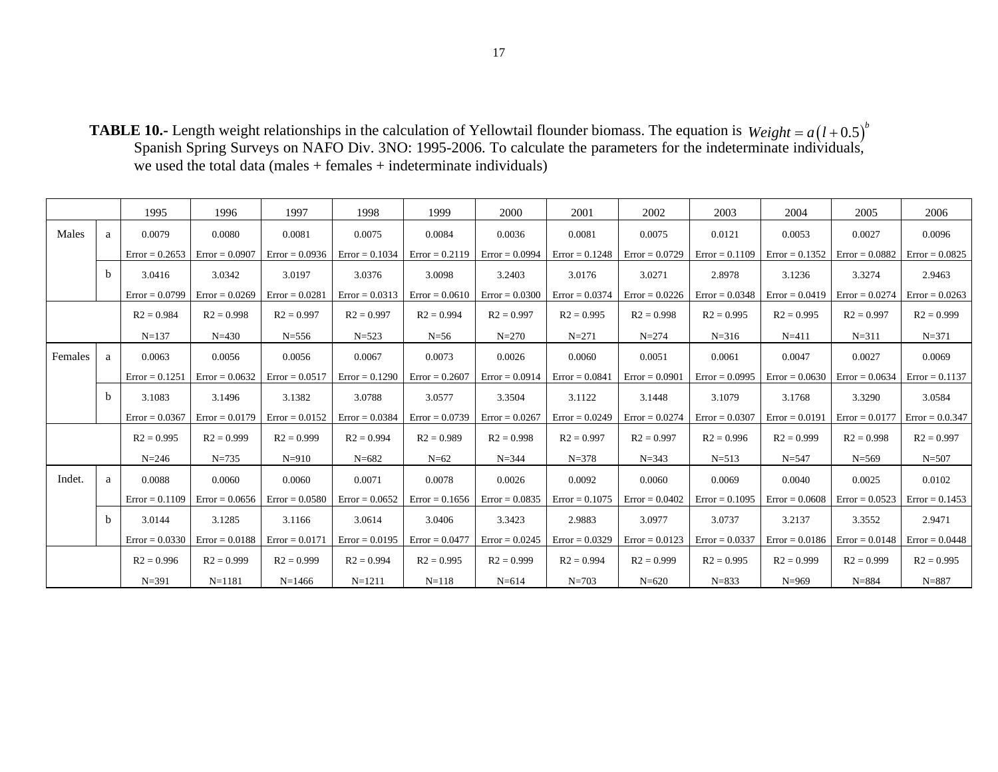**TABLE 10.-** Length weight relationships in the calculation of Yellowtail flounder biomass. The equation is Spanish Spring Surveys on NAFO Div. 3NO: 1995-2006. To calculate the parameters for the indeterminate individuals, we used the total data (males + females + indeterminate individuals)  $Weight = a(l+0.5)^{b}$ 

|         |              | 1995             | 1996             | 1997             | 1998             | 1999             | 2000             | 2001             | 2002             | 2003             | 2004             | 2005                                | 2006              |
|---------|--------------|------------------|------------------|------------------|------------------|------------------|------------------|------------------|------------------|------------------|------------------|-------------------------------------|-------------------|
| Males   | a            | 0.0079           | 0.0080           | 0.0081           | 0.0075           | 0.0084           | 0.0036           | 0.0081           | 0.0075           | 0.0121           | 0.0053           | 0.0027                              | 0.0096            |
|         |              | $Error = 0.2653$ | $Error = 0.0907$ | $Error = 0.0936$ | $Error = 0.1034$ | $Error = 0.2119$ | $Error = 0.0994$ | $Error = 0.1248$ | $Error = 0.0729$ | $Error = 0.1109$ |                  | Error = $0.1352$   Error = $0.0882$ | $Error = 0.0825$  |
|         | <sub>b</sub> | 3.0416           | 3.0342           | 3.0197           | 3.0376           | 3.0098           | 3.2403           | 3.0176           | 3.0271           | 2.8978           | 3.1236           | 3.3274                              | 2.9463            |
|         |              | $Error = 0.0799$ | $Error = 0.0269$ | $Error = 0.0281$ | $Error = 0.0313$ | $Error = 0.0610$ | $Error = 0.0300$ | $Error = 0.0374$ | $Error = 0.0226$ | $Error = 0.0348$ | $Error = 0.0419$ | $Error = 0.0274$                    | $Error = 0.0263$  |
|         |              | $R2 = 0.984$     | $R2 = 0.998$     | $R2 = 0.997$     | $R2 = 0.997$     | $R2 = 0.994$     | $R2 = 0.997$     | $R2 = 0.995$     | $R2 = 0.998$     | $R2 = 0.995$     | $R2 = 0.995$     | $R2 = 0.997$                        | $R2 = 0.999$      |
|         |              | $N=137$          | $N = 430$        | $N = 556$        | $N = 523$        | $N=56$           | $N = 270$        | $N = 271$        | $N = 274$        | $N = 316$        | $N = 411$        | $N = 311$                           | $N = 371$         |
| Females | a            | 0.0063           | 0.0056           | 0.0056           | 0.0067           | 0.0073           | 0.0026           | 0.0060           | 0.0051           | 0.0061           | 0.0047           | 0.0027                              | 0.0069            |
|         |              | $Error = 0.1251$ | $Error = 0.0632$ | $Error = 0.0517$ | $Error = 0.1290$ | $Error = 0.2607$ | $Error = 0.0914$ | $Error = 0.0841$ | $Error = 0.0901$ | $Error = 0.0995$ | $Error = 0.0630$ | $Error = 0.0634$                    | $Error = 0.1137$  |
|         | <sub>b</sub> | 3.1083           | 3.1496           | 3.1382           | 3.0788           | 3.0577           | 3.3504           | 3.1122           | 3.1448           | 3.1079           | 3.1768           | 3.3290                              | 3.0584            |
|         |              | $Error = 0.0367$ | $Error = 0.0179$ | $Error = 0.0152$ | $Error = 0.0384$ | $Error = 0.0739$ | $Error = 0.0267$ | $Error = 0.0249$ | $Error = 0.0274$ | $Error = 0.0307$ | $Error = 0.0191$ | $Error = 0.0177$                    | $Error = 0.0.347$ |
|         |              | $R2 = 0.995$     | $R2 = 0.999$     | $R2 = 0.999$     | $R2 = 0.994$     | $R2 = 0.989$     | $R2 = 0.998$     | $R2 = 0.997$     | $R2 = 0.997$     | $R2 = 0.996$     | $R2 = 0.999$     | $R2 = 0.998$                        | $R2 = 0.997$      |
|         |              | $N = 246$        | $N = 735$        | $N = 910$        | $N = 682$        | $N=62$           | $N = 344$        | $N = 378$        | $N = 343$        | $N = 513$        | $N = 547$        | $N = 569$                           | $N = 507$         |
| Indet.  | a            | 0.0088           | 0.0060           | 0.0060           | 0.0071           | 0.0078           | 0.0026           | 0.0092           | 0.0060           | 0.0069           | 0.0040           | 0.0025                              | 0.0102            |
|         |              | $Error = 0.1109$ | $Error = 0.0656$ | $Error = 0.0580$ | $Error = 0.0652$ | $Error = 0.1656$ | $Error = 0.0835$ | $Error = 0.1075$ | $Error = 0.0402$ | $Error = 0.1095$ | $Error = 0.0608$ | $Error = 0.0523$                    | $Error = 0.1453$  |
|         | <sub>b</sub> | 3.0144           | 3.1285           | 3.1166           | 3.0614           | 3.0406           | 3.3423           | 2.9883           | 3.0977           | 3.0737           | 3.2137           | 3.3552                              | 2.9471            |
|         |              | $Error = 0.0330$ | $Error = 0.0188$ | $Error = 0.0171$ | $Error = 0.0195$ | $Error = 0.0477$ | $Error = 0.0245$ | $Error = 0.0329$ | $Error = 0.0123$ | $Error = 0.0337$ | $Error = 0.0186$ | $Error = 0.0148$                    | $Error = 0.0448$  |
|         |              | $R2 = 0.996$     | $R2 = 0.999$     | $R2 = 0.999$     | $R2 = 0.994$     | $R2 = 0.995$     | $R2 = 0.999$     | $R2 = 0.994$     | $R2 = 0.999$     | $R2 = 0.995$     | $R2 = 0.999$     | $R2 = 0.999$                        | $R2 = 0.995$      |
|         |              | $N = 391$        | $N = 1181$       | $N=1466$         | $N = 1211$       | $N = 118$        | $N = 614$        | $N = 703$        | $N = 620$        | $N = 833$        | $N = 969$        | $N = 884$                           | $N = 887$         |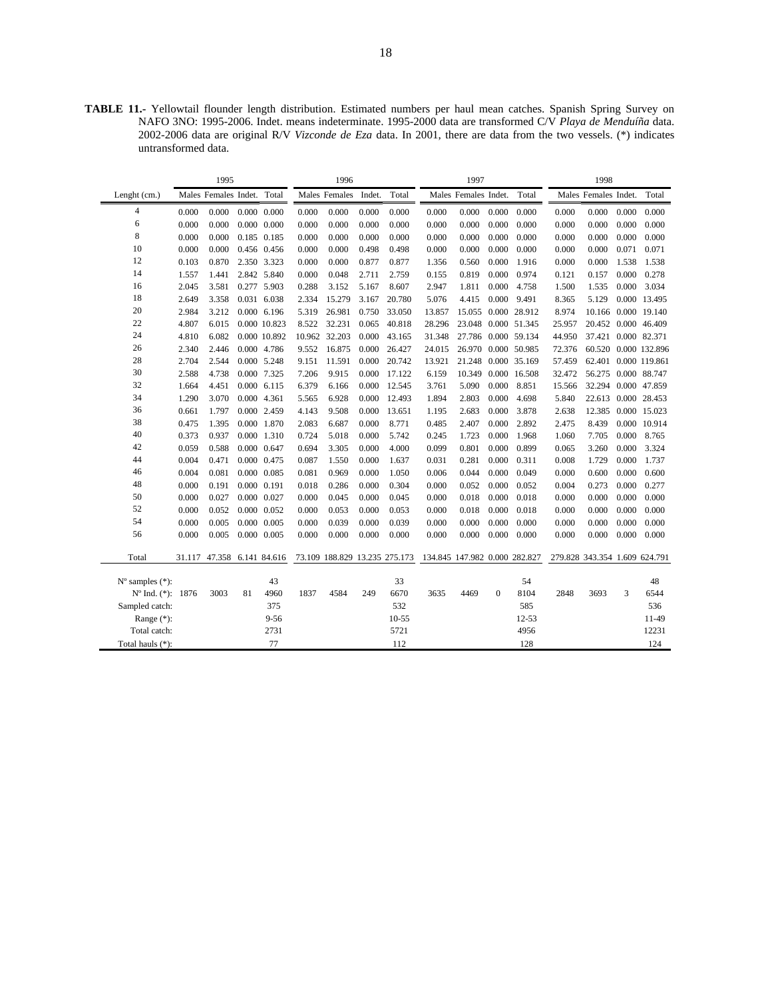**TABLE 11.-** Yellowtail flounder length distribution. Estimated numbers per haul mean catches. Spanish Spring Survey on NAFO 3NO: 1995-2006. Indet. means indeterminate. 1995-2000 data are transformed C/V *Playa de Menduíña* data. 2002-2006 data are original R/V *Vizconde de Eza* data. In 2001, there are data from the two vessels. (\*) indicates untransformed data.

| 1995                        |       |                            |    |                     | 1996  |                               |        |           | 1997                          |                      |              |                     | 1998                          |                      |       |                      |
|-----------------------------|-------|----------------------------|----|---------------------|-------|-------------------------------|--------|-----------|-------------------------------|----------------------|--------------|---------------------|-------------------------------|----------------------|-------|----------------------|
| Lenght (cm.)                |       | Males Females Indet. Total |    |                     |       | Males Females                 | Indet. | Total     |                               | Males Females Indet. |              | Total               |                               | Males Females Indet. |       | Total                |
| 4                           | 0.000 | 0.000                      |    | $0.000 \quad 0.000$ | 0.000 | 0.000                         | 0.000  | 0.000     | 0.000                         | 0.000                | 0.000        | 0.000               | 0.000                         | 0.000                | 0.000 | 0.000                |
| 6                           | 0.000 | 0.000                      |    | 0.000 0.000         | 0.000 | 0.000                         | 0.000  | 0.000     | 0.000                         | 0.000                | 0.000        | 0.000               | 0.000                         | 0.000                | 0.000 | 0.000                |
| 8                           | 0.000 | 0.000                      |    | 0.185 0.185         | 0.000 | 0.000                         | 0.000  | 0.000     | 0.000                         | 0.000                | 0.000        | 0.000               | 0.000                         | 0.000                | 0.000 | 0.000                |
| 10                          | 0.000 | 0.000                      |    | 0.456 0.456         | 0.000 | 0.000                         | 0.498  | 0.498     | 0.000                         | 0.000                | 0.000        | 0.000               | 0.000                         | 0.000                | 0.071 | 0.071                |
| 12                          | 0.103 | 0.870                      |    | 2.350 3.323         | 0.000 | 0.000                         | 0.877  | 0.877     | 1.356                         | 0.560                | 0.000        | 1.916               | 0.000                         | 0.000                | 1.538 | 1.538                |
| 14                          | 1.557 | 1.441                      |    | 2.842 5.840         | 0.000 | 0.048                         | 2.711  | 2.759     | 0.155                         | 0.819                | 0.000        | 0.974               | 0.121                         | 0.157                | 0.000 | 0.278                |
| 16                          | 2.045 | 3.581                      |    | 0.277 5.903         | 0.288 | 3.152                         | 5.167  | 8.607     | 2.947                         | 1.811                | 0.000        | 4.758               | 1.500                         | 1.535                | 0.000 | 3.034                |
| 18                          | 2.649 | 3.358                      |    | 0.031 6.038         | 2.334 | 15.279                        | 3.167  | 20.780    | 5.076                         | 4.415                | 0.000        | 9.491               | 8.365                         | 5.129                |       | 0.000 13.495         |
| 20                          | 2.984 | 3.212                      |    | 0.000 6.196         | 5.319 | 26.981                        | 0.750  | 33.050    | 13.857                        |                      |              | 15.055 0.000 28.912 | 8.974                         |                      |       | 10.166 0.000 19.140  |
| 22                          | 4.807 | 6.015                      |    | 0.000 10.823        | 8.522 | 32.231                        | 0.065  | 40.818    | 28.296                        |                      |              | 23.048 0.000 51.345 | 25.957                        | 20.452 0.000 46.409  |       |                      |
| 24                          | 4.810 | 6.082                      |    | 0.000 10.892        |       | 10.962 32.203                 | 0.000  | 43.165    | 31.348                        |                      |              | 27.786 0.000 59.134 | 44.950                        | 37.421 0.000 82.371  |       |                      |
| 26                          | 2.340 | 2.446                      |    | 0.000 4.786         | 9.552 | 16.875                        | 0.000  | 26.427    | 24.015                        |                      |              | 26.970 0.000 50.985 | 72.376                        |                      |       | 60.520 0.000 132.896 |
| 28                          | 2.704 | 2.544                      |    | 0.000 5.248         | 9.151 | 11.591                        | 0.000  | 20.742    | 13.921                        | 21.248               |              | 0.000 35.169        | 57.459                        | 62.401 0.000 119.861 |       |                      |
| 30                          | 2.588 | 4.738                      |    | 0.000 7.325         | 7.206 | 9.915                         | 0.000  | 17.122    | 6.159                         | 10.349               |              | 0.000 16.508        | 32.472                        | 56.275 0.000 88.747  |       |                      |
| 32                          | 1.664 | 4.451                      |    | $0.000$ 6.115       | 6.379 | 6.166                         | 0.000  | 12.545    | 3.761                         | 5.090                | 0.000        | 8.851               | 15.566                        | 32.294 0.000 47.859  |       |                      |
| 34                          | 1.290 | 3.070                      |    | 0.000 4.361         | 5.565 | 6.928                         | 0.000  | 12.493    | 1.894                         | 2.803                | 0.000        | 4.698               | 5.840                         | 22.613 0.000 28.453  |       |                      |
| 36                          | 0.661 | 1.797                      |    | 0.000 2.459         | 4.143 | 9.508                         | 0.000  | 13.651    | 1.195                         | 2.683                | 0.000        | 3.878               | 2.638                         | 12.385 0.000 15.023  |       |                      |
| 38                          | 0.475 | 1.395                      |    | 0.000 1.870         | 2.083 | 6.687                         | 0.000  | 8.771     | 0.485                         | 2.407                | 0.000        | 2.892               | 2.475                         | 8.439                |       | 0.000 10.914         |
| 40                          | 0.373 | 0.937                      |    | 0.000 1.310         | 0.724 | 5.018                         | 0.000  | 5.742     | 0.245                         | 1.723                | 0.000        | 1.968               | 1.060                         | 7.705                | 0.000 | 8.765                |
| 42                          | 0.059 | 0.588                      |    | 0.000 0.647         | 0.694 | 3.305                         | 0.000  | 4.000     | 0.099                         | 0.801                | 0.000        | 0.899               | 0.065                         | 3.260                | 0.000 | 3.324                |
| 44                          | 0.004 | 0.471                      |    | 0.000 0.475         | 0.087 | 1.550                         | 0.000  | 1.637     | 0.031                         | 0.281                | 0.000        | 0.311               | 0.008                         | 1.729                | 0.000 | 1.737                |
| 46                          | 0.004 | 0.081                      |    | 0.000 0.085         | 0.081 | 0.969                         | 0.000  | 1.050     | 0.006                         | 0.044                | 0.000        | 0.049               | 0.000                         | 0.600                | 0.000 | 0.600                |
| 48                          | 0.000 | 0.191                      |    | 0.000 0.191         | 0.018 | 0.286                         | 0.000  | 0.304     | 0.000                         | 0.052                | 0.000        | 0.052               | 0.004                         | 0.273                | 0.000 | 0.277                |
| 50                          | 0.000 | 0.027                      |    | 0.000 0.027         | 0.000 | 0.045                         | 0.000  | 0.045     | 0.000                         | 0.018                | 0.000        | 0.018               | 0.000                         | 0.000                | 0.000 | 0.000                |
| 52                          | 0.000 | 0.052                      |    | 0.000 0.052         | 0.000 | 0.053                         | 0.000  | 0.053     | 0.000                         | 0.018                | 0.000        | 0.018               | 0.000                         | 0.000                | 0.000 | 0.000                |
| 54                          | 0.000 | 0.005                      |    | $0.000 \quad 0.005$ | 0.000 | 0.039                         | 0.000  | 0.039     | 0.000                         | 0.000                | 0.000        | 0.000               | 0.000                         | 0.000                | 0.000 | 0.000                |
| 56                          | 0.000 | 0.005                      |    | 0.000 0.005         | 0.000 | 0.000                         | 0.000  | 0.000     | 0.000                         | 0.000                | 0.000        | 0.000               | 0.000                         | 0.000                | 0.000 | 0.000                |
| Total                       |       | 31.117 47.358 6.141 84.616 |    |                     |       | 73.109 188.829 13.235 275.173 |        |           | 134.845 147.982 0.000 282.827 |                      |              |                     | 279.828 343.354 1.609 624.791 |                      |       |                      |
| $N^{\circ}$ samples $(*)$ : |       |                            |    | 43                  |       |                               |        | 33        |                               |                      |              | 54                  |                               |                      |       | 48                   |
| Nº Ind. (*): 1876           |       | 3003                       | 81 | 4960                | 1837  | 4584                          | 249    | 6670      | 3635                          | 4469                 | $\mathbf{0}$ | 8104                | 2848                          | 3693                 | 3     | 6544                 |
| Sampled catch:              |       |                            |    | 375                 |       |                               |        | 532       |                               |                      |              | 585                 |                               |                      |       | 536                  |
| Range $(*)$ :               |       |                            |    | $9 - 56$            |       |                               |        | $10 - 55$ |                               |                      |              | $12 - 53$           |                               |                      |       | 11-49                |
| Total catch:                |       |                            |    | 2731                |       |                               |        | 5721      |                               |                      |              | 4956                |                               |                      |       | 12231                |
| Total hauls (*):            |       |                            |    | 77                  |       |                               |        | 112       |                               |                      |              | 128                 |                               |                      |       | 124                  |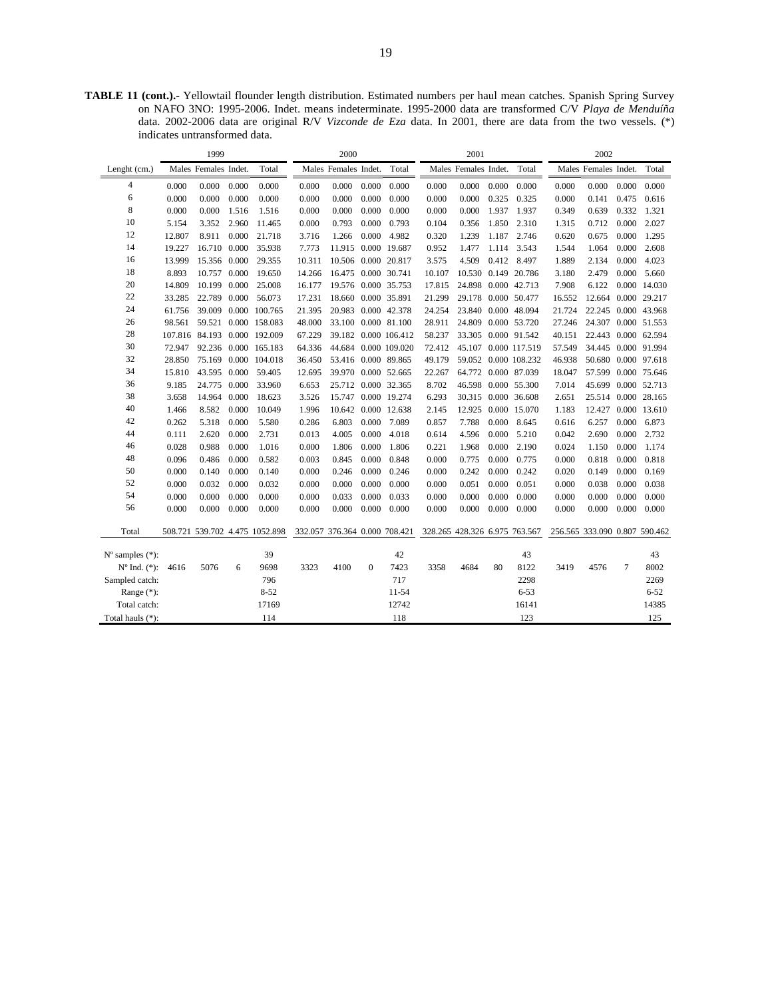**TABLE 11 (cont.).-** Yellowtail flounder length distribution. Estimated numbers per haul mean catches. Spanish Spring Survey on NAFO 3NO: 1995-2006. Indet. means indeterminate. 1995-2000 data are transformed C/V *Playa de Menduíña*  data. 2002-2006 data are original R/V *Vizconde de Eza* data. In 2001, there are data from the two vessels. (\*) indicates untransformed data.

| Males Females Indet.<br>Males Females Indet.<br>Total<br>Males Females Indet.<br>Total<br>Males Females Indet.<br>Total<br>Total<br>Lenght (cm.)<br>$\overline{4}$<br>0.000<br>0.000<br>0.000<br>0.000<br>0.000<br>0.000<br>0.000<br>0.000<br>0.000<br>0.000<br>0.000<br>0.000<br>0.000<br>0.000<br>0.000<br>0.000<br>6<br>0.000<br>0.000<br>0.000<br>0.000<br>0.000<br>0.000<br>0.000<br>0.000<br>0.325<br>0.000<br>0.616<br>0.000<br>0.000<br>0.325<br>0.141<br>0.475<br>8<br>0.000<br>0.000<br>1.516<br>0.000<br>0.000<br>0.000<br>0.000<br>0.000<br>0.000<br>1.937<br>1.937<br>0.349<br>0.639<br>0.332<br>1.321<br>1.516<br>10<br>0.000<br>0.000<br>2.027<br>5.154<br>3.352<br>2.960<br>11.465<br>0.000<br>0.793<br>0.793<br>0.104<br>0.356<br>1.850<br>2.310<br>1.315<br>0.712<br>12<br>0.000<br>0.675<br>0.000<br>1.295<br>12.807<br>8.911<br>21.718<br>3.716<br>1.266<br>0.000<br>4.982<br>0.320<br>1.239<br>1.187<br>2.746<br>0.620<br>14<br>16.710<br>0.000<br>7.773<br>11.915 0.000 19.687<br>0.952<br>1.477<br>0.000<br>2.608<br>19.227<br>35.938<br>1.114<br>3.543<br>1.544<br>1.064<br>16<br>13.999<br>15.356 0.000<br>29.355<br>10.311<br>10.506 0.000 20.817<br>3.575<br>4.509<br>0.412 8.497<br>1.889<br>2.134<br>0.000<br>4.023<br>18<br>8.893<br>10.757<br>0.000<br>19.650<br>14.266<br>16.475 0.000 30.741<br>10.107<br>10.530 0.149 20.786<br>3.180<br>2.479<br>0.000<br>5.660<br>20<br>14.809<br>10.199<br>0.000<br>25.008<br>16.177<br>19.576 0.000 35.753<br>17.815<br>24.898 0.000 42.713<br>7.908<br>6.122<br>0.000 14.030<br>22<br>22.789<br>17.231<br>0.000 35.891<br>29.178<br>12.664<br>33.285<br>0.000<br>56.073<br>18.660<br>21.299<br>0.000 50.477<br>16.552<br>0.000 29.217<br>24<br>22.245 0.000 43.968<br>39.009<br>0.000 100.765<br>21.395<br>20.983 0.000 42.378<br>24.254<br>23.840 0.000 48.094<br>21.724<br>61.756<br>26<br>33.100<br>0.000 81.100<br>24.307 0.000 51.553<br>98.561<br>59.521<br>0.000 158.083<br>48.000<br>28.911<br>24.809<br>0.000 53.720<br>27.246<br>28<br>22.443 0.000 62.594<br>107.816 84.193 0.000 192.009<br>67.229<br>39.182 0.000 106.412<br>58.237<br>33.305 0.000 91.542<br>40.151<br>30<br>34.445 0.000 91.994<br>92.236 0.000 165.183<br>64.336<br>44.684<br>0.000 109.020<br>72.412<br>45.107 0.000 117.519<br>57.549<br>72.947<br>32<br>50.680 0.000 97.618<br>28.850<br>75.169<br>0.000 104.018<br>36.450<br>53.416<br>0.000 89.865<br>49.179<br>59.052 0.000 108.232<br>46.938<br>34<br>15.810<br>43.595<br>0.000<br>59.405<br>12.695<br>39.970<br>0.000 52.665<br>22.267<br>64.772 0.000 87.039<br>18.047<br>57.599 0.000 75.646<br>36<br>9.185<br>24.775<br>0.000<br>33.960<br>6.653<br>25.712 0.000 32.365<br>8.702<br>46.598 0.000 55.300<br>7.014<br>45.699 0.000 52.713<br>38<br>3.658<br>6.293<br>25.514 0.000 28.165<br>14.964<br>0.000<br>18.623<br>3.526<br>15.747<br>0.000 19.274<br>30.315<br>0.000 36.608<br>2.651<br>40<br>1.466<br>8.582<br>0.000<br>10.049<br>10.642<br>0.000 12.638<br>0.000 15.070<br>1.183<br>12.427<br>0.000 13.610<br>1.996<br>2.145<br>12.925<br>42<br>0.000<br>0.000<br>7.788<br>0.000<br>0.000<br>6.873<br>0.262<br>5.318<br>5.580<br>0.286<br>6.803<br>7.089<br>0.857<br>8.645<br>0.616<br>6.257<br>44<br>0.000<br>4.005<br>0.000<br>2.690<br>0.000<br>2.732<br>0.111<br>2.620<br>2.731<br>0.013<br>4.018<br>0.614<br>4.596<br>0.000<br>5.210<br>0.042<br>46<br>0.028<br>0.988<br>0.000<br>0.000<br>0.221<br>0.000<br>0.000<br>1.174<br>1.016<br>0.000<br>1.806<br>1.806<br>1.968<br>2.190<br>0.024<br>1.150<br>48<br>0.000<br>0.000<br>0.818<br>0.096<br>0.486<br>0.000<br>0.582<br>0.003<br>0.845<br>0.848<br>0.000<br>0.775<br>0.000<br>0.775<br>0.000<br>0.818<br>50<br>0.000<br>0.000<br>0.000<br>0.140<br>0.140<br>0.000<br>0.246<br>0.000<br>0.246<br>0.000<br>0.242<br>0.242<br>0.020<br>0.149<br>0.000<br>0.169 |
|-----------------------------------------------------------------------------------------------------------------------------------------------------------------------------------------------------------------------------------------------------------------------------------------------------------------------------------------------------------------------------------------------------------------------------------------------------------------------------------------------------------------------------------------------------------------------------------------------------------------------------------------------------------------------------------------------------------------------------------------------------------------------------------------------------------------------------------------------------------------------------------------------------------------------------------------------------------------------------------------------------------------------------------------------------------------------------------------------------------------------------------------------------------------------------------------------------------------------------------------------------------------------------------------------------------------------------------------------------------------------------------------------------------------------------------------------------------------------------------------------------------------------------------------------------------------------------------------------------------------------------------------------------------------------------------------------------------------------------------------------------------------------------------------------------------------------------------------------------------------------------------------------------------------------------------------------------------------------------------------------------------------------------------------------------------------------------------------------------------------------------------------------------------------------------------------------------------------------------------------------------------------------------------------------------------------------------------------------------------------------------------------------------------------------------------------------------------------------------------------------------------------------------------------------------------------------------------------------------------------------------------------------------------------------------------------------------------------------------------------------------------------------------------------------------------------------------------------------------------------------------------------------------------------------------------------------------------------------------------------------------------------------------------------------------------------------------------------------------------------------------------------------------------------------------------------------------------------------------------------------------------------------------------------------------------------------------------------------------------------------------------------------------------------------------------------------------------------------------------------------------------------------------------------------------------------------------------------------------------------------------------------------------------------------------------------------------------------------------------------------------------------------------------------------------------------------------------------------|
|                                                                                                                                                                                                                                                                                                                                                                                                                                                                                                                                                                                                                                                                                                                                                                                                                                                                                                                                                                                                                                                                                                                                                                                                                                                                                                                                                                                                                                                                                                                                                                                                                                                                                                                                                                                                                                                                                                                                                                                                                                                                                                                                                                                                                                                                                                                                                                                                                                                                                                                                                                                                                                                                                                                                                                                                                                                                                                                                                                                                                                                                                                                                                                                                                                                                                                                                                                                                                                                                                                                                                                                                                                                                                                                                                                                                                                               |
|                                                                                                                                                                                                                                                                                                                                                                                                                                                                                                                                                                                                                                                                                                                                                                                                                                                                                                                                                                                                                                                                                                                                                                                                                                                                                                                                                                                                                                                                                                                                                                                                                                                                                                                                                                                                                                                                                                                                                                                                                                                                                                                                                                                                                                                                                                                                                                                                                                                                                                                                                                                                                                                                                                                                                                                                                                                                                                                                                                                                                                                                                                                                                                                                                                                                                                                                                                                                                                                                                                                                                                                                                                                                                                                                                                                                                                               |
|                                                                                                                                                                                                                                                                                                                                                                                                                                                                                                                                                                                                                                                                                                                                                                                                                                                                                                                                                                                                                                                                                                                                                                                                                                                                                                                                                                                                                                                                                                                                                                                                                                                                                                                                                                                                                                                                                                                                                                                                                                                                                                                                                                                                                                                                                                                                                                                                                                                                                                                                                                                                                                                                                                                                                                                                                                                                                                                                                                                                                                                                                                                                                                                                                                                                                                                                                                                                                                                                                                                                                                                                                                                                                                                                                                                                                                               |
|                                                                                                                                                                                                                                                                                                                                                                                                                                                                                                                                                                                                                                                                                                                                                                                                                                                                                                                                                                                                                                                                                                                                                                                                                                                                                                                                                                                                                                                                                                                                                                                                                                                                                                                                                                                                                                                                                                                                                                                                                                                                                                                                                                                                                                                                                                                                                                                                                                                                                                                                                                                                                                                                                                                                                                                                                                                                                                                                                                                                                                                                                                                                                                                                                                                                                                                                                                                                                                                                                                                                                                                                                                                                                                                                                                                                                                               |
|                                                                                                                                                                                                                                                                                                                                                                                                                                                                                                                                                                                                                                                                                                                                                                                                                                                                                                                                                                                                                                                                                                                                                                                                                                                                                                                                                                                                                                                                                                                                                                                                                                                                                                                                                                                                                                                                                                                                                                                                                                                                                                                                                                                                                                                                                                                                                                                                                                                                                                                                                                                                                                                                                                                                                                                                                                                                                                                                                                                                                                                                                                                                                                                                                                                                                                                                                                                                                                                                                                                                                                                                                                                                                                                                                                                                                                               |
|                                                                                                                                                                                                                                                                                                                                                                                                                                                                                                                                                                                                                                                                                                                                                                                                                                                                                                                                                                                                                                                                                                                                                                                                                                                                                                                                                                                                                                                                                                                                                                                                                                                                                                                                                                                                                                                                                                                                                                                                                                                                                                                                                                                                                                                                                                                                                                                                                                                                                                                                                                                                                                                                                                                                                                                                                                                                                                                                                                                                                                                                                                                                                                                                                                                                                                                                                                                                                                                                                                                                                                                                                                                                                                                                                                                                                                               |
|                                                                                                                                                                                                                                                                                                                                                                                                                                                                                                                                                                                                                                                                                                                                                                                                                                                                                                                                                                                                                                                                                                                                                                                                                                                                                                                                                                                                                                                                                                                                                                                                                                                                                                                                                                                                                                                                                                                                                                                                                                                                                                                                                                                                                                                                                                                                                                                                                                                                                                                                                                                                                                                                                                                                                                                                                                                                                                                                                                                                                                                                                                                                                                                                                                                                                                                                                                                                                                                                                                                                                                                                                                                                                                                                                                                                                                               |
|                                                                                                                                                                                                                                                                                                                                                                                                                                                                                                                                                                                                                                                                                                                                                                                                                                                                                                                                                                                                                                                                                                                                                                                                                                                                                                                                                                                                                                                                                                                                                                                                                                                                                                                                                                                                                                                                                                                                                                                                                                                                                                                                                                                                                                                                                                                                                                                                                                                                                                                                                                                                                                                                                                                                                                                                                                                                                                                                                                                                                                                                                                                                                                                                                                                                                                                                                                                                                                                                                                                                                                                                                                                                                                                                                                                                                                               |
|                                                                                                                                                                                                                                                                                                                                                                                                                                                                                                                                                                                                                                                                                                                                                                                                                                                                                                                                                                                                                                                                                                                                                                                                                                                                                                                                                                                                                                                                                                                                                                                                                                                                                                                                                                                                                                                                                                                                                                                                                                                                                                                                                                                                                                                                                                                                                                                                                                                                                                                                                                                                                                                                                                                                                                                                                                                                                                                                                                                                                                                                                                                                                                                                                                                                                                                                                                                                                                                                                                                                                                                                                                                                                                                                                                                                                                               |
|                                                                                                                                                                                                                                                                                                                                                                                                                                                                                                                                                                                                                                                                                                                                                                                                                                                                                                                                                                                                                                                                                                                                                                                                                                                                                                                                                                                                                                                                                                                                                                                                                                                                                                                                                                                                                                                                                                                                                                                                                                                                                                                                                                                                                                                                                                                                                                                                                                                                                                                                                                                                                                                                                                                                                                                                                                                                                                                                                                                                                                                                                                                                                                                                                                                                                                                                                                                                                                                                                                                                                                                                                                                                                                                                                                                                                                               |
|                                                                                                                                                                                                                                                                                                                                                                                                                                                                                                                                                                                                                                                                                                                                                                                                                                                                                                                                                                                                                                                                                                                                                                                                                                                                                                                                                                                                                                                                                                                                                                                                                                                                                                                                                                                                                                                                                                                                                                                                                                                                                                                                                                                                                                                                                                                                                                                                                                                                                                                                                                                                                                                                                                                                                                                                                                                                                                                                                                                                                                                                                                                                                                                                                                                                                                                                                                                                                                                                                                                                                                                                                                                                                                                                                                                                                                               |
|                                                                                                                                                                                                                                                                                                                                                                                                                                                                                                                                                                                                                                                                                                                                                                                                                                                                                                                                                                                                                                                                                                                                                                                                                                                                                                                                                                                                                                                                                                                                                                                                                                                                                                                                                                                                                                                                                                                                                                                                                                                                                                                                                                                                                                                                                                                                                                                                                                                                                                                                                                                                                                                                                                                                                                                                                                                                                                                                                                                                                                                                                                                                                                                                                                                                                                                                                                                                                                                                                                                                                                                                                                                                                                                                                                                                                                               |
|                                                                                                                                                                                                                                                                                                                                                                                                                                                                                                                                                                                                                                                                                                                                                                                                                                                                                                                                                                                                                                                                                                                                                                                                                                                                                                                                                                                                                                                                                                                                                                                                                                                                                                                                                                                                                                                                                                                                                                                                                                                                                                                                                                                                                                                                                                                                                                                                                                                                                                                                                                                                                                                                                                                                                                                                                                                                                                                                                                                                                                                                                                                                                                                                                                                                                                                                                                                                                                                                                                                                                                                                                                                                                                                                                                                                                                               |
|                                                                                                                                                                                                                                                                                                                                                                                                                                                                                                                                                                                                                                                                                                                                                                                                                                                                                                                                                                                                                                                                                                                                                                                                                                                                                                                                                                                                                                                                                                                                                                                                                                                                                                                                                                                                                                                                                                                                                                                                                                                                                                                                                                                                                                                                                                                                                                                                                                                                                                                                                                                                                                                                                                                                                                                                                                                                                                                                                                                                                                                                                                                                                                                                                                                                                                                                                                                                                                                                                                                                                                                                                                                                                                                                                                                                                                               |
|                                                                                                                                                                                                                                                                                                                                                                                                                                                                                                                                                                                                                                                                                                                                                                                                                                                                                                                                                                                                                                                                                                                                                                                                                                                                                                                                                                                                                                                                                                                                                                                                                                                                                                                                                                                                                                                                                                                                                                                                                                                                                                                                                                                                                                                                                                                                                                                                                                                                                                                                                                                                                                                                                                                                                                                                                                                                                                                                                                                                                                                                                                                                                                                                                                                                                                                                                                                                                                                                                                                                                                                                                                                                                                                                                                                                                                               |
|                                                                                                                                                                                                                                                                                                                                                                                                                                                                                                                                                                                                                                                                                                                                                                                                                                                                                                                                                                                                                                                                                                                                                                                                                                                                                                                                                                                                                                                                                                                                                                                                                                                                                                                                                                                                                                                                                                                                                                                                                                                                                                                                                                                                                                                                                                                                                                                                                                                                                                                                                                                                                                                                                                                                                                                                                                                                                                                                                                                                                                                                                                                                                                                                                                                                                                                                                                                                                                                                                                                                                                                                                                                                                                                                                                                                                                               |
|                                                                                                                                                                                                                                                                                                                                                                                                                                                                                                                                                                                                                                                                                                                                                                                                                                                                                                                                                                                                                                                                                                                                                                                                                                                                                                                                                                                                                                                                                                                                                                                                                                                                                                                                                                                                                                                                                                                                                                                                                                                                                                                                                                                                                                                                                                                                                                                                                                                                                                                                                                                                                                                                                                                                                                                                                                                                                                                                                                                                                                                                                                                                                                                                                                                                                                                                                                                                                                                                                                                                                                                                                                                                                                                                                                                                                                               |
|                                                                                                                                                                                                                                                                                                                                                                                                                                                                                                                                                                                                                                                                                                                                                                                                                                                                                                                                                                                                                                                                                                                                                                                                                                                                                                                                                                                                                                                                                                                                                                                                                                                                                                                                                                                                                                                                                                                                                                                                                                                                                                                                                                                                                                                                                                                                                                                                                                                                                                                                                                                                                                                                                                                                                                                                                                                                                                                                                                                                                                                                                                                                                                                                                                                                                                                                                                                                                                                                                                                                                                                                                                                                                                                                                                                                                                               |
|                                                                                                                                                                                                                                                                                                                                                                                                                                                                                                                                                                                                                                                                                                                                                                                                                                                                                                                                                                                                                                                                                                                                                                                                                                                                                                                                                                                                                                                                                                                                                                                                                                                                                                                                                                                                                                                                                                                                                                                                                                                                                                                                                                                                                                                                                                                                                                                                                                                                                                                                                                                                                                                                                                                                                                                                                                                                                                                                                                                                                                                                                                                                                                                                                                                                                                                                                                                                                                                                                                                                                                                                                                                                                                                                                                                                                                               |
|                                                                                                                                                                                                                                                                                                                                                                                                                                                                                                                                                                                                                                                                                                                                                                                                                                                                                                                                                                                                                                                                                                                                                                                                                                                                                                                                                                                                                                                                                                                                                                                                                                                                                                                                                                                                                                                                                                                                                                                                                                                                                                                                                                                                                                                                                                                                                                                                                                                                                                                                                                                                                                                                                                                                                                                                                                                                                                                                                                                                                                                                                                                                                                                                                                                                                                                                                                                                                                                                                                                                                                                                                                                                                                                                                                                                                                               |
|                                                                                                                                                                                                                                                                                                                                                                                                                                                                                                                                                                                                                                                                                                                                                                                                                                                                                                                                                                                                                                                                                                                                                                                                                                                                                                                                                                                                                                                                                                                                                                                                                                                                                                                                                                                                                                                                                                                                                                                                                                                                                                                                                                                                                                                                                                                                                                                                                                                                                                                                                                                                                                                                                                                                                                                                                                                                                                                                                                                                                                                                                                                                                                                                                                                                                                                                                                                                                                                                                                                                                                                                                                                                                                                                                                                                                                               |
|                                                                                                                                                                                                                                                                                                                                                                                                                                                                                                                                                                                                                                                                                                                                                                                                                                                                                                                                                                                                                                                                                                                                                                                                                                                                                                                                                                                                                                                                                                                                                                                                                                                                                                                                                                                                                                                                                                                                                                                                                                                                                                                                                                                                                                                                                                                                                                                                                                                                                                                                                                                                                                                                                                                                                                                                                                                                                                                                                                                                                                                                                                                                                                                                                                                                                                                                                                                                                                                                                                                                                                                                                                                                                                                                                                                                                                               |
|                                                                                                                                                                                                                                                                                                                                                                                                                                                                                                                                                                                                                                                                                                                                                                                                                                                                                                                                                                                                                                                                                                                                                                                                                                                                                                                                                                                                                                                                                                                                                                                                                                                                                                                                                                                                                                                                                                                                                                                                                                                                                                                                                                                                                                                                                                                                                                                                                                                                                                                                                                                                                                                                                                                                                                                                                                                                                                                                                                                                                                                                                                                                                                                                                                                                                                                                                                                                                                                                                                                                                                                                                                                                                                                                                                                                                                               |
|                                                                                                                                                                                                                                                                                                                                                                                                                                                                                                                                                                                                                                                                                                                                                                                                                                                                                                                                                                                                                                                                                                                                                                                                                                                                                                                                                                                                                                                                                                                                                                                                                                                                                                                                                                                                                                                                                                                                                                                                                                                                                                                                                                                                                                                                                                                                                                                                                                                                                                                                                                                                                                                                                                                                                                                                                                                                                                                                                                                                                                                                                                                                                                                                                                                                                                                                                                                                                                                                                                                                                                                                                                                                                                                                                                                                                                               |
|                                                                                                                                                                                                                                                                                                                                                                                                                                                                                                                                                                                                                                                                                                                                                                                                                                                                                                                                                                                                                                                                                                                                                                                                                                                                                                                                                                                                                                                                                                                                                                                                                                                                                                                                                                                                                                                                                                                                                                                                                                                                                                                                                                                                                                                                                                                                                                                                                                                                                                                                                                                                                                                                                                                                                                                                                                                                                                                                                                                                                                                                                                                                                                                                                                                                                                                                                                                                                                                                                                                                                                                                                                                                                                                                                                                                                                               |
| 52<br>0.038<br>0.000<br>0.032<br>0.000<br>0.032<br>0.000<br>0.000<br>0.000<br>0.000<br>0.000<br>0.051<br>0.000<br>0.051<br>0.000<br>0.038<br>0.000                                                                                                                                                                                                                                                                                                                                                                                                                                                                                                                                                                                                                                                                                                                                                                                                                                                                                                                                                                                                                                                                                                                                                                                                                                                                                                                                                                                                                                                                                                                                                                                                                                                                                                                                                                                                                                                                                                                                                                                                                                                                                                                                                                                                                                                                                                                                                                                                                                                                                                                                                                                                                                                                                                                                                                                                                                                                                                                                                                                                                                                                                                                                                                                                                                                                                                                                                                                                                                                                                                                                                                                                                                                                                            |
| 54<br>0.000<br>0.000<br>0.000<br>0.000<br>0.033<br>0.000<br>0.033<br>0.000<br>0.000<br>0.000<br>0.000<br>0.000<br>0.000<br>0.000<br>0.000<br>0.000                                                                                                                                                                                                                                                                                                                                                                                                                                                                                                                                                                                                                                                                                                                                                                                                                                                                                                                                                                                                                                                                                                                                                                                                                                                                                                                                                                                                                                                                                                                                                                                                                                                                                                                                                                                                                                                                                                                                                                                                                                                                                                                                                                                                                                                                                                                                                                                                                                                                                                                                                                                                                                                                                                                                                                                                                                                                                                                                                                                                                                                                                                                                                                                                                                                                                                                                                                                                                                                                                                                                                                                                                                                                                            |
| 56<br>0.000<br>0.000<br>0.000<br>0.000<br>0.000<br>0.000<br>0.000<br>0.000<br>0.000<br>0.000<br>0.000<br>0.000<br>0.000<br>0.000<br>0.000<br>0.000                                                                                                                                                                                                                                                                                                                                                                                                                                                                                                                                                                                                                                                                                                                                                                                                                                                                                                                                                                                                                                                                                                                                                                                                                                                                                                                                                                                                                                                                                                                                                                                                                                                                                                                                                                                                                                                                                                                                                                                                                                                                                                                                                                                                                                                                                                                                                                                                                                                                                                                                                                                                                                                                                                                                                                                                                                                                                                                                                                                                                                                                                                                                                                                                                                                                                                                                                                                                                                                                                                                                                                                                                                                                                            |
| Total<br>508.721 539.702 4.475 1052.898<br>332.057 376.364 0.000 708.421<br>328.265 428.326 6.975 763.567<br>256.565 333.090 0.807 590.462                                                                                                                                                                                                                                                                                                                                                                                                                                                                                                                                                                                                                                                                                                                                                                                                                                                                                                                                                                                                                                                                                                                                                                                                                                                                                                                                                                                                                                                                                                                                                                                                                                                                                                                                                                                                                                                                                                                                                                                                                                                                                                                                                                                                                                                                                                                                                                                                                                                                                                                                                                                                                                                                                                                                                                                                                                                                                                                                                                                                                                                                                                                                                                                                                                                                                                                                                                                                                                                                                                                                                                                                                                                                                                    |
| 39<br>42<br>43<br>43<br>$N^{\circ}$ samples $(*)$ :                                                                                                                                                                                                                                                                                                                                                                                                                                                                                                                                                                                                                                                                                                                                                                                                                                                                                                                                                                                                                                                                                                                                                                                                                                                                                                                                                                                                                                                                                                                                                                                                                                                                                                                                                                                                                                                                                                                                                                                                                                                                                                                                                                                                                                                                                                                                                                                                                                                                                                                                                                                                                                                                                                                                                                                                                                                                                                                                                                                                                                                                                                                                                                                                                                                                                                                                                                                                                                                                                                                                                                                                                                                                                                                                                                                           |
| 9698<br>7423<br>80<br>8122<br>$N^{\circ}$ Ind. $(*)$ :<br>5076<br>6<br>3323<br>4100<br>$\mathbf{0}$<br>3358<br>4684<br>3419<br>4576<br>7<br>8002<br>4616                                                                                                                                                                                                                                                                                                                                                                                                                                                                                                                                                                                                                                                                                                                                                                                                                                                                                                                                                                                                                                                                                                                                                                                                                                                                                                                                                                                                                                                                                                                                                                                                                                                                                                                                                                                                                                                                                                                                                                                                                                                                                                                                                                                                                                                                                                                                                                                                                                                                                                                                                                                                                                                                                                                                                                                                                                                                                                                                                                                                                                                                                                                                                                                                                                                                                                                                                                                                                                                                                                                                                                                                                                                                                      |
| 796<br>717<br>Sampled catch:<br>2298<br>2269                                                                                                                                                                                                                                                                                                                                                                                                                                                                                                                                                                                                                                                                                                                                                                                                                                                                                                                                                                                                                                                                                                                                                                                                                                                                                                                                                                                                                                                                                                                                                                                                                                                                                                                                                                                                                                                                                                                                                                                                                                                                                                                                                                                                                                                                                                                                                                                                                                                                                                                                                                                                                                                                                                                                                                                                                                                                                                                                                                                                                                                                                                                                                                                                                                                                                                                                                                                                                                                                                                                                                                                                                                                                                                                                                                                                  |
| 11-54<br>$8 - 52$<br>$6 - 53$<br>Range $(*)$ :<br>$6 - 52$                                                                                                                                                                                                                                                                                                                                                                                                                                                                                                                                                                                                                                                                                                                                                                                                                                                                                                                                                                                                                                                                                                                                                                                                                                                                                                                                                                                                                                                                                                                                                                                                                                                                                                                                                                                                                                                                                                                                                                                                                                                                                                                                                                                                                                                                                                                                                                                                                                                                                                                                                                                                                                                                                                                                                                                                                                                                                                                                                                                                                                                                                                                                                                                                                                                                                                                                                                                                                                                                                                                                                                                                                                                                                                                                                                                    |
| 12742<br>Total catch:<br>17169<br>16141<br>14385                                                                                                                                                                                                                                                                                                                                                                                                                                                                                                                                                                                                                                                                                                                                                                                                                                                                                                                                                                                                                                                                                                                                                                                                                                                                                                                                                                                                                                                                                                                                                                                                                                                                                                                                                                                                                                                                                                                                                                                                                                                                                                                                                                                                                                                                                                                                                                                                                                                                                                                                                                                                                                                                                                                                                                                                                                                                                                                                                                                                                                                                                                                                                                                                                                                                                                                                                                                                                                                                                                                                                                                                                                                                                                                                                                                              |
| 118<br>123<br>125<br>114<br>Total hauls (*):                                                                                                                                                                                                                                                                                                                                                                                                                                                                                                                                                                                                                                                                                                                                                                                                                                                                                                                                                                                                                                                                                                                                                                                                                                                                                                                                                                                                                                                                                                                                                                                                                                                                                                                                                                                                                                                                                                                                                                                                                                                                                                                                                                                                                                                                                                                                                                                                                                                                                                                                                                                                                                                                                                                                                                                                                                                                                                                                                                                                                                                                                                                                                                                                                                                                                                                                                                                                                                                                                                                                                                                                                                                                                                                                                                                                  |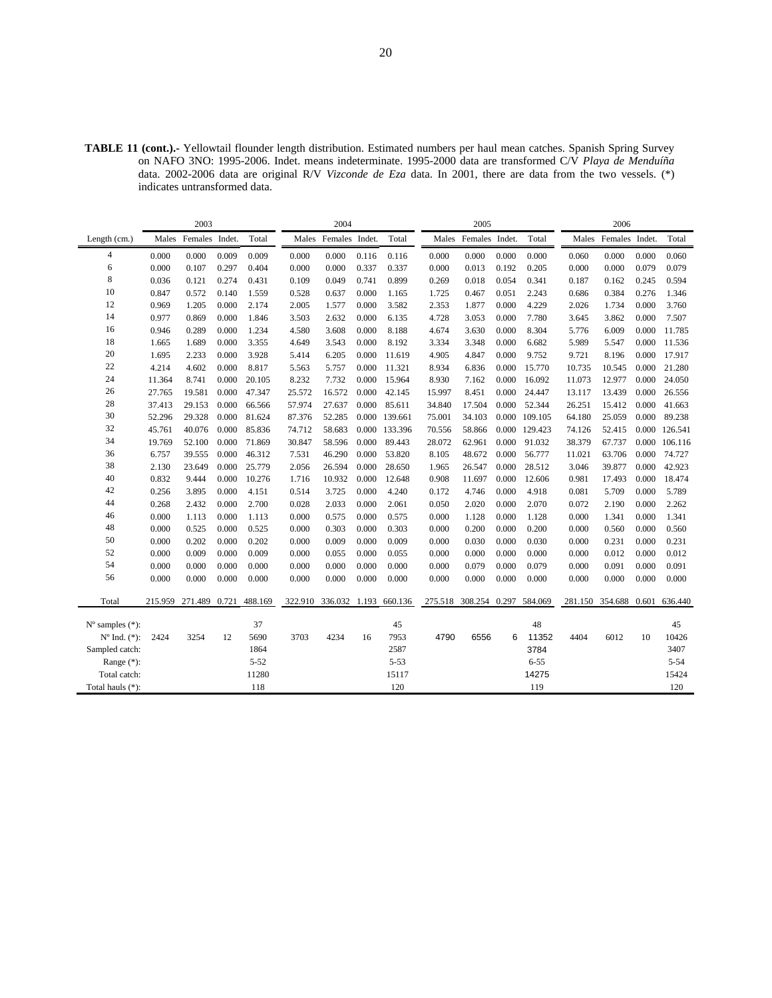**TABLE 11 (cont.).-** Yellowtail flounder length distribution. Estimated numbers per haul mean catches. Spanish Spring Survey on NAFO 3NO: 1995-2006. Indet. means indeterminate. 1995-2000 data are transformed C/V *Playa de Menduíña*  data. 2002-2006 data are original R/V *Vizconde de Eza* data. In 2001, there are data from the two vessels. (\*) indicates untransformed data.

| Females Indet.<br>Total<br>Males Females Indet.<br>Total<br>Females Indet.<br>Total<br>Females Indet.<br>Length (cm.)<br>Males<br>Males<br>Males<br>4<br>0.000<br>0.009<br>0.009<br>0.000<br>0.000<br>0.000<br>0.000<br>0.000<br>0.000<br>0.000<br>0.116<br>0.116<br>0.000<br>0.000<br>0.060<br>6<br>0.000<br>0.107<br>0.297<br>0.000<br>0.337<br>0.192<br>0.000<br>0.079<br>0.404<br>0.000<br>0.337<br>0.000<br>0.013<br>0.205<br>0.000 | Total<br>0.060<br>0.079<br>0.594 |
|------------------------------------------------------------------------------------------------------------------------------------------------------------------------------------------------------------------------------------------------------------------------------------------------------------------------------------------------------------------------------------------------------------------------------------------|----------------------------------|
|                                                                                                                                                                                                                                                                                                                                                                                                                                          |                                  |
|                                                                                                                                                                                                                                                                                                                                                                                                                                          |                                  |
|                                                                                                                                                                                                                                                                                                                                                                                                                                          |                                  |
| 8<br>0.274<br>0.741<br>0.036<br>0.121<br>0.431<br>0.109<br>0.049<br>0.899<br>0.269<br>0.018<br>0.054<br>0.341<br>0.187<br>0.162<br>0.245                                                                                                                                                                                                                                                                                                 |                                  |
| 10<br>0.572<br>0.140<br>0.000<br>0.384<br>0.847<br>1.559<br>0.528<br>0.637<br>1.165<br>1.725<br>0.467<br>0.051<br>2.243<br>0.686<br>0.276                                                                                                                                                                                                                                                                                                | 1.346                            |
| 12<br>0.000<br>0.000<br>0.000<br>1.205<br>2.174<br>2.005<br>1.577<br>3.582<br>1.877<br>4.229<br>1.734<br>0.000<br>0.969<br>2.353<br>2.026                                                                                                                                                                                                                                                                                                | 3.760                            |
| 14<br>0.000<br>3.503<br>2.632<br>0.000<br>0.000<br>0.977<br>0.869<br>1.846<br>6.135<br>4.728<br>3.053<br>7.780<br>3.645<br>3.862<br>0.000                                                                                                                                                                                                                                                                                                | 7.507                            |
| 16<br>0.000<br>1.234<br>4.580<br>3.608<br>0.000<br>8.188<br>3.630<br>0.000<br>6.009<br>0.946<br>0.289<br>4.674<br>8.304<br>5.776                                                                                                                                                                                                                                                                                                         | 0.000<br>11.785                  |
| 18<br>1.665<br>1.689<br>0.000<br>3.543<br>0.000<br>8.192<br>3.348<br>0.000<br>3.355<br>4.649<br>3.334<br>6.682<br>5.989<br>5.547                                                                                                                                                                                                                                                                                                         | 0.000<br>11.536                  |
| 20<br>1.695<br>0.000<br>0.000<br>8.196<br>2.233<br>3.928<br>5.414<br>6.205<br>0.000<br>4.905<br>4.847<br>9.752<br>9.721<br>11.619                                                                                                                                                                                                                                                                                                        | 17.917<br>0.000                  |
| 22<br>4.214<br>4.602<br>0.000<br>8.817<br>5.757<br>0.000<br>6.836<br>0.000<br>10.545<br>5.563<br>11.321<br>8.934<br>15.770<br>10.735                                                                                                                                                                                                                                                                                                     | 21.280<br>0.000                  |
| 24<br>11.364<br>8.741<br>0.000<br>20.105<br>8.232<br>7.732<br>0.000<br>15.964<br>8.930<br>7.162<br>0.000<br>16.092<br>12.977<br>11.073                                                                                                                                                                                                                                                                                                   | 0.000<br>24.050                  |
| 26<br>0.000<br>16.572<br>0.000<br>27.765<br>19.581<br>47.347<br>25.572<br>42.145<br>8.451<br>0.000<br>13.439<br>15.997<br>24.447<br>13.117                                                                                                                                                                                                                                                                                               | 0.000<br>26.556                  |
| 28<br>37.413<br>0.000<br>57.974<br>27.637<br>0.000<br>85.611<br>17.504<br>0.000<br>52.344<br>29.153<br>66.566<br>34.840<br>26.251<br>15.412                                                                                                                                                                                                                                                                                              | 41.663<br>0.000                  |
| 30<br>52.296<br>29.328<br>0.000<br>81.624<br>87.376<br>52.285<br>0.000 139.661<br>34.103<br>0.000 109.105<br>64.180<br>25.059<br>75.001                                                                                                                                                                                                                                                                                                  | 89.238<br>0.000                  |
| 32<br>45.761<br>40.076<br>0.000<br>85.836<br>74.712<br>58.683<br>0.000 133.396<br>70.556<br>58.866<br>0.000 129.423<br>52.415<br>74.126                                                                                                                                                                                                                                                                                                  | 0.000 126.541                    |
| 34<br>67.737<br>19.769<br>52.100<br>0.000<br>71.869<br>30.847<br>58.596<br>0.000<br>89.443<br>28.072<br>62.961<br>0.000<br>91.032<br>38.379                                                                                                                                                                                                                                                                                              | 0.000 106.116                    |
| 36<br>6.757<br>39.555<br>0.000<br>46.312<br>7.531<br>46.290<br>0.000<br>53.820<br>8.105<br>48.672<br>0.000<br>56.777<br>11.021<br>63.706                                                                                                                                                                                                                                                                                                 | 0.000<br>74.727                  |
| 38<br>0.000<br>26.594<br>28.650<br>0.000<br>39.877<br>2.130<br>23.649<br>25.779<br>2.056<br>0.000<br>26.547<br>28.512<br>3.046<br>1.965                                                                                                                                                                                                                                                                                                  | 0.000<br>42.923                  |
| 40<br>0.000<br>0.000<br>0.832<br>9.444<br>10.276<br>1.716<br>10.932<br>12.648<br>0.908<br>11.697<br>0.000<br>12.606<br>0.981<br>17.493                                                                                                                                                                                                                                                                                                   | 18.474<br>0.000                  |
| 42<br>3.895<br>0.000<br>4.151<br>3.725<br>0.000<br>4.240<br>4.746<br>0.000<br>4.918<br>5.709<br>0.000<br>0.256<br>0.514<br>0.172<br>0.081                                                                                                                                                                                                                                                                                                | 5.789                            |
| 44<br>2.033<br>0.268<br>2.432<br>0.000<br>2.700<br>0.028<br>0.000<br>2.061<br>0.050<br>2.020<br>0.000<br>2.070<br>2.190<br>0.000<br>0.072                                                                                                                                                                                                                                                                                                | 2.262                            |
| 46<br>0.000<br>0.000<br>0.000<br>0.000<br>1.113<br>1.113<br>0.000<br>0.575<br>0.575<br>0.000<br>1.128<br>1.128<br>0.000<br>1.341<br>0.000                                                                                                                                                                                                                                                                                                | 1.341                            |
| 48<br>0.303<br>0.000<br>0.303<br>0.000<br>0.560<br>0.000<br>0.525<br>0.000<br>0.525<br>0.000<br>0.000<br>0.200<br>0.200<br>0.000<br>0.000                                                                                                                                                                                                                                                                                                | 0.560                            |
| 50<br>0.000<br>0.202<br>0.000<br>0.202<br>0.000<br>0.009<br>0.000<br>0.009<br>0.030<br>0.000<br>0.030<br>0.231<br>0.000<br>0.000<br>0.000                                                                                                                                                                                                                                                                                                | 0.231                            |
| 52<br>0.000<br>0.009<br>0.000<br>0.000<br>0.000<br>0.012<br>0.009<br>0.000<br>0.055<br>0.000<br>0.055<br>0.000<br>0.000<br>0.000<br>0.000                                                                                                                                                                                                                                                                                                | 0.012                            |
| 54<br>0.000<br>0.000<br>0.000<br>0.000<br>0.000<br>0.000<br>0.000<br>0.000<br>0.000<br>0.079<br>0.000<br>0.079<br>0.000<br>0.091<br>0.000                                                                                                                                                                                                                                                                                                | 0.091                            |
| 56<br>0.000<br>0.000<br>0.000<br>0.000<br>0.000<br>0.000<br>0.000<br>0.000<br>0.000<br>0.000<br>0.000<br>0.000<br>0.000<br>0.000<br>0.000                                                                                                                                                                                                                                                                                                | 0.000                            |
| 488.169<br>322.910<br>Total<br>215.959<br>271.489<br>0.721<br>336.032 1.193<br>660.136<br>275.518<br>308.254 0.297<br>584.069<br>281.150<br>354.688<br>0.601                                                                                                                                                                                                                                                                             | 636.440                          |
| 48<br>37<br>45<br>$N^{\circ}$ samples $(*)$ :                                                                                                                                                                                                                                                                                                                                                                                            | 45                               |
| 12<br>5690<br>3703<br>4234<br>7953<br>4790<br>6556<br>6<br>11352<br>4404<br>6012<br>$N^{o}$ Ind. $(*)$ :<br>2424<br>3254<br>16                                                                                                                                                                                                                                                                                                           | 10426<br>10                      |
| 3784<br>Sampled catch:<br>1864<br>2587                                                                                                                                                                                                                                                                                                                                                                                                   | 3407                             |
| Range (*):<br>$5 - 52$<br>$5 - 53$<br>$6 - 55$                                                                                                                                                                                                                                                                                                                                                                                           | $5 - 54$                         |
| Total catch:<br>11280<br>15117<br>14275                                                                                                                                                                                                                                                                                                                                                                                                  | 15424                            |
| 120<br>118<br>119<br>Total hauls (*):                                                                                                                                                                                                                                                                                                                                                                                                    | 120                              |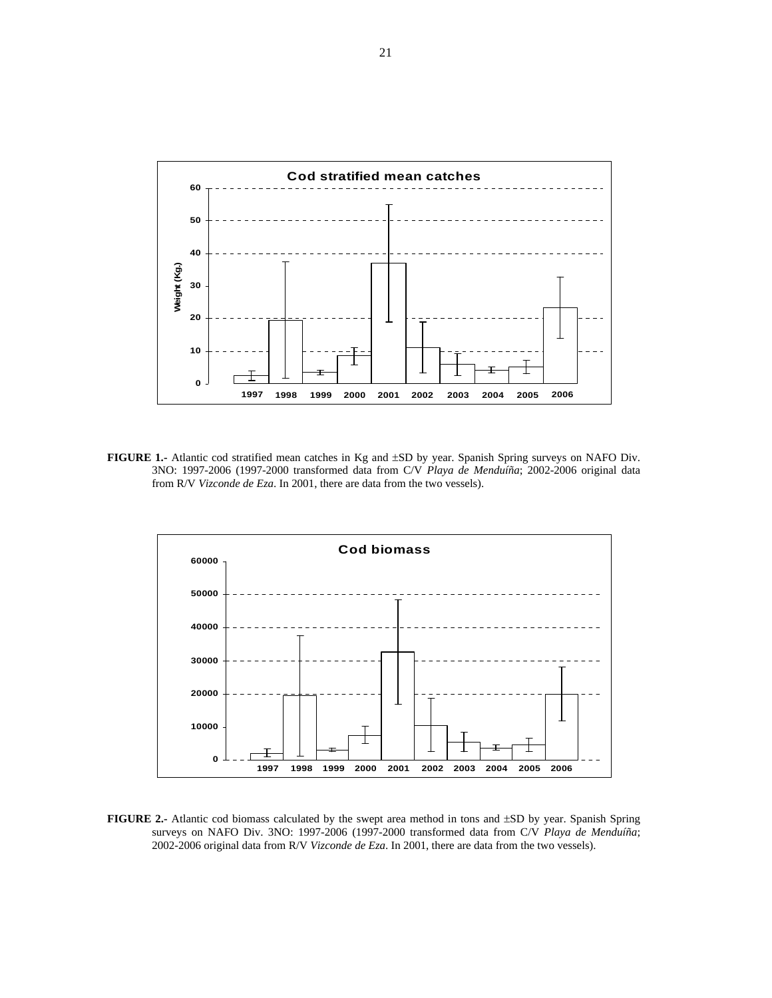

**FIGURE 1.-** Atlantic cod stratified mean catches in Kg and ±SD by year. Spanish Spring surveys on NAFO Div. 3NO: 1997-2006 (1997-2000 transformed data from C/V *Playa de Menduíña*; 2002-2006 original data from R/V *Vizconde de Eza*. In 2001, there are data from the two vessels).



**FIGURE 2.-** Atlantic cod biomass calculated by the swept area method in tons and ±SD by year. Spanish Spring surveys on NAFO Div. 3NO: 1997-2006 (1997-2000 transformed data from C/V *Playa de Menduíña*; 2002-2006 original data from R/V *Vizconde de Eza*. In 2001, there are data from the two vessels).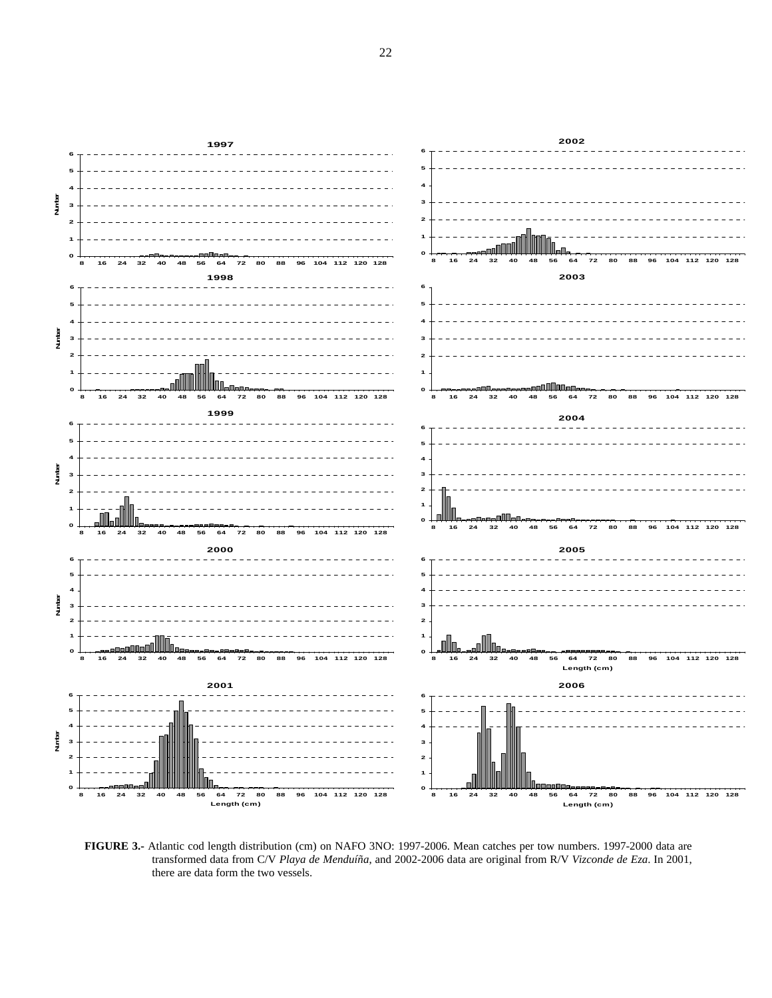

**FIGURE 3.-** Atlantic cod length distribution (cm) on NAFO 3NO: 1997-2006. Mean catches per tow numbers. 1997-2000 data are transformed data from C/V *Playa de Menduíña*, and 2002-2006 data are original from R/V *Vizconde de Eza*. In 2001, there are data form the two vessels.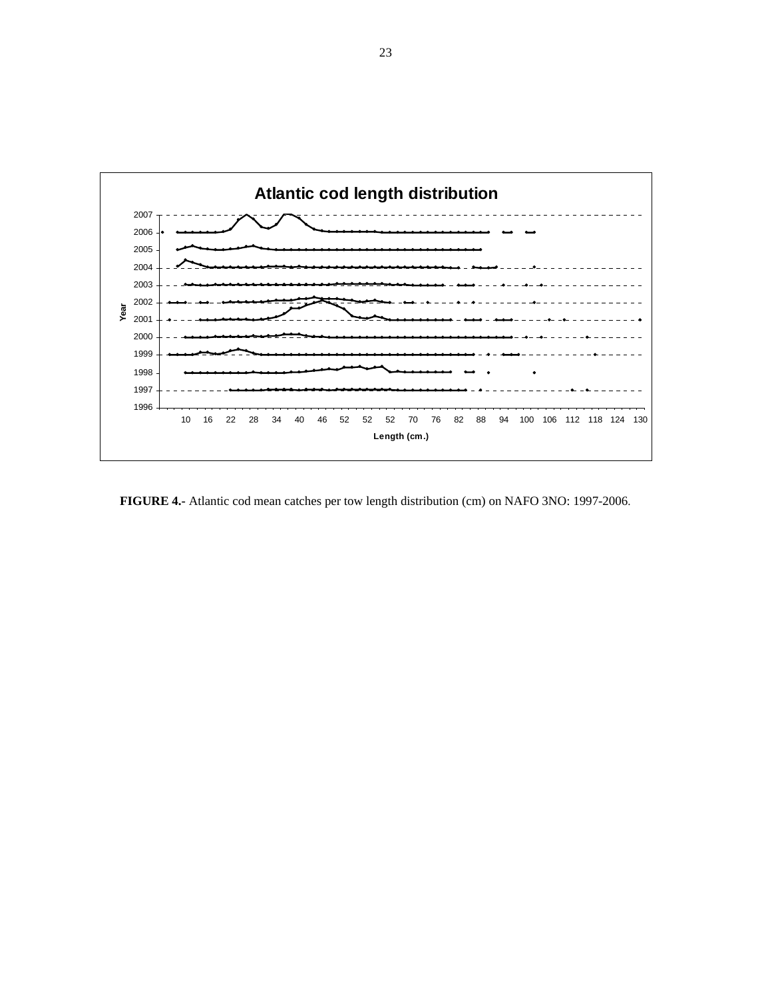

 **FIGURE 4.-** Atlantic cod mean catches per tow length distribution (cm) on NAFO 3NO: 1997-2006.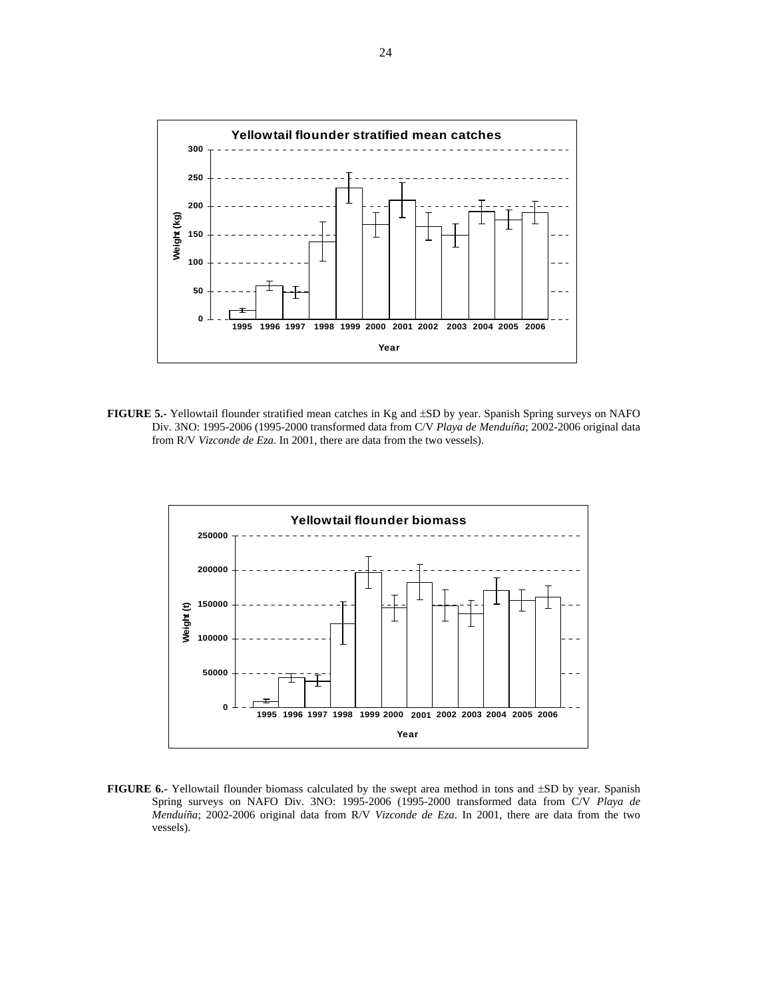

**FIGURE 5.-** Yellowtail flounder stratified mean catches in Kg and ±SD by year. Spanish Spring surveys on NAFO Div. 3NO: 1995-2006 (1995-2000 transformed data from C/V *Playa de Menduíña*; 2002-2006 original data from R/V *Vizconde de Eza*. In 2001, there are data from the two vessels).



**FIGURE 6.-** Yellowtail flounder biomass calculated by the swept area method in tons and ±SD by year. Spanish Spring surveys on NAFO Div. 3NO: 1995-2006 (1995-2000 transformed data from C/V *Playa de Menduíña*; 2002-2006 original data from R/V *Vizconde de Eza*. In 2001, there are data from the two vessels).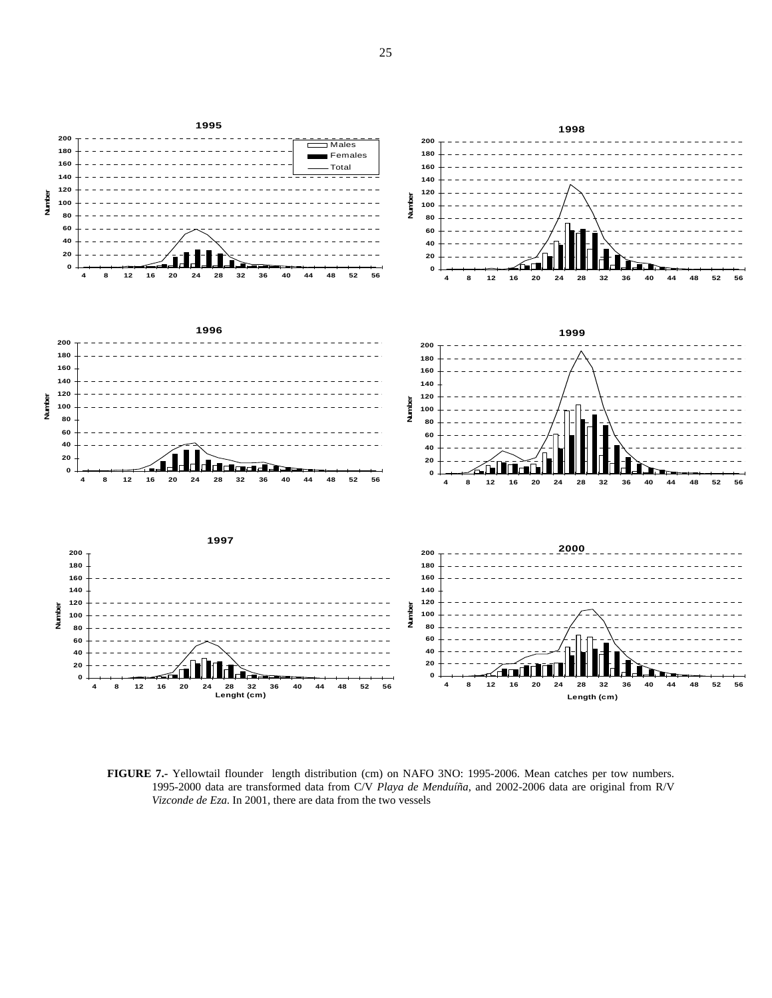

**FIGURE 7.-** Yellowtail flounder length distribution (cm) on NAFO 3NO: 1995-2006. Mean catches per tow numbers. 1995-2000 data are transformed data from C/V *Playa de Menduíña*, and 2002-2006 data are original from R/V *Vizconde de Eza*. In 2001, there are data from the two vessels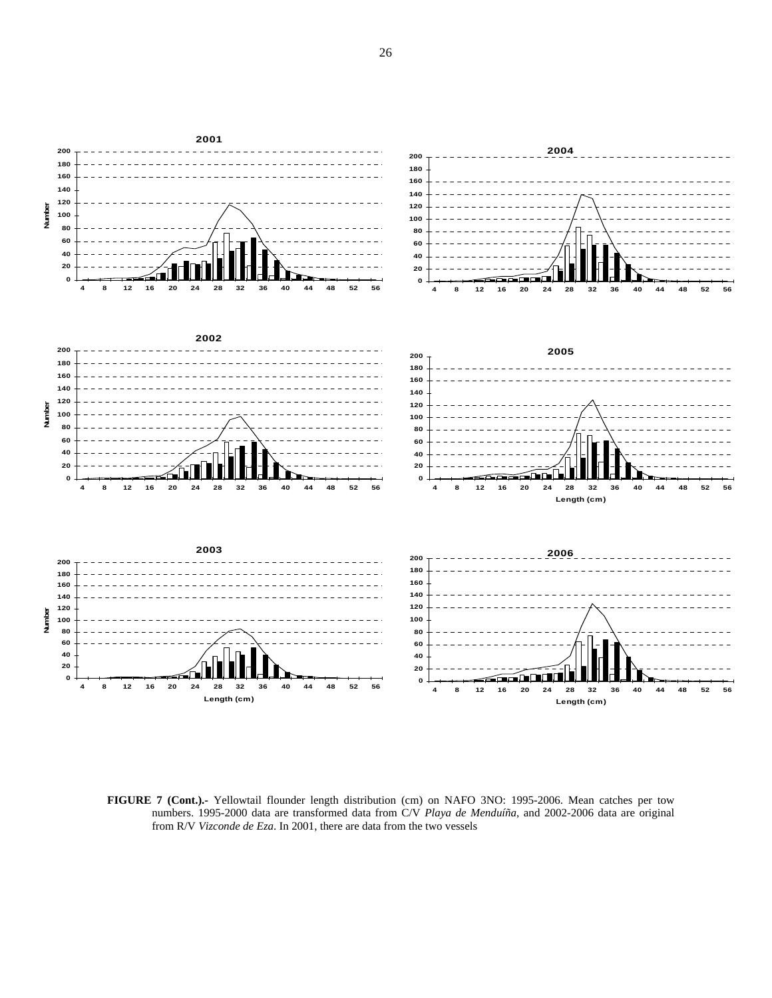

**FIGURE 7 (Cont.).-** Yellowtail flounder length distribution (cm) on NAFO 3NO: 1995-2006. Mean catches per tow numbers. 1995-2000 data are transformed data from C/V *Playa de Menduíña*, and 2002-2006 data are original from R/V *Vizconde de Eza*. In 2001, there are data from the two vessels